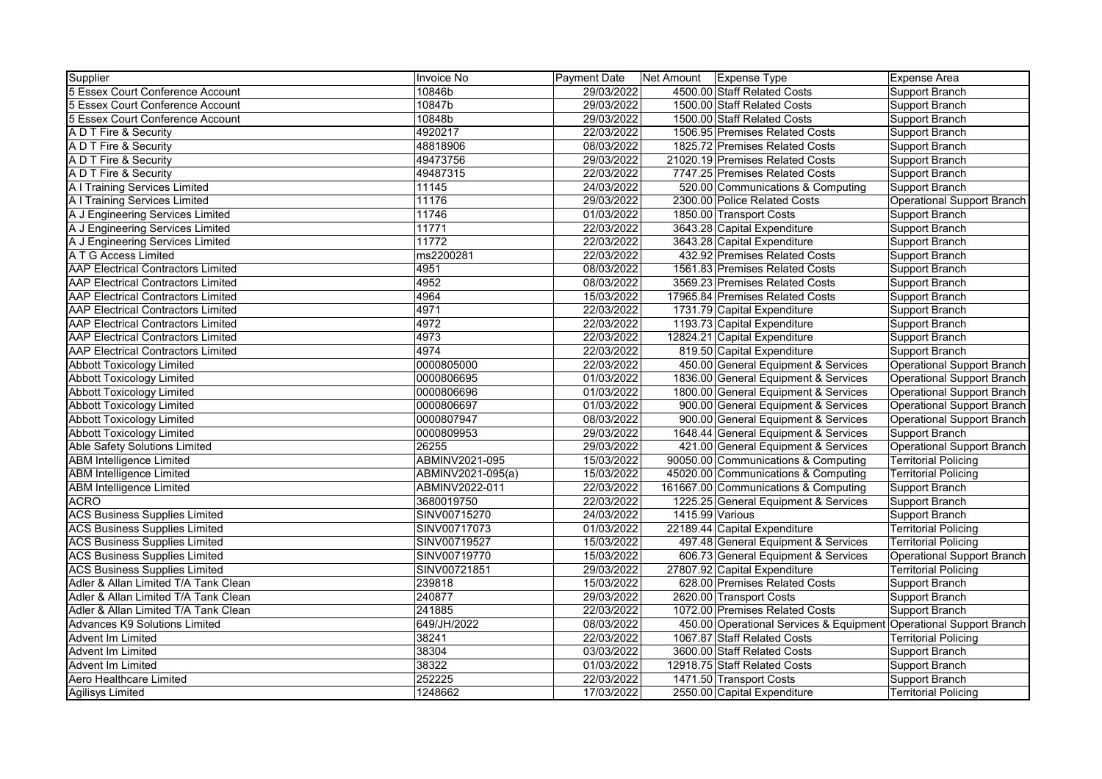| Supplier                                  | Invoice No        | <b>Payment Date</b> | Net Amount Expense Type                                            | Expense Area                |
|-------------------------------------------|-------------------|---------------------|--------------------------------------------------------------------|-----------------------------|
| 5 Essex Court Conference Account          | 10846b            | 29/03/2022          | 4500.00 Staff Related Costs                                        | Support Branch              |
| 5 Essex Court Conference Account          | 10847b            | 29/03/2022          | 1500.00 Staff Related Costs                                        | Support Branch              |
| 5 Essex Court Conference Account          | 10848b            | 29/03/2022          | 1500.00 Staff Related Costs                                        | Support Branch              |
| A D T Fire & Security                     | 4920217           | 22/03/2022          | 1506.95 Premises Related Costs                                     | Support Branch              |
| A D T Fire & Security                     | 48818906          | 08/03/2022          | 1825.72 Premises Related Costs                                     | Support Branch              |
| A D T Fire & Security                     | 49473756          | 29/03/2022          | 21020.19 Premises Related Costs                                    | Support Branch              |
| A D T Fire & Security                     | 49487315          | 22/03/2022          | 7747.25 Premises Related Costs                                     | Support Branch              |
| A I Training Services Limited             | 11145             | 24/03/2022          | 520.00 Communications & Computing                                  | Support Branch              |
| A I Training Services Limited             | 11176             | 29/03/2022          | 2300.00 Police Related Costs                                       | Operational Support Branch  |
| A J Engineering Services Limited          | 11746             | 01/03/2022          | 1850.00 Transport Costs                                            | Support Branch              |
| A J Engineering Services Limited          | 11771             | 22/03/2022          | 3643.28 Capital Expenditure                                        | Support Branch              |
| A J Engineering Services Limited          | 11772             | 22/03/2022          | 3643.28 Capital Expenditure                                        | Support Branch              |
| A T G Access Limited                      | ms2200281         | 22/03/2022          | 432.92 Premises Related Costs                                      | Support Branch              |
| <b>AAP Electrical Contractors Limited</b> | 4951              | 08/03/2022          | 1561.83 Premises Related Costs                                     | Support Branch              |
| <b>AAP Electrical Contractors Limited</b> | 4952              | 08/03/2022          | 3569.23 Premises Related Costs                                     | Support Branch              |
| <b>AAP Electrical Contractors Limited</b> | 4964              | 15/03/2022          | 17965.84 Premises Related Costs                                    | Support Branch              |
| <b>AAP Electrical Contractors Limited</b> | 4971              | 22/03/2022          | 1731.79 Capital Expenditure                                        | Support Branch              |
| <b>AAP Electrical Contractors Limited</b> | 4972              | 22/03/2022          | 1193.73 Capital Expenditure                                        | Support Branch              |
| <b>AAP Electrical Contractors Limited</b> | 4973              | 22/03/2022          | 12824.21 Capital Expenditure                                       | Support Branch              |
| <b>AAP Electrical Contractors Limited</b> | 4974              | 22/03/2022          | 819.50 Capital Expenditure                                         | Support Branch              |
| <b>Abbott Toxicology Limited</b>          | 0000805000        | 22/03/2022          | 450.00 General Equipment & Services                                | Operational Support Branch  |
| <b>Abbott Toxicology Limited</b>          | 0000806695        | 01/03/2022          | 1836.00 General Equipment & Services                               | Operational Support Branch  |
| <b>Abbott Toxicology Limited</b>          | 0000806696        | 01/03/2022          | 1800.00 General Equipment & Services                               | Operational Support Branch  |
| <b>Abbott Toxicology Limited</b>          | 0000806697        | 01/03/2022          | 900.00 General Equipment & Services                                | Operational Support Branch  |
| <b>Abbott Toxicology Limited</b>          | 0000807947        | 08/03/2022          | 900.00 General Equipment & Services                                | Operational Support Branch  |
| <b>Abbott Toxicology Limited</b>          | 0000809953        | 29/03/2022          | 1648.44 General Equipment & Services                               | Support Branch              |
| Able Safety Solutions Limited             | 26255             | 29/03/2022          | 421.00 General Equipment & Services                                | Operational Support Branch  |
| <b>ABM</b> Intelligence Limited           | ABMINV2021-095    | 15/03/2022          | 90050.00 Communications & Computing                                | <b>Territorial Policing</b> |
| <b>ABM Intelligence Limited</b>           | ABMINV2021-095(a) | 15/03/2022          | 45020.00 Communications & Computing                                | <b>Territorial Policing</b> |
| <b>ABM Intelligence Limited</b>           | ABMINV2022-011    | 22/03/2022          | 161667.00 Communications & Computing                               | Support Branch              |
| <b>ACRO</b>                               | 3680019750        | 22/03/2022          | 1225.25 General Equipment & Services                               | Support Branch              |
| <b>ACS Business Supplies Limited</b>      | SINV00715270      | 24/03/2022          | 1415.99 Various                                                    | Support Branch              |
| <b>ACS Business Supplies Limited</b>      | SINV00717073      | 01/03/2022          | 22189.44 Capital Expenditure                                       | <b>Territorial Policing</b> |
| <b>ACS Business Supplies Limited</b>      | SINV00719527      | 15/03/2022          | 497.48 General Equipment & Services                                | <b>Territorial Policing</b> |
| <b>ACS Business Supplies Limited</b>      | SINV00719770      | 15/03/2022          | 606.73 General Equipment & Services                                | Operational Support Branch  |
| <b>ACS Business Supplies Limited</b>      | SINV00721851      | 29/03/2022          | 27807.92 Capital Expenditure                                       | <b>Territorial Policing</b> |
| Adler & Allan Limited T/A Tank Clean      | 239818            | 15/03/2022          | 628.00 Premises Related Costs                                      | Support Branch              |
| Adler & Allan Limited T/A Tank Clean      | 240877            | 29/03/2022          | 2620.00 Transport Costs                                            | Support Branch              |
| Adler & Allan Limited T/A Tank Clean      | 241885            | 22/03/2022          | 1072.00 Premises Related Costs                                     | Support Branch              |
| <b>Advances K9 Solutions Limited</b>      | 649/JH/2022       | 08/03/2022          | 450.00 Operational Services & Equipment Operational Support Branch |                             |
| Advent Im Limited                         | 38241             | 22/03/2022          | 1067.87 Staff Related Costs                                        | <b>Territorial Policing</b> |
| Advent Im Limited                         | 38304             | 03/03/2022          | 3600.00 Staff Related Costs                                        | Support Branch              |
| Advent Im Limited                         | 38322             | 01/03/2022          | 12918.75 Staff Related Costs                                       | Support Branch              |
| Aero Healthcare Limited                   | 252225            | 22/03/2022          | 1471.50 Transport Costs                                            | Support Branch              |
| <b>Agilisys Limited</b>                   | 1248662           | 17/03/2022          | 2550.00 Capital Expenditure                                        | <b>Territorial Policing</b> |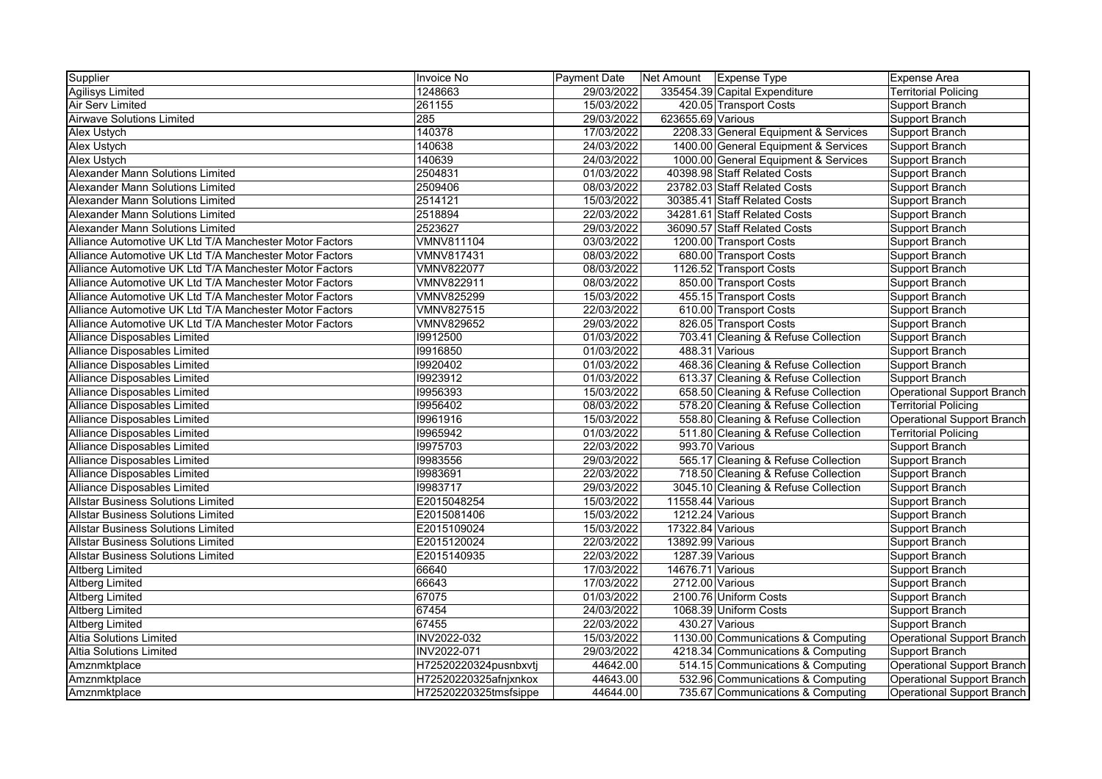| Supplier                                                | Invoice No            | <b>Payment Date</b> | Net Amount   Expense Type |                                      | <b>Expense Area</b>               |
|---------------------------------------------------------|-----------------------|---------------------|---------------------------|--------------------------------------|-----------------------------------|
| <b>Agilisys Limited</b>                                 | 1248663               | 29/03/2022          |                           | 335454.39 Capital Expenditure        | <b>Territorial Policing</b>       |
| Air Serv Limited                                        | 261155                | 15/03/2022          |                           | 420.05 Transport Costs               | Support Branch                    |
| <b>Airwave Solutions Limited</b>                        | 285                   | 29/03/2022          | 623655.69 Various         |                                      | Support Branch                    |
| Alex Ustych                                             | 140378                | 17/03/2022          |                           | 2208.33 General Equipment & Services | Support Branch                    |
| <b>Alex Ustych</b>                                      | 140638                | 24/03/2022          |                           | 1400.00 General Equipment & Services | Support Branch                    |
| <b>Alex Ustych</b>                                      | 140639                | 24/03/2022          |                           | 1000.00 General Equipment & Services | Support Branch                    |
| Alexander Mann Solutions Limited                        | 2504831               | 01/03/2022          |                           | 40398.98 Staff Related Costs         | Support Branch                    |
| Alexander Mann Solutions Limited                        | 2509406               | 08/03/2022          |                           | 23782.03 Staff Related Costs         | Support Branch                    |
| Alexander Mann Solutions Limited                        | 2514121               | 15/03/2022          |                           | 30385.41 Staff Related Costs         | Support Branch                    |
| Alexander Mann Solutions Limited                        | 2518894               | 22/03/2022          |                           | 34281.61 Staff Related Costs         | Support Branch                    |
| Alexander Mann Solutions Limited                        | 2523627               | 29/03/2022          |                           | 36090.57 Staff Related Costs         | Support Branch                    |
| Alliance Automotive UK Ltd T/A Manchester Motor Factors | VMNV811104            | 03/03/2022          |                           | 1200.00 Transport Costs              | Support Branch                    |
| Alliance Automotive UK Ltd T/A Manchester Motor Factors | VMNV817431            | 08/03/2022          |                           | 680.00 Transport Costs               | Support Branch                    |
| Alliance Automotive UK Ltd T/A Manchester Motor Factors | <b>VMNV822077</b>     | 08/03/2022          |                           | 1126.52 Transport Costs              | Support Branch                    |
| Alliance Automotive UK Ltd T/A Manchester Motor Factors | VMNV822911            | 08/03/2022          |                           | 850.00 Transport Costs               | Support Branch                    |
| Alliance Automotive UK Ltd T/A Manchester Motor Factors | <b>VMNV825299</b>     | 15/03/2022          |                           | 455.15 Transport Costs               | <b>Support Branch</b>             |
| Alliance Automotive UK Ltd T/A Manchester Motor Factors | <b>VMNV827515</b>     | 22/03/2022          |                           | 610.00 Transport Costs               | Support Branch                    |
| Alliance Automotive UK Ltd T/A Manchester Motor Factors | <b>VMNV829652</b>     | 29/03/2022          |                           | 826.05 Transport Costs               | Support Branch                    |
| Alliance Disposables Limited                            | 19912500              | 01/03/2022          |                           | 703.41 Cleaning & Refuse Collection  | Support Branch                    |
| Alliance Disposables Limited                            | 19916850              | 01/03/2022          |                           | 488.31 Various                       | Support Branch                    |
| Alliance Disposables Limited                            | 19920402              | 01/03/2022          |                           | 468.36 Cleaning & Refuse Collection  | Support Branch                    |
| Alliance Disposables Limited                            | 19923912              | 01/03/2022          |                           | 613.37 Cleaning & Refuse Collection  | Support Branch                    |
| Alliance Disposables Limited                            | 19956393              | 15/03/2022          |                           | 658.50 Cleaning & Refuse Collection  | <b>Operational Support Branch</b> |
| Alliance Disposables Limited                            | 19956402              | 08/03/2022          |                           | 578.20 Cleaning & Refuse Collection  | <b>Territorial Policing</b>       |
| Alliance Disposables Limited                            | 19961916              | 15/03/2022          |                           | 558.80 Cleaning & Refuse Collection  | <b>Operational Support Branch</b> |
| Alliance Disposables Limited                            | 19965942              | 01/03/2022          |                           | 511.80 Cleaning & Refuse Collection  | <b>Territorial Policing</b>       |
| Alliance Disposables Limited                            | 19975703              | 22/03/2022          |                           | 993.70 Various                       | Support Branch                    |
| Alliance Disposables Limited                            | 19983556              | 29/03/2022          |                           | 565.17 Cleaning & Refuse Collection  | Support Branch                    |
| Alliance Disposables Limited                            | 19983691              | 22/03/2022          |                           | 718.50 Cleaning & Refuse Collection  | Support Branch                    |
| Alliance Disposables Limited                            | 19983717              | 29/03/2022          |                           | 3045.10 Cleaning & Refuse Collection | Support Branch                    |
| <b>Allstar Business Solutions Limited</b>               | E2015048254           | 15/03/2022          | 11558.44 Various          |                                      | Support Branch                    |
| <b>Allstar Business Solutions Limited</b>               | E2015081406           | 15/03/2022          | 1212.24 Various           |                                      | Support Branch                    |
| <b>Allstar Business Solutions Limited</b>               | E2015109024           | 15/03/2022          | 17322.84 Various          |                                      | Support Branch                    |
| <b>Allstar Business Solutions Limited</b>               | E2015120024           | 22/03/2022          | 13892.99 Various          |                                      | Support Branch                    |
| <b>Allstar Business Solutions Limited</b>               | E2015140935           | 22/03/2022          | 1287.39 Various           |                                      | Support Branch                    |
| Altberg Limited                                         | 66640                 | 17/03/2022          | 14676.71 Various          |                                      | Support Branch                    |
| <b>Altberg Limited</b>                                  | 66643                 | 17/03/2022          | 2712.00 Various           |                                      | Support Branch                    |
| <b>Altberg Limited</b>                                  | 67075                 | 01/03/2022          |                           | 2100.76 Uniform Costs                | Support Branch                    |
| <b>Altberg Limited</b>                                  | 67454                 | 24/03/2022          |                           | 1068.39 Uniform Costs                | Support Branch                    |
| <b>Altberg Limited</b>                                  | 67455                 | 22/03/2022          |                           | 430.27 Various                       | Support Branch                    |
| <b>Altia Solutions Limited</b>                          | INV2022-032           | 15/03/2022          |                           | 1130.00 Communications & Computing   | <b>Operational Support Branch</b> |
| <b>Altia Solutions Limited</b>                          | INV2022-071           | 29/03/2022          |                           | 4218.34 Communications & Computing   | Support Branch                    |
| Amznmktplace                                            | H72520220324pusnbxvtj | 44642.00            |                           | 514.15 Communications & Computing    | Operational Support Branch        |
| Amznmktplace                                            | H72520220325afnjxnkox | 44643.00            |                           | 532.96 Communications & Computing    | Operational Support Branch        |
| Amznmktplace                                            | H72520220325tmsfsippe | 44644.00            |                           | 735.67 Communications & Computing    | Operational Support Branch        |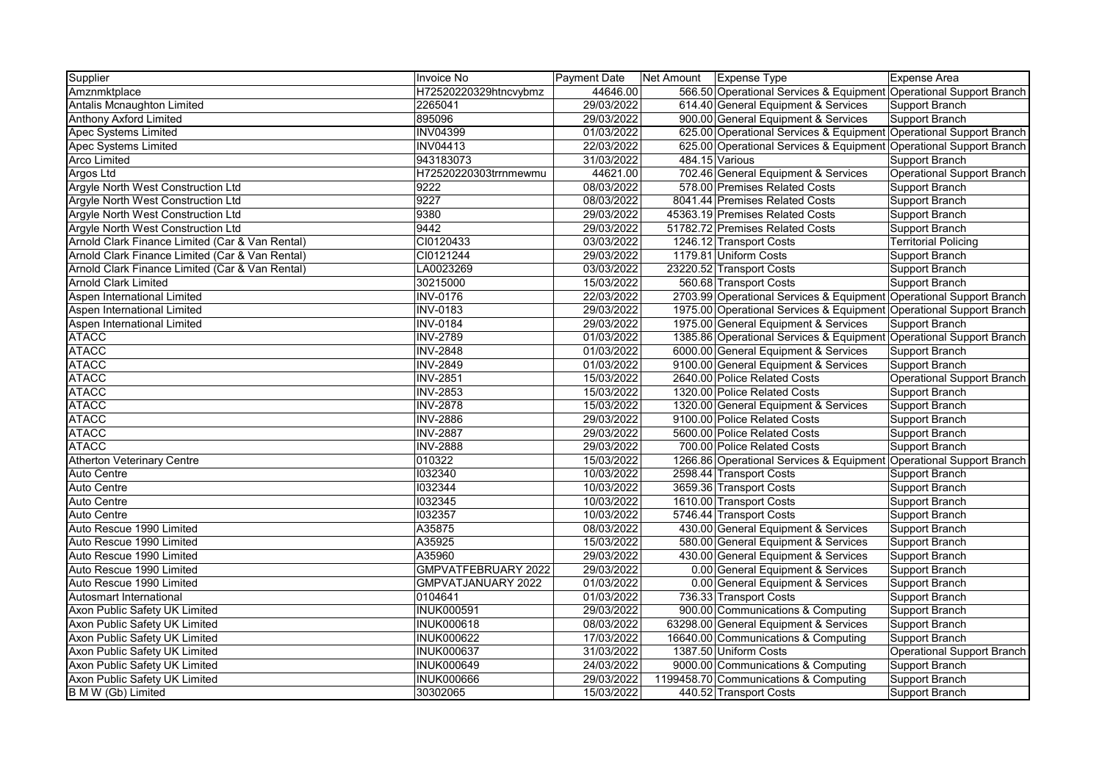| 566.50 Operational Services & Equipment Operational Support Branch<br>625.00 Operational Services & Equipment Operational Support Branch |
|------------------------------------------------------------------------------------------------------------------------------------------|
|                                                                                                                                          |
|                                                                                                                                          |
|                                                                                                                                          |
|                                                                                                                                          |
| 625.00 Operational Services & Equipment Operational Support Branch                                                                       |
|                                                                                                                                          |
| Operational Support Branch                                                                                                               |
|                                                                                                                                          |
|                                                                                                                                          |
|                                                                                                                                          |
|                                                                                                                                          |
|                                                                                                                                          |
|                                                                                                                                          |
|                                                                                                                                          |
|                                                                                                                                          |
| 2703.99 Operational Services & Equipment Operational Support Branch                                                                      |
| 1975.00 Operational Services & Equipment Operational Support Branch                                                                      |
|                                                                                                                                          |
| 1385.86 Operational Services & Equipment Operational Support Branch                                                                      |
|                                                                                                                                          |
|                                                                                                                                          |
| Operational Support Branch                                                                                                               |
|                                                                                                                                          |
|                                                                                                                                          |
|                                                                                                                                          |
|                                                                                                                                          |
|                                                                                                                                          |
| 1266.86 Operational Services & Equipment Operational Support Branch                                                                      |
|                                                                                                                                          |
|                                                                                                                                          |
|                                                                                                                                          |
|                                                                                                                                          |
|                                                                                                                                          |
|                                                                                                                                          |
|                                                                                                                                          |
|                                                                                                                                          |
|                                                                                                                                          |
|                                                                                                                                          |
|                                                                                                                                          |
|                                                                                                                                          |
|                                                                                                                                          |
| Operational Support Branch                                                                                                               |
|                                                                                                                                          |
|                                                                                                                                          |
|                                                                                                                                          |
| <b>Territorial Policing</b>                                                                                                              |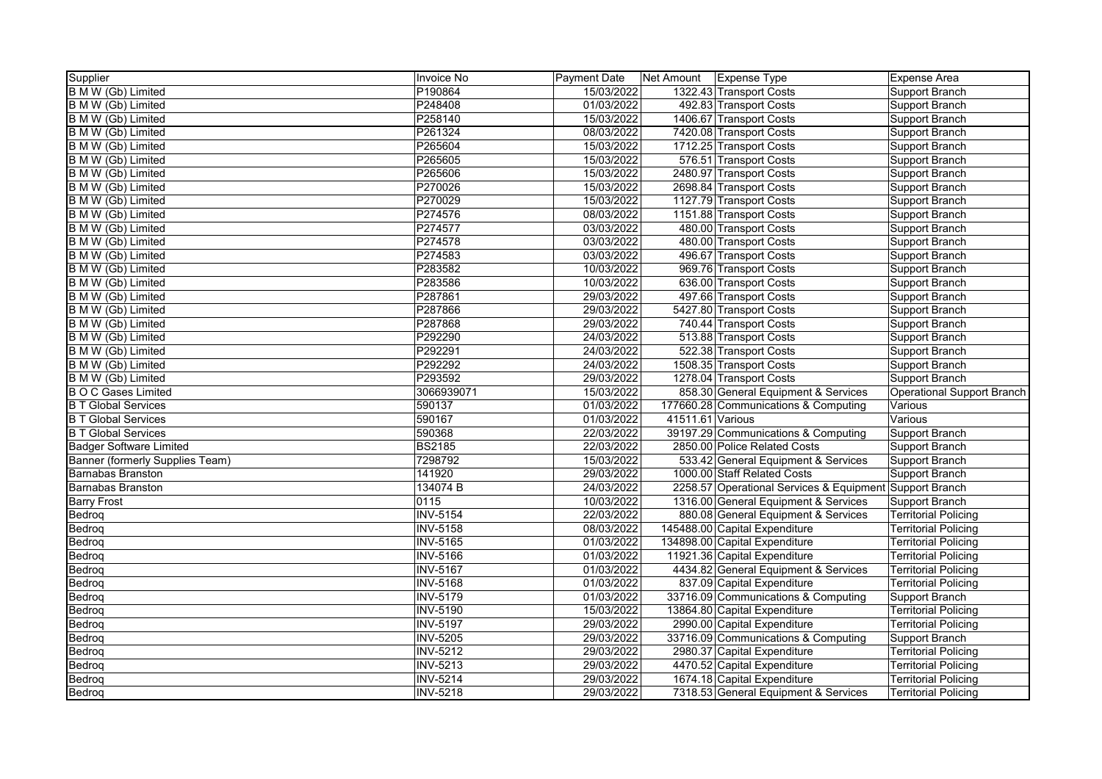| Supplier                        | Invoice No      | Payment Date |                  | Net Amount   Expense Type                | Expense Area                      |
|---------------------------------|-----------------|--------------|------------------|------------------------------------------|-----------------------------------|
| B M W (Gb) Limited              | P190864         | 15/03/2022   |                  | 1322.43 Transport Costs                  | Support Branch                    |
| B M W (Gb) Limited              | P248408         | 01/03/2022   |                  | 492.83 Transport Costs                   | <b>Support Branch</b>             |
| B M W (Gb) Limited              | P258140         | 15/03/2022   |                  | 1406.67 Transport Costs                  | Support Branch                    |
| B M W (Gb) Limited              | P261324         | 08/03/2022   |                  | 7420.08 Transport Costs                  | <b>Support Branch</b>             |
| B M W (Gb) Limited              | P265604         | 15/03/2022   |                  | 1712.25 Transport Costs                  | Support Branch                    |
| B M W (Gb) Limited              | P265605         | 15/03/2022   |                  | 576.51 Transport Costs                   | Support Branch                    |
| B M W (Gb) Limited              | P265606         | 15/03/2022   |                  | 2480.97 Transport Costs                  | Support Branch                    |
| B M W (Gb) Limited              | P270026         | 15/03/2022   |                  | 2698.84 Transport Costs                  | Support Branch                    |
| B M W (Gb) Limited              | P270029         | 15/03/2022   |                  | 1127.79 Transport Costs                  | Support Branch                    |
| <b>B M W (Gb) Limited</b>       | P274576         | 08/03/2022   |                  | 1151.88 Transport Costs                  | <b>Support Branch</b>             |
| B M W (Gb) Limited              | P274577         | 03/03/2022   |                  | 480.00 Transport Costs                   | Support Branch                    |
| B M W (Gb) Limited              | P274578         | 03/03/2022   |                  | 480.00 Transport Costs                   | Support Branch                    |
| B M W (Gb) Limited              | P274583         | 03/03/2022   |                  | 496.67 Transport Costs                   | <b>Support Branch</b>             |
| B M W (Gb) Limited              | P283582         | 10/03/2022   |                  | 969.76 Transport Costs                   | Support Branch                    |
| B M W (Gb) Limited              | P283586         | 10/03/2022   |                  | 636.00 Transport Costs                   | Support Branch                    |
| B M W (Gb) Limited              | P287861         | 29/03/2022   |                  | 497.66 Transport Costs                   | Support Branch                    |
| B M W (Gb) Limited              | P287866         | 29/03/2022   |                  | 5427.80 Transport Costs                  | Support Branch                    |
| B M W (Gb) Limited              | P287868         | 29/03/2022   |                  | 740.44 Transport Costs                   | <b>Support Branch</b>             |
| B M W (Gb) Limited              | P292290         | 24/03/2022   |                  | 513.88 Transport Costs                   | Support Branch                    |
| B M W (Gb) Limited              | P292291         | 24/03/2022   |                  | 522.38 Transport Costs                   | Support Branch                    |
| B M W (Gb) Limited              | P292292         | 24/03/2022   |                  | 1508.35 Transport Costs                  | <b>Support Branch</b>             |
| B M W (Gb) Limited              | P293592         | 29/03/2022   |                  | 1278.04 Transport Costs                  | <b>Support Branch</b>             |
| <b>B O C Gases Limited</b>      | 3066939071      | 15/03/2022   |                  | 858.30 General Equipment & Services      | <b>Operational Support Branch</b> |
| <b>B T Global Services</b>      | 590137          | 01/03/2022   |                  | 177660.28 Communications & Computing     | Various                           |
| <b>B T Global Services</b>      | 590167          | 01/03/2022   | 41511.61 Various |                                          | Various                           |
| <b>B T Global Services</b>      | 590368          | 22/03/2022   |                  | 39197.29 Communications & Computing      | Support Branch                    |
| <b>Badger Software Limited</b>  | <b>BS2185</b>   | 22/03/2022   |                  | 2850.00 Police Related Costs             | Support Branch                    |
| Banner (formerly Supplies Team) | 7298792         | 15/03/2022   |                  | 533.42 General Equipment & Services      | Support Branch                    |
| <b>Barnabas Branston</b>        | 141920          | 29/03/2022   |                  | 1000.00 Staff Related Costs              | Support Branch                    |
| <b>Barnabas Branston</b>        | 134074 B        | 24/03/2022   |                  | 2258.57 Operational Services & Equipment | Support Branch                    |
| <b>Barry Frost</b>              | 0115            | 10/03/2022   |                  | 1316.00 General Equipment & Services     | <b>Support Branch</b>             |
| Bedroq                          | <b>INV-5154</b> | 22/03/2022   |                  | 880.08 General Equipment & Services      | <b>Territorial Policing</b>       |
| Bedroq                          | <b>INV-5158</b> | 08/03/2022   |                  | 145488.00 Capital Expenditure            | <b>Territorial Policing</b>       |
| Bedrog                          | <b>INV-5165</b> | 01/03/2022   |                  | 134898.00 Capital Expenditure            | <b>Territorial Policing</b>       |
| Bedroq                          | <b>INV-5166</b> | 01/03/2022   |                  | 11921.36 Capital Expenditure             | <b>Territorial Policing</b>       |
| Bedroq                          | <b>INV-5167</b> | 01/03/2022   |                  | 4434.82 General Equipment & Services     | <b>Territorial Policing</b>       |
| Bedrog                          | <b>INV-5168</b> | 01/03/2022   |                  | 837.09 Capital Expenditure               | <b>Territorial Policing</b>       |
| Bedroq                          | <b>INV-5179</b> | 01/03/2022   |                  | 33716.09 Communications & Computing      | <b>Support Branch</b>             |
| Bedroq                          | <b>INV-5190</b> | 15/03/2022   |                  | 13864.80 Capital Expenditure             | <b>Territorial Policing</b>       |
| Bedroq                          | <b>INV-5197</b> | 29/03/2022   |                  | 2990.00 Capital Expenditure              | <b>Territorial Policing</b>       |
| Bedroq                          | <b>INV-5205</b> | 29/03/2022   |                  | 33716.09 Communications & Computing      | Support Branch                    |
| Bedroq                          | <b>INV-5212</b> | 29/03/2022   |                  | 2980.37 Capital Expenditure              | <b>Territorial Policing</b>       |
| Bedroq                          | <b>INV-5213</b> | 29/03/2022   |                  | 4470.52 Capital Expenditure              | <b>Territorial Policing</b>       |
| Bedroq                          | <b>INV-5214</b> | 29/03/2022   |                  | 1674.18 Capital Expenditure              | <b>Territorial Policing</b>       |
| Bedroq                          | <b>INV-5218</b> | 29/03/2022   |                  | 7318.53 General Equipment & Services     | <b>Territorial Policing</b>       |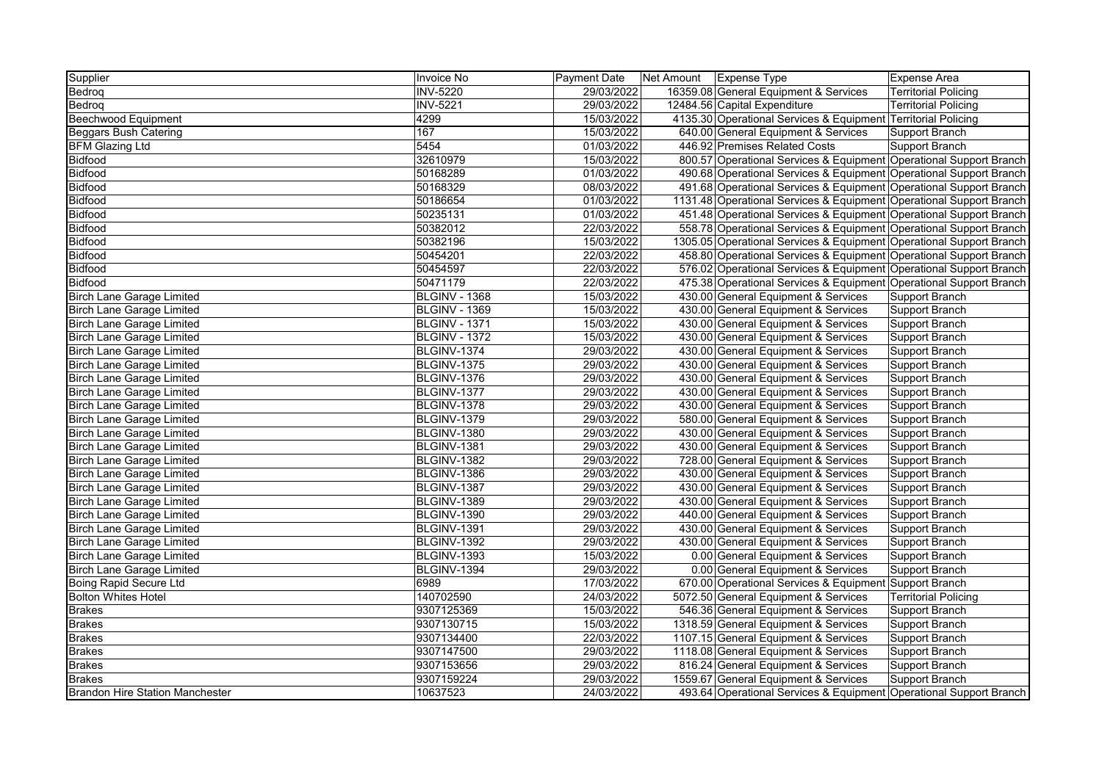| Supplier                               | Invoice No           | Payment Date | Net Amount | <b>Expense Type</b>                                                 | Expense Area                |
|----------------------------------------|----------------------|--------------|------------|---------------------------------------------------------------------|-----------------------------|
| Bedrog                                 | <b>INV-5220</b>      | 29/03/2022   |            | 16359.08 General Equipment & Services                               | <b>Territorial Policing</b> |
| Bedrog                                 | <b>INV-5221</b>      | 29/03/2022   |            | 12484.56 Capital Expenditure                                        | Territorial Policing        |
| Beechwood Equipment                    | 4299                 | 15/03/2022   |            | 4135.30 Operational Services & Equipment Territorial Policing       |                             |
| <b>Beggars Bush Catering</b>           | 167                  | 15/03/2022   |            | 640.00 General Equipment & Services                                 | Support Branch              |
| <b>BFM Glazing Ltd</b>                 | 5454                 | 01/03/2022   |            | 446.92 Premises Related Costs                                       | Support Branch              |
| Bidfood                                | 32610979             | 15/03/2022   |            | 800.57 Operational Services & Equipment Operational Support Branch  |                             |
| <b>Bidfood</b>                         | 50168289             | 01/03/2022   |            | 490.68 Operational Services & Equipment Operational Support Branch  |                             |
| Bidfood                                | 50168329             | 08/03/2022   |            | 491.68 Operational Services & Equipment Operational Support Branch  |                             |
| Bidfood                                | 50186654             | 01/03/2022   |            | 1131.48 Operational Services & Equipment Operational Support Branch |                             |
| Bidfood                                | 50235131             | 01/03/2022   |            | 451.48 Operational Services & Equipment Operational Support Branch  |                             |
| <b>Bidfood</b>                         | 50382012             | 22/03/2022   |            | 558.78 Operational Services & Equipment Operational Support Branch  |                             |
| Bidfood                                | 50382196             | 15/03/2022   |            | 1305.05 Operational Services & Equipment Operational Support Branch |                             |
| <b>Bidfood</b>                         | 50454201             | 22/03/2022   |            | 458.80 Operational Services & Equipment Operational Support Branch  |                             |
| Bidfood                                | 50454597             | 22/03/2022   |            | 576.02 Operational Services & Equipment Operational Support Branch  |                             |
| <b>Bidfood</b>                         | 50471179             | 22/03/2022   |            | 475.38 Operational Services & Equipment Operational Support Branch  |                             |
| <b>Birch Lane Garage Limited</b>       | <b>BLGINV - 1368</b> | 15/03/2022   |            | 430.00 General Equipment & Services                                 | Support Branch              |
| <b>Birch Lane Garage Limited</b>       | <b>BLGINV - 1369</b> | 15/03/2022   |            | 430.00 General Equipment & Services                                 | Support Branch              |
| <b>Birch Lane Garage Limited</b>       | BLGINV - 1371        | 15/03/2022   |            | 430.00 General Equipment & Services                                 | Support Branch              |
| <b>Birch Lane Garage Limited</b>       | BLGINV - 1372        | 15/03/2022   |            | 430.00 General Equipment & Services                                 | Support Branch              |
| <b>Birch Lane Garage Limited</b>       | BLGINV-1374          | 29/03/2022   |            | 430.00 General Equipment & Services                                 | Support Branch              |
| <b>Birch Lane Garage Limited</b>       | BLGINV-1375          | 29/03/2022   |            | 430.00 General Equipment & Services                                 | Support Branch              |
| <b>Birch Lane Garage Limited</b>       | BLGINV-1376          | 29/03/2022   |            | 430.00 General Equipment & Services                                 | Support Branch              |
| Birch Lane Garage Limited              | BLGINV-1377          | 29/03/2022   |            | 430.00 General Equipment & Services                                 | Support Branch              |
| <b>Birch Lane Garage Limited</b>       | BLGINV-1378          | 29/03/2022   |            | 430.00 General Equipment & Services                                 | Support Branch              |
| <b>Birch Lane Garage Limited</b>       | BLGINV-1379          | 29/03/2022   |            | 580.00 General Equipment & Services                                 | Support Branch              |
| <b>Birch Lane Garage Limited</b>       | BLGINV-1380          | 29/03/2022   |            | 430.00 General Equipment & Services                                 | Support Branch              |
| <b>Birch Lane Garage Limited</b>       | BLGINV-1381          | 29/03/2022   |            | 430.00 General Equipment & Services                                 | Support Branch              |
| <b>Birch Lane Garage Limited</b>       | BLGINV-1382          | 29/03/2022   |            | 728.00 General Equipment & Services                                 | Support Branch              |
| <b>Birch Lane Garage Limited</b>       | BLGINV-1386          | 29/03/2022   |            | 430.00 General Equipment & Services                                 | Support Branch              |
| <b>Birch Lane Garage Limited</b>       | BLGINV-1387          | 29/03/2022   |            | 430.00 General Equipment & Services                                 | Support Branch              |
| Birch Lane Garage Limited              | BLGINV-1389          | 29/03/2022   |            | 430.00 General Equipment & Services                                 | Support Branch              |
| <b>Birch Lane Garage Limited</b>       | BLGINV-1390          | 29/03/2022   |            | 440.00 General Equipment & Services                                 | Support Branch              |
| <b>Birch Lane Garage Limited</b>       | BLGINV-1391          | 29/03/2022   |            | 430.00 General Equipment & Services                                 | Support Branch              |
| <b>Birch Lane Garage Limited</b>       | BLGINV-1392          | 29/03/2022   |            | 430.00 General Equipment & Services                                 | Support Branch              |
| <b>Birch Lane Garage Limited</b>       | BLGINV-1393          | 15/03/2022   |            | 0.00 General Equipment & Services                                   | Support Branch              |
| <b>Birch Lane Garage Limited</b>       | BLGINV-1394          | 29/03/2022   |            | 0.00 General Equipment & Services                                   | Support Branch              |
| <b>Boing Rapid Secure Ltd</b>          | 6989                 | 17/03/2022   |            | 670.00 Operational Services & Equipment Support Branch              |                             |
| <b>Bolton Whites Hotel</b>             | 140702590            | 24/03/2022   |            | 5072.50 General Equipment & Services                                | <b>Territorial Policing</b> |
| <b>Brakes</b>                          | 9307125369           | 15/03/2022   |            | 546.36 General Equipment & Services                                 | Support Branch              |
| <b>Brakes</b>                          | 9307130715           | 15/03/2022   |            | 1318.59 General Equipment & Services                                | Support Branch              |
| <b>Brakes</b>                          | 9307134400           | 22/03/2022   |            | 1107.15 General Equipment & Services                                | Support Branch              |
| <b>Brakes</b>                          | 9307147500           | 29/03/2022   |            | 1118.08 General Equipment & Services                                | Support Branch              |
| <b>Brakes</b>                          | 9307153656           | 29/03/2022   |            | 816.24 General Equipment & Services                                 | Support Branch              |
| <b>Brakes</b>                          | 9307159224           | 29/03/2022   |            | 1559.67 General Equipment & Services                                | Support Branch              |
| <b>Brandon Hire Station Manchester</b> | 10637523             | 24/03/2022   |            | 493.64 Operational Services & Equipment Operational Support Branch  |                             |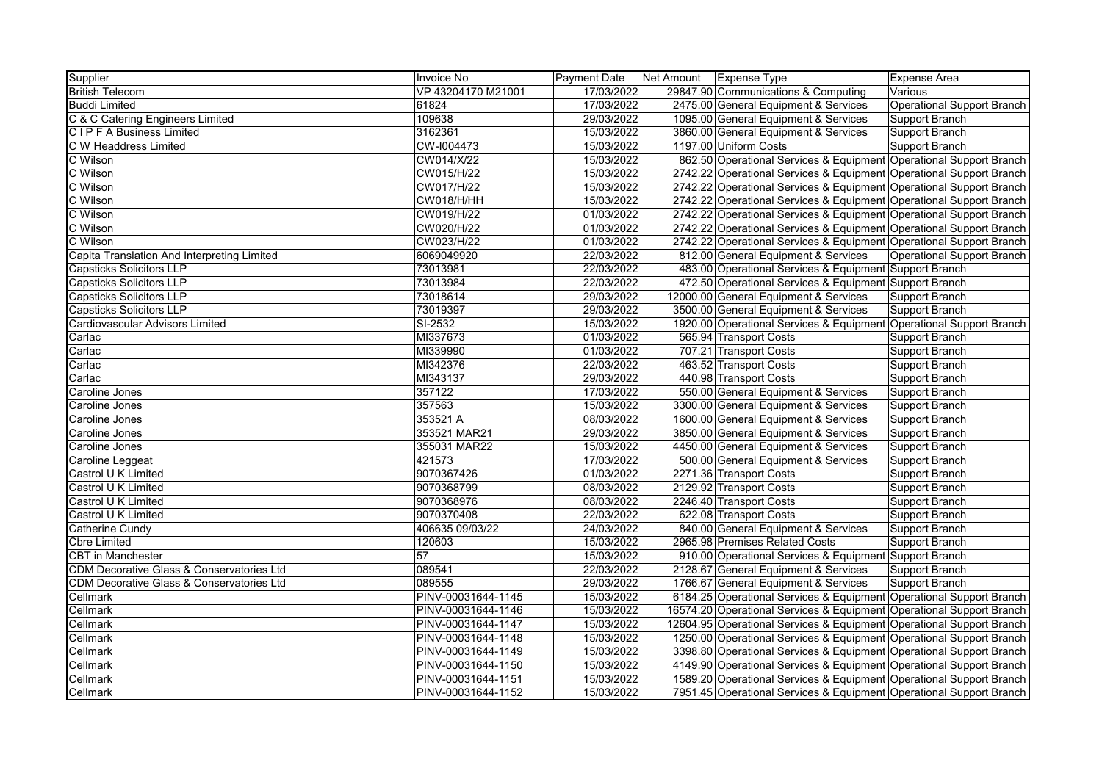| Supplier                                    | Invoice No         | Payment Date | Net Amount | <b>Expense Type</b>                                                  | Expense Area               |
|---------------------------------------------|--------------------|--------------|------------|----------------------------------------------------------------------|----------------------------|
| <b>British Telecom</b>                      | VP 43204170 M21001 | 17/03/2022   |            | 29847.90 Communications & Computing                                  | Various                    |
| <b>Buddi Limited</b>                        | 61824              | 17/03/2022   |            | 2475.00 General Equipment & Services                                 | Operational Support Branch |
| C & C Catering Engineers Limited            | 109638             | 29/03/2022   |            | 1095.00 General Equipment & Services                                 | Support Branch             |
| <b>CIPFA Business Limited</b>               | 3162361            | 15/03/2022   |            | 3860.00 General Equipment & Services                                 | Support Branch             |
| C W Headdress Limited                       | CW-I004473         | 15/03/2022   |            | 1197.00 Uniform Costs                                                | Support Branch             |
| C Wilson                                    | CW014/X/22         | 15/03/2022   |            | 862.50 Operational Services & Equipment Operational Support Branch   |                            |
| C Wilson                                    | CW015/H/22         | 15/03/2022   |            | 2742.22 Operational Services & Equipment Operational Support Branch  |                            |
| C Wilson                                    | CW017/H/22         | 15/03/2022   |            | 2742.22 Operational Services & Equipment Operational Support Branch  |                            |
| C Wilson                                    | <b>CW018/H/HH</b>  | 15/03/2022   |            | 2742.22 Operational Services & Equipment Operational Support Branch  |                            |
| C Wilson                                    | CW019/H/22         | 01/03/2022   |            | 2742.22 Operational Services & Equipment Operational Support Branch  |                            |
| C Wilson                                    | CW020/H/22         | 01/03/2022   |            | 2742.22 Operational Services & Equipment Operational Support Branch  |                            |
| C Wilson                                    | CW023/H/22         | 01/03/2022   |            | 2742.22 Operational Services & Equipment Operational Support Branch  |                            |
| Capita Translation And Interpreting Limited | 6069049920         | 22/03/2022   |            | 812.00 General Equipment & Services                                  | Operational Support Branch |
| <b>Capsticks Solicitors LLP</b>             | 73013981           | 22/03/2022   |            | 483.00 Operational Services & Equipment Support Branch               |                            |
| <b>Capsticks Solicitors LLP</b>             | 73013984           | 22/03/2022   |            | 472.50 Operational Services & Equipment Support Branch               |                            |
| <b>Capsticks Solicitors LLP</b>             | 73018614           | 29/03/2022   |            | 12000.00 General Equipment & Services                                | Support Branch             |
| <b>Capsticks Solicitors LLP</b>             | 73019397           | 29/03/2022   |            | 3500.00 General Equipment & Services                                 | Support Branch             |
| Cardiovascular Advisors Limited             | SI-2532            | 15/03/2022   |            | 1920.00 Operational Services & Equipment Operational Support Branch  |                            |
| Carlac                                      | MI337673           | 01/03/2022   |            | 565.94 Transport Costs                                               | Support Branch             |
| Carlac                                      | MI339990           | 01/03/2022   |            | 707.21 Transport Costs                                               | Support Branch             |
| Carlac                                      | MI342376           | 22/03/2022   |            | 463.52 Transport Costs                                               | Support Branch             |
| Carlac                                      | MI343137           | 29/03/2022   |            | 440.98 Transport Costs                                               | Support Branch             |
| Caroline Jones                              | 357122             | 17/03/2022   |            | 550.00 General Equipment & Services                                  | Support Branch             |
| Caroline Jones                              | 357563             | 15/03/2022   |            | 3300.00 General Equipment & Services                                 | Support Branch             |
| Caroline Jones                              | 353521 A           | 08/03/2022   |            | 1600.00 General Equipment & Services                                 | Support Branch             |
| Caroline Jones                              | 353521 MAR21       | 29/03/2022   |            | 3850.00 General Equipment & Services                                 | Support Branch             |
| Caroline Jones                              | 355031 MAR22       | 15/03/2022   |            | 4450.00 General Equipment & Services                                 | Support Branch             |
| Caroline Leggeat                            | 421573             | 17/03/2022   |            | 500.00 General Equipment & Services                                  | Support Branch             |
| Castrol U K Limited                         | 9070367426         | 01/03/2022   |            | 2271.36 Transport Costs                                              | Support Branch             |
| Castrol U K Limited                         | 9070368799         | 08/03/2022   |            | 2129.92 Transport Costs                                              | Support Branch             |
| Castrol U K Limited                         | 9070368976         | 08/03/2022   |            | 2246.40 Transport Costs                                              | Support Branch             |
| Castrol U K Limited                         | 9070370408         | 22/03/2022   |            | 622.08 Transport Costs                                               | Support Branch             |
| Catherine Cundy                             | 406635 09/03/22    | 24/03/2022   |            | 840.00 General Equipment & Services                                  | Support Branch             |
| <b>Cbre Limited</b>                         | 120603             | 15/03/2022   |            | 2965.98 Premises Related Costs                                       | Support Branch             |
| <b>CBT</b> in Manchester                    | 57                 | 15/03/2022   |            | 910.00 Operational Services & Equipment Support Branch               |                            |
| CDM Decorative Glass & Conservatories Ltd   | 089541             | 22/03/2022   |            | 2128.67 General Equipment & Services                                 | Support Branch             |
| CDM Decorative Glass & Conservatories Ltd   | 089555             | 29/03/2022   |            | 1766.67 General Equipment & Services                                 | Support Branch             |
| Cellmark                                    | PINV-00031644-1145 | 15/03/2022   |            | 6184.25 Operational Services & Equipment Operational Support Branch  |                            |
| Cellmark                                    | PINV-00031644-1146 | 15/03/2022   |            | 16574.20 Operational Services & Equipment Operational Support Branch |                            |
| Cellmark                                    | PINV-00031644-1147 | 15/03/2022   |            | 12604.95 Operational Services & Equipment Operational Support Branch |                            |
| Cellmark                                    | PINV-00031644-1148 | 15/03/2022   |            | 1250.00 Operational Services & Equipment Operational Support Branch  |                            |
| Cellmark                                    | PINV-00031644-1149 | 15/03/2022   |            | 3398.80 Operational Services & Equipment Operational Support Branch  |                            |
| Cellmark                                    | PINV-00031644-1150 | 15/03/2022   |            | 4149.90 Operational Services & Equipment Operational Support Branch  |                            |
| Cellmark                                    | PINV-00031644-1151 | 15/03/2022   |            | 1589.20 Operational Services & Equipment Operational Support Branch  |                            |
| Cellmark                                    | PINV-00031644-1152 | 15/03/2022   |            | 7951.45 Operational Services & Equipment Operational Support Branch  |                            |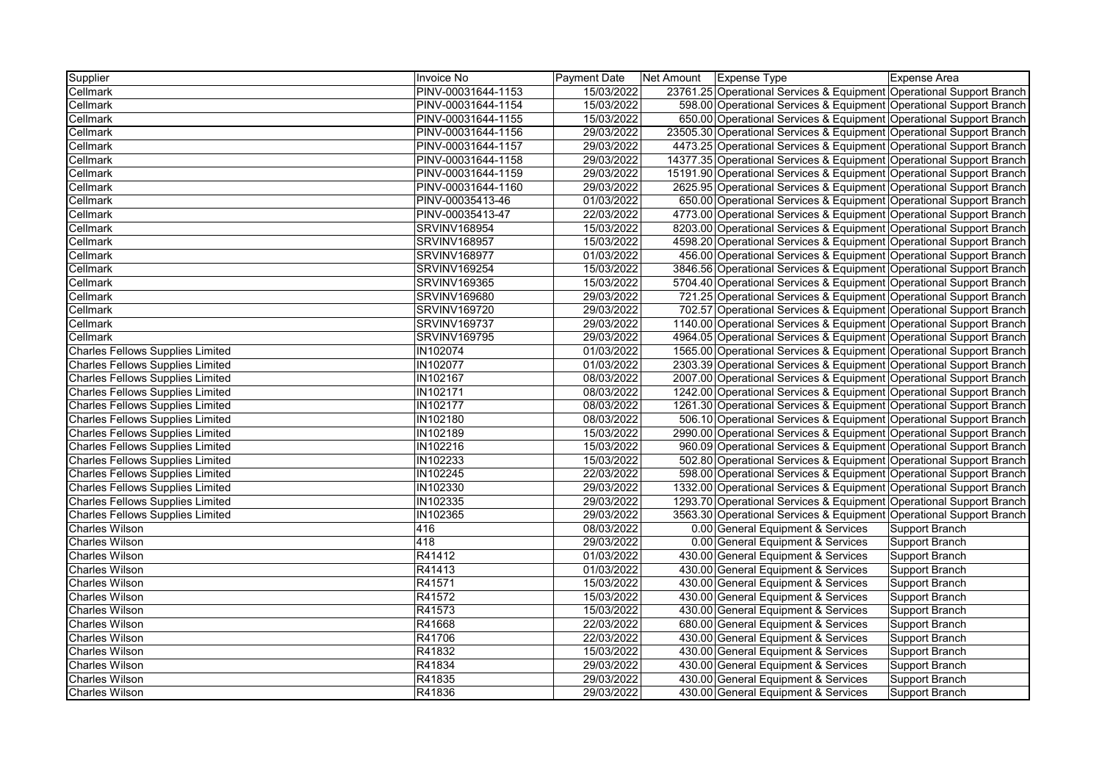| Supplier                                | Invoice No          | Payment Date | Net Amount | <b>Expense Type</b>                                                  | <b>Expense Area</b> |
|-----------------------------------------|---------------------|--------------|------------|----------------------------------------------------------------------|---------------------|
| Cellmark                                | PINV-00031644-1153  | 15/03/2022   |            | 23761.25 Operational Services & Equipment Operational Support Branch |                     |
| Cellmark                                | PINV-00031644-1154  | 15/03/2022   |            | 598.00 Operational Services & Equipment Operational Support Branch   |                     |
| Cellmark                                | PINV-00031644-1155  | 15/03/2022   |            | 650.00 Operational Services & Equipment Operational Support Branch   |                     |
| Cellmark                                | PINV-00031644-1156  | 29/03/2022   |            | 23505.30 Operational Services & Equipment Operational Support Branch |                     |
| Cellmark                                | PINV-00031644-1157  | 29/03/2022   |            | 4473.25 Operational Services & Equipment Operational Support Branch  |                     |
| Cellmark                                | PINV-00031644-1158  | 29/03/2022   |            | 14377.35 Operational Services & Equipment Operational Support Branch |                     |
| Cellmark                                | PINV-00031644-1159  | 29/03/2022   |            | 15191.90 Operational Services & Equipment Operational Support Branch |                     |
| Cellmark                                | PINV-00031644-1160  | 29/03/2022   |            | 2625.95 Operational Services & Equipment Operational Support Branch  |                     |
| Cellmark                                | PINV-00035413-46    | 01/03/2022   |            | 650.00 Operational Services & Equipment Operational Support Branch   |                     |
| Cellmark                                | PINV-00035413-47    | 22/03/2022   |            | 4773.00 Operational Services & Equipment Operational Support Branch  |                     |
| Cellmark                                | <b>SRVINV168954</b> | 15/03/2022   |            | 8203.00 Operational Services & Equipment Operational Support Branch  |                     |
| Cellmark                                | <b>SRVINV168957</b> | 15/03/2022   |            | 4598.20 Operational Services & Equipment Operational Support Branch  |                     |
| Cellmark                                | <b>SRVINV168977</b> | 01/03/2022   |            | 456.00 Operational Services & Equipment Operational Support Branch   |                     |
| Cellmark                                | SRVINV169254        | 15/03/2022   |            | 3846.56 Operational Services & Equipment Operational Support Branch  |                     |
| Cellmark                                | SRVINV169365        | 15/03/2022   |            | 5704.40 Operational Services & Equipment Operational Support Branch  |                     |
| Cellmark                                | <b>SRVINV169680</b> | 29/03/2022   |            | 721.25 Operational Services & Equipment Operational Support Branch   |                     |
| Cellmark                                | <b>SRVINV169720</b> | 29/03/2022   |            | 702.57 Operational Services & Equipment Operational Support Branch   |                     |
| Cellmark                                | <b>SRVINV169737</b> | 29/03/2022   |            | 1140.00 Operational Services & Equipment Operational Support Branch  |                     |
| Cellmark                                | <b>SRVINV169795</b> | 29/03/2022   |            | 4964.05 Operational Services & Equipment Operational Support Branch  |                     |
| <b>Charles Fellows Supplies Limited</b> | <b>IN102074</b>     | 01/03/2022   |            | 1565.00 Operational Services & Equipment Operational Support Branch  |                     |
| <b>Charles Fellows Supplies Limited</b> | <b>IN102077</b>     | 01/03/2022   |            | 2303.39 Operational Services & Equipment Operational Support Branch  |                     |
| <b>Charles Fellows Supplies Limited</b> | IN102167            | 08/03/2022   |            | 2007.00 Operational Services & Equipment Operational Support Branch  |                     |
| <b>Charles Fellows Supplies Limited</b> | IN102171            | 08/03/2022   |            | 1242.00 Operational Services & Equipment Operational Support Branch  |                     |
| <b>Charles Fellows Supplies Limited</b> | <b>IN102177</b>     | 08/03/2022   |            | 1261.30 Operational Services & Equipment Operational Support Branch  |                     |
| <b>Charles Fellows Supplies Limited</b> | IN102180            | 08/03/2022   |            | 506.10 Operational Services & Equipment Operational Support Branch   |                     |
| <b>Charles Fellows Supplies Limited</b> | IN102189            | 15/03/2022   |            | 2990.00 Operational Services & Equipment Operational Support Branch  |                     |
| <b>Charles Fellows Supplies Limited</b> | IN102216            | 15/03/2022   |            | 960.09 Operational Services & Equipment Operational Support Branch   |                     |
| <b>Charles Fellows Supplies Limited</b> | IN102233            | 15/03/2022   |            | 502.80 Operational Services & Equipment Operational Support Branch   |                     |
| <b>Charles Fellows Supplies Limited</b> | IN102245            | 22/03/2022   |            | 598.00 Operational Services & Equipment Operational Support Branch   |                     |
| <b>Charles Fellows Supplies Limited</b> | IN102330            | 29/03/2022   |            | 1332.00 Operational Services & Equipment Operational Support Branch  |                     |
| <b>Charles Fellows Supplies Limited</b> | IN102335            | 29/03/2022   |            | 1293.70 Operational Services & Equipment Operational Support Branch  |                     |
| <b>Charles Fellows Supplies Limited</b> | IN102365            | 29/03/2022   |            | 3563.30 Operational Services & Equipment Operational Support Branch  |                     |
| <b>Charles Wilson</b>                   | 416                 | 08/03/2022   |            | 0.00 General Equipment & Services                                    | Support Branch      |
| <b>Charles Wilson</b>                   | 418                 | 29/03/2022   |            | 0.00 General Equipment & Services                                    | Support Branch      |
| <b>Charles Wilson</b>                   | R41412              | 01/03/2022   |            | 430.00 General Equipment & Services                                  | Support Branch      |
| <b>Charles Wilson</b>                   | R41413              | 01/03/2022   |            | 430.00 General Equipment & Services                                  | Support Branch      |
| <b>Charles Wilson</b>                   | R41571              | 15/03/2022   |            | 430.00 General Equipment & Services                                  | Support Branch      |
| <b>Charles Wilson</b>                   | R41572              | 15/03/2022   |            | 430.00 General Equipment & Services                                  | Support Branch      |
| <b>Charles Wilson</b>                   | R41573              | 15/03/2022   |            | 430.00 General Equipment & Services                                  | Support Branch      |
| <b>Charles Wilson</b>                   | R41668              | 22/03/2022   |            | 680.00 General Equipment & Services                                  | Support Branch      |
| <b>Charles Wilson</b>                   | R41706              | 22/03/2022   |            | 430.00 General Equipment & Services                                  | Support Branch      |
| <b>Charles Wilson</b>                   | R41832              | 15/03/2022   |            | 430.00 General Equipment & Services                                  | Support Branch      |
| <b>Charles Wilson</b>                   | R41834              | 29/03/2022   |            | 430.00 General Equipment & Services                                  | Support Branch      |
| <b>Charles Wilson</b>                   | R41835              | 29/03/2022   |            | 430.00 General Equipment & Services                                  | Support Branch      |
| <b>Charles Wilson</b>                   | R41836              | 29/03/2022   |            | 430.00 General Equipment & Services                                  | Support Branch      |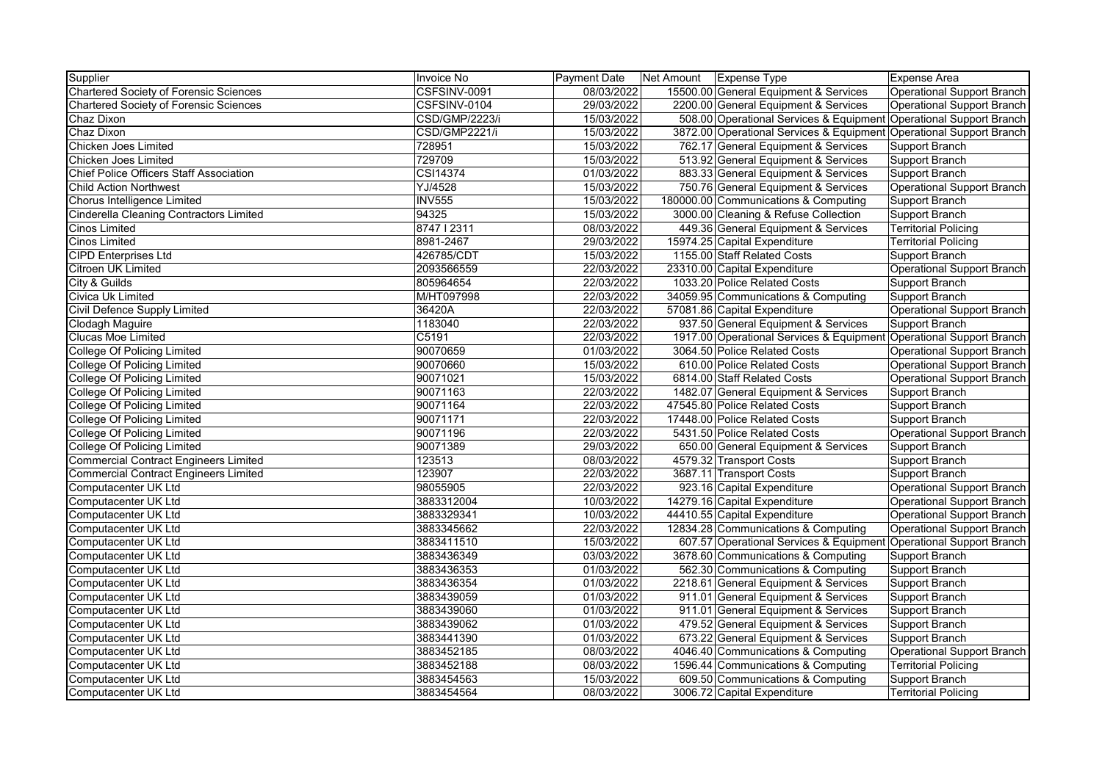| Supplier                                       | Invoice No            | Payment Date | Net Amount   Expense Type                                           | Expense Area                      |
|------------------------------------------------|-----------------------|--------------|---------------------------------------------------------------------|-----------------------------------|
| <b>Chartered Society of Forensic Sciences</b>  | CSFSINV-0091          | 08/03/2022   | 15500.00 General Equipment & Services                               | Operational Support Branch        |
| <b>Chartered Society of Forensic Sciences</b>  | CSFSINV-0104          | 29/03/2022   | 2200.00 General Equipment & Services                                | Operational Support Branch        |
| Chaz Dixon                                     | <b>CSD/GMP/2223/i</b> | 15/03/2022   | 508.00 Operational Services & Equipment Operational Support Branch  |                                   |
| Chaz Dixon                                     | CSD/GMP2221/i         | 15/03/2022   | 3872.00 Operational Services & Equipment Operational Support Branch |                                   |
| Chicken Joes Limited                           | 728951                | 15/03/2022   | 762.17 General Equipment & Services                                 | Support Branch                    |
| Chicken Joes Limited                           | 729709                | 15/03/2022   | 513.92 General Equipment & Services                                 | Support Branch                    |
| <b>Chief Police Officers Staff Association</b> | CSI14374              | 01/03/2022   | 883.33 General Equipment & Services                                 | Support Branch                    |
| <b>Child Action Northwest</b>                  | YJ/4528               | 15/03/2022   | 750.76 General Equipment & Services                                 | Operational Support Branch        |
| Chorus Intelligence Limited                    | <b>INV555</b>         | 15/03/2022   | 180000.00 Communications & Computing                                | Support Branch                    |
| <b>Cinderella Cleaning Contractors Limited</b> | 94325                 | 15/03/2022   | 3000.00 Cleaning & Refuse Collection                                | Support Branch                    |
| <b>Cinos Limited</b>                           | 874712311             | 08/03/2022   | 449.36 General Equipment & Services                                 | <b>Territorial Policing</b>       |
| <b>Cinos Limited</b>                           | 8981-2467             | 29/03/2022   | 15974.25 Capital Expenditure                                        | <b>Territorial Policing</b>       |
| <b>CIPD Enterprises Ltd</b>                    | 426785/CDT            | 15/03/2022   | 1155.00 Staff Related Costs                                         | <b>Support Branch</b>             |
| <b>Citroen UK Limited</b>                      | 2093566559            | 22/03/2022   | 23310.00 Capital Expenditure                                        | Operational Support Branch        |
| City & Guilds                                  | 805964654             | 22/03/2022   | 1033.20 Police Related Costs                                        | Support Branch                    |
| Civica Uk Limited                              | M/HT097998            | 22/03/2022   | 34059.95 Communications & Computing                                 | Support Branch                    |
| Civil Defence Supply Limited                   | 36420A                | 22/03/2022   | 57081.86 Capital Expenditure                                        | <b>Operational Support Branch</b> |
| Clodagh Maguire                                | 1183040               | 22/03/2022   | 937.50 General Equipment & Services                                 | <b>Support Branch</b>             |
| Clucas Moe Limited                             | C5191                 | 22/03/2022   | 1917.00 Operational Services & Equipment                            | <b>Operational Support Branch</b> |
| <b>College Of Policing Limited</b>             | 90070659              | 01/03/2022   | 3064.50 Police Related Costs                                        | Operational Support Branch        |
| <b>College Of Policing Limited</b>             | 90070660              | 15/03/2022   | 610.00 Police Related Costs                                         | <b>Operational Support Branch</b> |
| <b>College Of Policing Limited</b>             | 90071021              | 15/03/2022   | 6814.00 Staff Related Costs                                         | Operational Support Branch        |
| <b>College Of Policing Limited</b>             | 90071163              | 22/03/2022   | 1482.07 General Equipment & Services                                | Support Branch                    |
| <b>College Of Policing Limited</b>             | 90071164              | 22/03/2022   | 47545.80 Police Related Costs                                       | Support Branch                    |
| <b>College Of Policing Limited</b>             | 90071171              | 22/03/2022   | 17448.00 Police Related Costs                                       | Support Branch                    |
| <b>College Of Policing Limited</b>             | 90071196              | 22/03/2022   | 5431.50 Police Related Costs                                        | Operational Support Branch        |
| <b>College Of Policing Limited</b>             | 90071389              | 29/03/2022   | 650.00 General Equipment & Services                                 | Support Branch                    |
| <b>Commercial Contract Engineers Limited</b>   | 123513                | 08/03/2022   | 4579.32 Transport Costs                                             | Support Branch                    |
| <b>Commercial Contract Engineers Limited</b>   | 123907                | 22/03/2022   | 3687.11 Transport Costs                                             | Support Branch                    |
| Computacenter UK Ltd                           | 98055905              | 22/03/2022   | 923.16 Capital Expenditure                                          | <b>Operational Support Branch</b> |
| <b>Computacenter UK Ltd</b>                    | 3883312004            | 10/03/2022   | 14279.16 Capital Expenditure                                        | <b>Operational Support Branch</b> |
| <b>Computacenter UK Ltd</b>                    | 3883329341            | 10/03/2022   | 44410.55 Capital Expenditure                                        | Operational Support Branch        |
| Computacenter UK Ltd                           | 3883345662            | 22/03/2022   | 12834.28 Communications & Computing                                 | <b>Operational Support Branch</b> |
| Computacenter UK Ltd                           | 3883411510            | 15/03/2022   | 607.57 Operational Services & Equipment                             | Operational Support Branch        |
| Computacenter UK Ltd                           | 3883436349            | 03/03/2022   | 3678.60 Communications & Computing                                  | Support Branch                    |
| Computacenter UK Ltd                           | 3883436353            | 01/03/2022   | 562.30 Communications & Computing                                   | Support Branch                    |
| Computacenter UK Ltd                           | 3883436354            | 01/03/2022   | 2218.61 General Equipment & Services                                | Support Branch                    |
| Computacenter UK Ltd                           | 3883439059            | 01/03/2022   | 911.01 General Equipment & Services                                 | Support Branch                    |
| Computacenter UK Ltd                           | 3883439060            | 01/03/2022   | 911.01 General Equipment & Services                                 | Support Branch                    |
| Computacenter UK Ltd                           | 3883439062            | 01/03/2022   | 479.52 General Equipment & Services                                 | Support Branch                    |
| Computacenter UK Ltd                           | 3883441390            | 01/03/2022   | 673.22 General Equipment & Services                                 | Support Branch                    |
| Computacenter UK Ltd                           | 3883452185            | 08/03/2022   | 4046.40 Communications & Computing                                  | Operational Support Branch        |
| Computacenter UK Ltd                           | 3883452188            | 08/03/2022   | 1596.44 Communications & Computing                                  | <b>Territorial Policing</b>       |
| Computacenter UK Ltd                           | 3883454563            | 15/03/2022   | 609.50 Communications & Computing                                   | Support Branch                    |
| Computacenter UK Ltd                           | 3883454564            | 08/03/2022   | 3006.72 Capital Expenditure                                         | <b>Territorial Policing</b>       |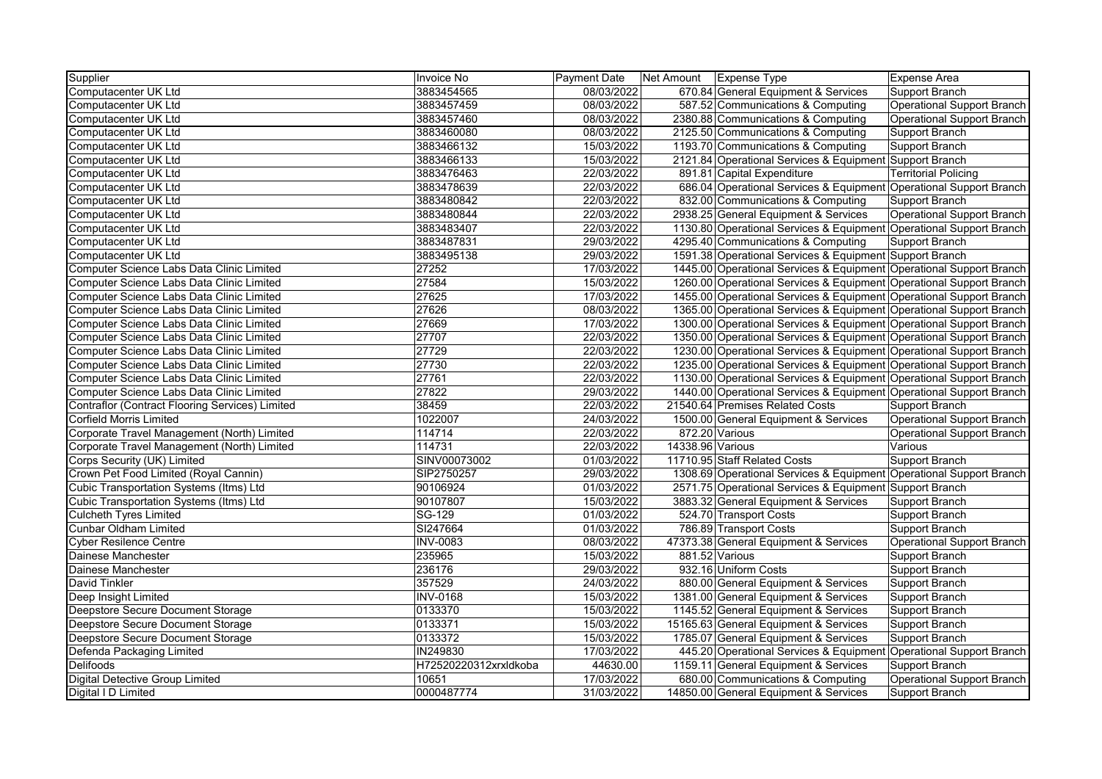| Supplier                                        | Invoice No            | <b>Payment Date</b> | Net Amount   Expense Type |                                                                     | Expense Area                      |
|-------------------------------------------------|-----------------------|---------------------|---------------------------|---------------------------------------------------------------------|-----------------------------------|
| Computacenter UK Ltd                            | 3883454565            | 08/03/2022          |                           | 670.84 General Equipment & Services                                 | Support Branch                    |
| Computacenter UK Ltd                            | 3883457459            | 08/03/2022          |                           | 587.52 Communications & Computing                                   | Operational Support Branch        |
| Computacenter UK Ltd                            | 3883457460            | 08/03/2022          |                           | 2380.88 Communications & Computing                                  | <b>Operational Support Branch</b> |
| Computacenter UK Ltd                            | 3883460080            | 08/03/2022          |                           | 2125.50 Communications & Computing                                  | Support Branch                    |
| Computacenter UK Ltd                            | 3883466132            | 15/03/2022          |                           | 1193.70 Communications & Computing                                  | Support Branch                    |
| Computacenter UK Ltd                            | 3883466133            | 15/03/2022          |                           | 2121.84 Operational Services & Equipment Support Branch             |                                   |
| Computacenter UK Ltd                            | 3883476463            | 22/03/2022          |                           | 891.81 Capital Expenditure                                          | <b>Territorial Policing</b>       |
| Computacenter UK Ltd                            | 3883478639            | 22/03/2022          |                           | 686.04 Operational Services & Equipment Operational Support Branch  |                                   |
| Computacenter UK Ltd                            | 3883480842            | 22/03/2022          |                           | 832.00 Communications & Computing                                   | Support Branch                    |
| Computacenter UK Ltd                            | 3883480844            | 22/03/2022          |                           | 2938.25 General Equipment & Services                                | Operational Support Branch        |
| Computacenter UK Ltd                            | 3883483407            | 22/03/2022          |                           | 1130.80 Operational Services & Equipment Operational Support Branch |                                   |
| Computacenter UK Ltd                            | 3883487831            | 29/03/2022          |                           | 4295.40 Communications & Computing                                  | Support Branch                    |
| Computacenter UK Ltd                            | 3883495138            | 29/03/2022          |                           | 1591.38 Operational Services & Equipment Support Branch             |                                   |
| Computer Science Labs Data Clinic Limited       | 27252                 | 17/03/2022          |                           | 1445.00 Operational Services & Equipment Operational Support Branch |                                   |
| Computer Science Labs Data Clinic Limited       | 27584                 | 15/03/2022          |                           | 1260.00 Operational Services & Equipment Operational Support Branch |                                   |
| Computer Science Labs Data Clinic Limited       | 27625                 | 17/03/2022          |                           | 1455.00 Operational Services & Equipment Operational Support Branch |                                   |
| Computer Science Labs Data Clinic Limited       | 27626                 | 08/03/2022          |                           | 1365.00 Operational Services & Equipment Operational Support Branch |                                   |
| Computer Science Labs Data Clinic Limited       | 27669                 | 17/03/2022          |                           | 1300.00 Operational Services & Equipment Operational Support Branch |                                   |
| Computer Science Labs Data Clinic Limited       | 27707                 | 22/03/2022          |                           | 1350.00 Operational Services & Equipment Operational Support Branch |                                   |
| Computer Science Labs Data Clinic Limited       | 27729                 | 22/03/2022          |                           | 1230.00 Operational Services & Equipment Operational Support Branch |                                   |
| Computer Science Labs Data Clinic Limited       | 27730                 | 22/03/2022          |                           | 1235.00 Operational Services & Equipment Operational Support Branch |                                   |
| Computer Science Labs Data Clinic Limited       | 27761                 | 22/03/2022          |                           | 1130.00 Operational Services & Equipment Operational Support Branch |                                   |
| Computer Science Labs Data Clinic Limited       | 27822                 | 29/03/2022          |                           | 1440.00 Operational Services & Equipment Operational Support Branch |                                   |
| Contraflor (Contract Flooring Services) Limited | 38459                 | 22/03/2022          |                           | 21540.64 Premises Related Costs                                     | Support Branch                    |
| <b>Corfield Morris Limited</b>                  | 1022007               | 24/03/2022          |                           | 1500.00 General Equipment & Services                                | Operational Support Branch        |
| Corporate Travel Management (North) Limited     | 114714                | 22/03/2022          |                           | 872.20 Various                                                      | Operational Support Branch        |
| Corporate Travel Management (North) Limited     | 114731                | 22/03/2022          | 14338.96 Various          |                                                                     | Various                           |
| Corps Security (UK) Limited                     | SINV00073002          | 01/03/2022          |                           | 11710.95 Staff Related Costs                                        | Support Branch                    |
| Crown Pet Food Limited (Royal Cannin)           | SIP2750257            | 29/03/2022          |                           | 1308.69 Operational Services & Equipment Operational Support Branch |                                   |
| Cubic Transportation Systems (Itms) Ltd         | 90106924              | 01/03/2022          |                           | 2571.75 Operational Services & Equipment Support Branch             |                                   |
| Cubic Transportation Systems (Itms) Ltd         | 90107807              | 15/03/2022          |                           | 3883.32 General Equipment & Services                                | Support Branch                    |
| <b>Culcheth Tyres Limited</b>                   | SG-129                | 01/03/2022          |                           | 524.70 Transport Costs                                              | Support Branch                    |
| <b>Cunbar Oldham Limited</b>                    | SI247664              | 01/03/2022          |                           | 786.89 Transport Costs                                              | Support Branch                    |
| <b>Cyber Resilence Centre</b>                   | <b>INV-0083</b>       | 08/03/2022          |                           | 47373.38 General Equipment & Services                               | Operational Support Branch        |
| Dainese Manchester                              | 235965                | 15/03/2022          |                           | 881.52 Various                                                      | Support Branch                    |
| Dainese Manchester                              | 236176                | 29/03/2022          |                           | 932.16 Uniform Costs                                                | Support Branch                    |
| <b>David Tinkler</b>                            | 357529                | 24/03/2022          |                           | 880.00 General Equipment & Services                                 | Support Branch                    |
| Deep Insight Limited                            | <b>INV-0168</b>       | 15/03/2022          |                           | 1381.00 General Equipment & Services                                | Support Branch                    |
| Deepstore Secure Document Storage               | 0133370               | 15/03/2022          |                           | 1145.52 General Equipment & Services                                | Support Branch                    |
| Deepstore Secure Document Storage               | 0133371               | 15/03/2022          |                           | 15165.63 General Equipment & Services                               | Support Branch                    |
| Deepstore Secure Document Storage               | 0133372               | 15/03/2022          |                           | 1785.07 General Equipment & Services                                | Support Branch                    |
| Defenda Packaging Limited                       | IN249830              | 17/03/2022          |                           | 445.20 Operational Services & Equipment Operational Support Branch  |                                   |
| <b>Delifoods</b>                                | H72520220312xrxldkoba | 44630.00            |                           | 1159.11 General Equipment & Services                                | Support Branch                    |
| <b>Digital Detective Group Limited</b>          | 10651                 | 17/03/2022          |                           | 680.00 Communications & Computing                                   | Operational Support Branch        |
| Digital I D Limited                             | 0000487774            | 31/03/2022          |                           | 14850.00 General Equipment & Services                               | Support Branch                    |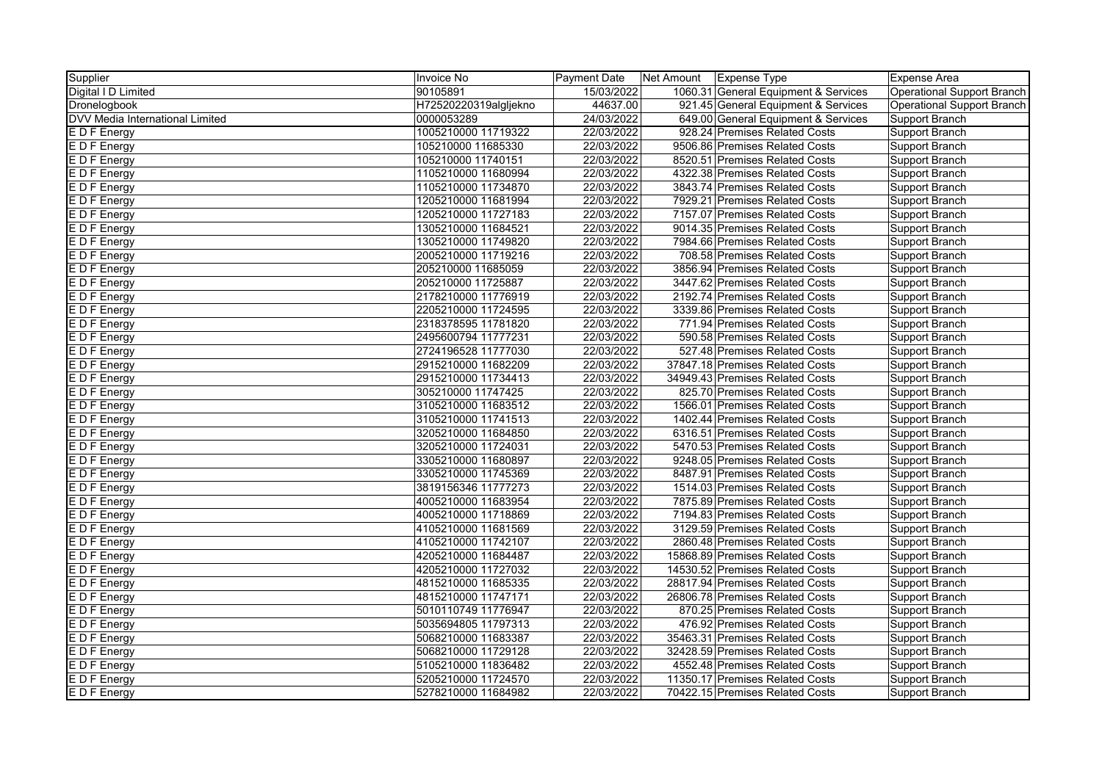| Supplier                        | Invoice No            | Payment Date | Net Amount | <b>Expense Type</b>                  | <b>Expense Area</b>               |
|---------------------------------|-----------------------|--------------|------------|--------------------------------------|-----------------------------------|
| Digital I D Limited             | 90105891              | 15/03/2022   |            | 1060.31 General Equipment & Services | Operational Support Branch        |
| Dronelogbook                    | H72520220319algljekno | 44637.00     |            | 921.45 General Equipment & Services  | <b>Operational Support Branch</b> |
| DVV Media International Limited | 0000053289            | 24/03/2022   |            | 649.00 General Equipment & Services  | <b>Support Branch</b>             |
| E D F Energy                    | 1005210000 11719322   | 22/03/2022   |            | 928.24 Premises Related Costs        | <b>Support Branch</b>             |
| E D F Energy                    | 105210000 11685330    | 22/03/2022   |            | 9506.86 Premises Related Costs       | Support Branch                    |
| E D F Energy                    | 105210000 11740151    | 22/03/2022   |            | 8520.51 Premises Related Costs       | Support Branch                    |
| E D F Energy                    | 1105210000 11680994   | 22/03/2022   |            | 4322.38 Premises Related Costs       | Support Branch                    |
| E D F Energy                    | 1105210000 11734870   | 22/03/2022   |            | 3843.74 Premises Related Costs       | Support Branch                    |
| E D F Energy                    | 1205210000 11681994   | 22/03/2022   |            | 7929.21 Premises Related Costs       | <b>Support Branch</b>             |
| E D F Energy                    | 1205210000 11727183   | 22/03/2022   |            | 7157.07 Premises Related Costs       | <b>Support Branch</b>             |
| E D F Energy                    | 1305210000 11684521   | 22/03/2022   |            | 9014.35 Premises Related Costs       | <b>Support Branch</b>             |
| E D F Energy                    | 1305210000 11749820   | 22/03/2022   |            | 7984.66 Premises Related Costs       | Support Branch                    |
| E D F Energy                    | 2005210000 11719216   | 22/03/2022   |            | 708.58 Premises Related Costs        | <b>Support Branch</b>             |
| <b>EDF</b> Energy               | 205210000 11685059    | 22/03/2022   |            | 3856.94 Premises Related Costs       | Support Branch                    |
| <b>EDF</b> Energy               | 205210000 11725887    | 22/03/2022   |            | 3447.62 Premises Related Costs       | Support Branch                    |
| E D F Energy                    | 2178210000 11776919   | 22/03/2022   |            | 2192.74 Premises Related Costs       | Support Branch                    |
| E D F Energy                    | 2205210000 11724595   | 22/03/2022   |            | 3339.86 Premises Related Costs       | Support Branch                    |
| E D F Energy                    | 2318378595 11781820   | 22/03/2022   |            | 771.94 Premises Related Costs        | <b>Support Branch</b>             |
| E D F Energy                    | 2495600794 11777231   | 22/03/2022   |            | 590.58 Premises Related Costs        | Support Branch                    |
| E D F Energy                    | 2724196528 11777030   | 22/03/2022   |            | 527.48 Premises Related Costs        | <b>Support Branch</b>             |
| <b>EDF</b> Energy               | 2915210000 11682209   | 22/03/2022   |            | 37847.18 Premises Related Costs      | Support Branch                    |
| <b>EDF</b> Energy               | 2915210000 11734413   | 22/03/2022   |            | 34949.43 Premises Related Costs      | Support Branch                    |
| E D F Energy                    | 305210000 11747425    | 22/03/2022   |            | 825.70 Premises Related Costs        | <b>Support Branch</b>             |
| E D F Energy                    | 3105210000 11683512   | 22/03/2022   |            | 1566.01 Premises Related Costs       | Support Branch                    |
| E D F Energy                    | 3105210000 11741513   | 22/03/2022   |            | 1402.44 Premises Related Costs       | Support Branch                    |
| E D F Energy                    | 3205210000 11684850   | 22/03/2022   |            | 6316.51 Premises Related Costs       | Support Branch                    |
| E D F Energy                    | 3205210000 11724031   | 22/03/2022   |            | 5470.53 Premises Related Costs       | Support Branch                    |
| E D F Energy                    | 3305210000 11680897   | 22/03/2022   |            | 9248.05 Premises Related Costs       | Support Branch                    |
| E D F Energy                    | 3305210000 11745369   | 22/03/2022   |            | 8487.91 Premises Related Costs       | Support Branch                    |
| <b>EDFEnergy</b>                | 3819156346 11777273   | 22/03/2022   |            | 1514.03 Premises Related Costs       | Support Branch                    |
| E D F Energy                    | 4005210000 11683954   | 22/03/2022   |            | 7875.89 Premises Related Costs       | <b>Support Branch</b>             |
| E D F Energy                    | 4005210000 11718869   | 22/03/2022   |            | 7194.83 Premises Related Costs       | <b>Support Branch</b>             |
| E D F Energy                    | 4105210000 11681569   | 22/03/2022   |            | 3129.59 Premises Related Costs       | Support Branch                    |
| E D F Energy                    | 4105210000 11742107   | 22/03/2022   |            | 2860.48 Premises Related Costs       | Support Branch                    |
| <b>EDF</b> Energy               | 4205210000 11684487   | 22/03/2022   |            | 15868.89 Premises Related Costs      | Support Branch                    |
| E D F Energy                    | 4205210000 11727032   | 22/03/2022   |            | 14530.52 Premises Related Costs      | Support Branch                    |
| E D F Energy                    | 4815210000 11685335   | 22/03/2022   |            | 28817.94 Premises Related Costs      | Support Branch                    |
| E D F Energy                    | 4815210000 11747171   | 22/03/2022   |            | 26806.78 Premises Related Costs      | Support Branch                    |
| E D F Energy                    | 5010110749 11776947   | 22/03/2022   |            | 870.25 Premises Related Costs        | <b>Support Branch</b>             |
| E D F Energy                    | 5035694805 11797313   | 22/03/2022   |            | 476.92 Premises Related Costs        | Support Branch                    |
| E D F Energy                    | 5068210000 11683387   | 22/03/2022   |            | 35463.31 Premises Related Costs      | Support Branch                    |
| E D F Energy                    | 5068210000 11729128   | 22/03/2022   |            | 32428.59 Premises Related Costs      | <b>Support Branch</b>             |
| E D F Energy                    | 5105210000 11836482   | 22/03/2022   |            | 4552.48 Premises Related Costs       | Support Branch                    |
| E D F Energy                    | 5205210000 11724570   | 22/03/2022   |            | 11350.17 Premises Related Costs      | Support Branch                    |
| E D F Energy                    | 5278210000 11684982   | 22/03/2022   |            | 70422.15 Premises Related Costs      | <b>Support Branch</b>             |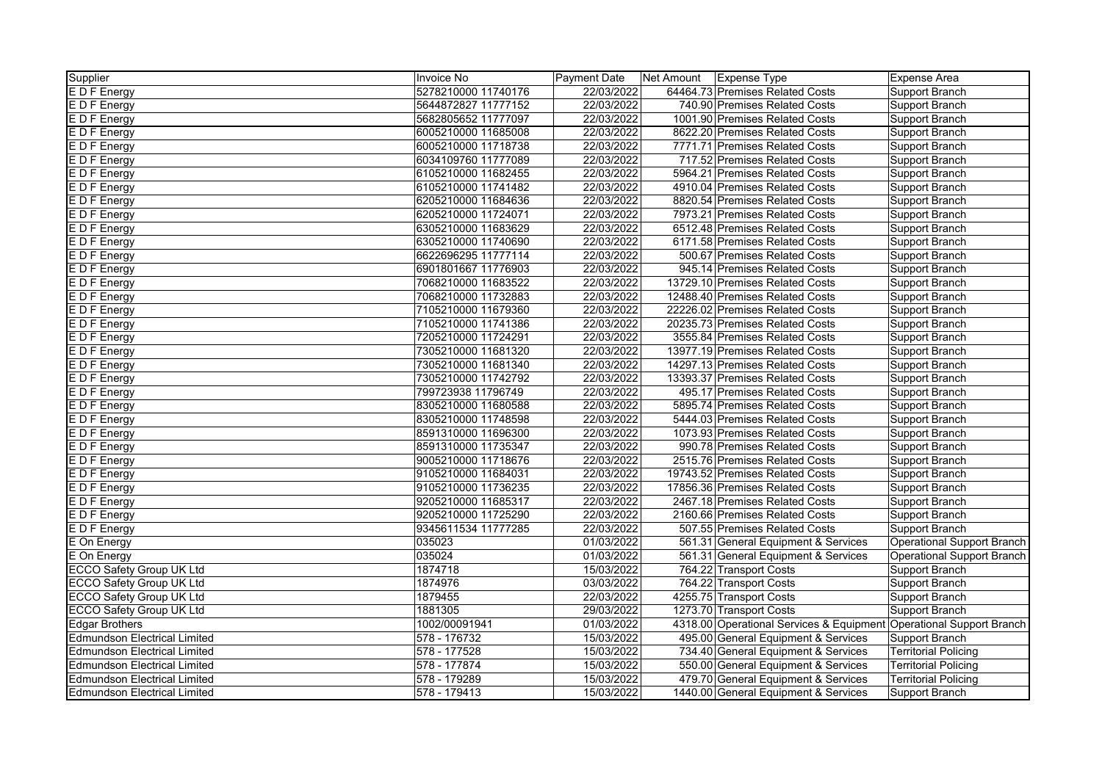| Supplier                            | Invoice No          | <b>Payment Date</b> | Net Amount   Expense Type |                                                                     | <b>Expense Area</b>         |
|-------------------------------------|---------------------|---------------------|---------------------------|---------------------------------------------------------------------|-----------------------------|
| E D F Energy                        | 5278210000 11740176 | 22/03/2022          |                           | 64464.73 Premises Related Costs                                     | Support Branch              |
| E D F Energy                        | 5644872827 11777152 | 22/03/2022          |                           | 740.90 Premises Related Costs                                       | Support Branch              |
| E D F Energy                        | 5682805652 11777097 | 22/03/2022          |                           | 1001.90 Premises Related Costs                                      | Support Branch              |
| E D F Energy                        | 6005210000 11685008 | 22/03/2022          |                           | 8622.20 Premises Related Costs                                      | Support Branch              |
| E D F Energy                        | 6005210000 11718738 | 22/03/2022          |                           | 7771.71 Premises Related Costs                                      | Support Branch              |
| E D F Energy                        | 6034109760 11777089 | 22/03/2022          |                           | 717.52 Premises Related Costs                                       | Support Branch              |
| E D F Energy                        | 6105210000 11682455 | 22/03/2022          |                           | 5964.21 Premises Related Costs                                      | Support Branch              |
| E D F Energy                        | 6105210000 11741482 | 22/03/2022          |                           | 4910.04 Premises Related Costs                                      | Support Branch              |
| E D F Energy                        | 6205210000 11684636 | 22/03/2022          |                           | 8820.54 Premises Related Costs                                      | Support Branch              |
| E D F Energy                        | 6205210000 11724071 | 22/03/2022          |                           | 7973.21 Premises Related Costs                                      | Support Branch              |
| E D F Energy                        | 6305210000 11683629 | 22/03/2022          |                           | 6512.48 Premises Related Costs                                      | Support Branch              |
| E D F Energy                        | 6305210000 11740690 | 22/03/2022          |                           | 6171.58 Premises Related Costs                                      | Support Branch              |
| E D F Energy                        | 6622696295 11777114 | 22/03/2022          |                           | 500.67 Premises Related Costs                                       | Support Branch              |
| E D F Energy                        | 6901801667 11776903 | 22/03/2022          |                           | 945.14 Premises Related Costs                                       | Support Branch              |
| E D F Energy                        | 7068210000 11683522 | 22/03/2022          |                           | 13729.10 Premises Related Costs                                     | Support Branch              |
| E D F Energy                        | 7068210000 11732883 | 22/03/2022          |                           | 12488.40 Premises Related Costs                                     | Support Branch              |
| E D F Energy                        | 7105210000 11679360 | 22/03/2022          |                           | 22226.02 Premises Related Costs                                     | Support Branch              |
| E D F Energy                        | 7105210000 11741386 | 22/03/2022          |                           | 20235.73 Premises Related Costs                                     | Support Branch              |
| EDF Energy                          | 7205210000 11724291 | 22/03/2022          |                           | 3555.84 Premises Related Costs                                      | Support Branch              |
| E D F Energy                        | 7305210000 11681320 | 22/03/2022          |                           | 13977.19 Premises Related Costs                                     | Support Branch              |
| E D F Energy                        | 7305210000 11681340 | 22/03/2022          |                           | 14297.13 Premises Related Costs                                     | Support Branch              |
| E D F Energy                        | 7305210000 11742792 | 22/03/2022          |                           | 13393.37 Premises Related Costs                                     | Support Branch              |
| <b>EDF</b> Energy                   | 799723938 11796749  | 22/03/2022          |                           | 495.17 Premises Related Costs                                       | Support Branch              |
| E D F Energy                        | 8305210000 11680588 | 22/03/2022          |                           | 5895.74 Premises Related Costs                                      | Support Branch              |
| E D F Energy                        | 8305210000 11748598 | 22/03/2022          |                           | 5444.03 Premises Related Costs                                      | Support Branch              |
| E D F Energy                        | 8591310000 11696300 | 22/03/2022          |                           | 1073.93 Premises Related Costs                                      | Support Branch              |
| E D F Energy                        | 8591310000 11735347 | 22/03/2022          |                           | 990.78 Premises Related Costs                                       | Support Branch              |
| E D F Energy                        | 9005210000 11718676 | 22/03/2022          |                           | 2515.76 Premises Related Costs                                      | Support Branch              |
| E D F Energy                        | 9105210000 11684031 | 22/03/2022          |                           | 19743.52 Premises Related Costs                                     | Support Branch              |
| E D F Energy                        | 9105210000 11736235 | 22/03/2022          |                           | 17856.36 Premises Related Costs                                     | Support Branch              |
| <b>EDF</b> Energy                   | 9205210000 11685317 | 22/03/2022          |                           | 2467.18 Premises Related Costs                                      | Support Branch              |
| E D F Energy                        | 9205210000 11725290 | 22/03/2022          |                           | 2160.66 Premises Related Costs                                      | Support Branch              |
| E D F Energy                        | 9345611534 11777285 | 22/03/2022          |                           | 507.55 Premises Related Costs                                       | Support Branch              |
| E On Energy                         | 035023              | 01/03/2022          |                           | 561.31 General Equipment & Services                                 | Operational Support Branch  |
| E On Energy                         | 035024              | 01/03/2022          |                           | 561.31 General Equipment & Services                                 | Operational Support Branch  |
| ECCO Safety Group UK Ltd            | 1874718             | 15/03/2022          |                           | 764.22 Transport Costs                                              | Support Branch              |
| <b>ECCO Safety Group UK Ltd</b>     | 1874976             | 03/03/2022          |                           | 764.22 Transport Costs                                              | Support Branch              |
| ECCO Safety Group UK Ltd            | 1879455             | 22/03/2022          |                           | 4255.75 Transport Costs                                             | Support Branch              |
| ECCO Safety Group UK Ltd            | 1881305             | 29/03/2022          |                           | 1273.70 Transport Costs                                             | Support Branch              |
| <b>Edgar Brothers</b>               | 1002/00091941       | 01/03/2022          |                           | 4318.00 Operational Services & Equipment Operational Support Branch |                             |
| <b>Edmundson Electrical Limited</b> | 578 - 176732        | 15/03/2022          |                           | 495.00 General Equipment & Services                                 | Support Branch              |
| <b>Edmundson Electrical Limited</b> | 578 - 177528        | 15/03/2022          |                           | 734.40 General Equipment & Services                                 | <b>Territorial Policing</b> |
| <b>Edmundson Electrical Limited</b> | 578 - 177874        | 15/03/2022          |                           | 550.00 General Equipment & Services                                 | Territorial Policing        |
| <b>Edmundson Electrical Limited</b> | 578 - 179289        | 15/03/2022          |                           | 479.70 General Equipment & Services                                 | <b>Territorial Policing</b> |
| <b>Edmundson Electrical Limited</b> | 578 - 179413        | 15/03/2022          |                           | 1440.00 General Equipment & Services                                | Support Branch              |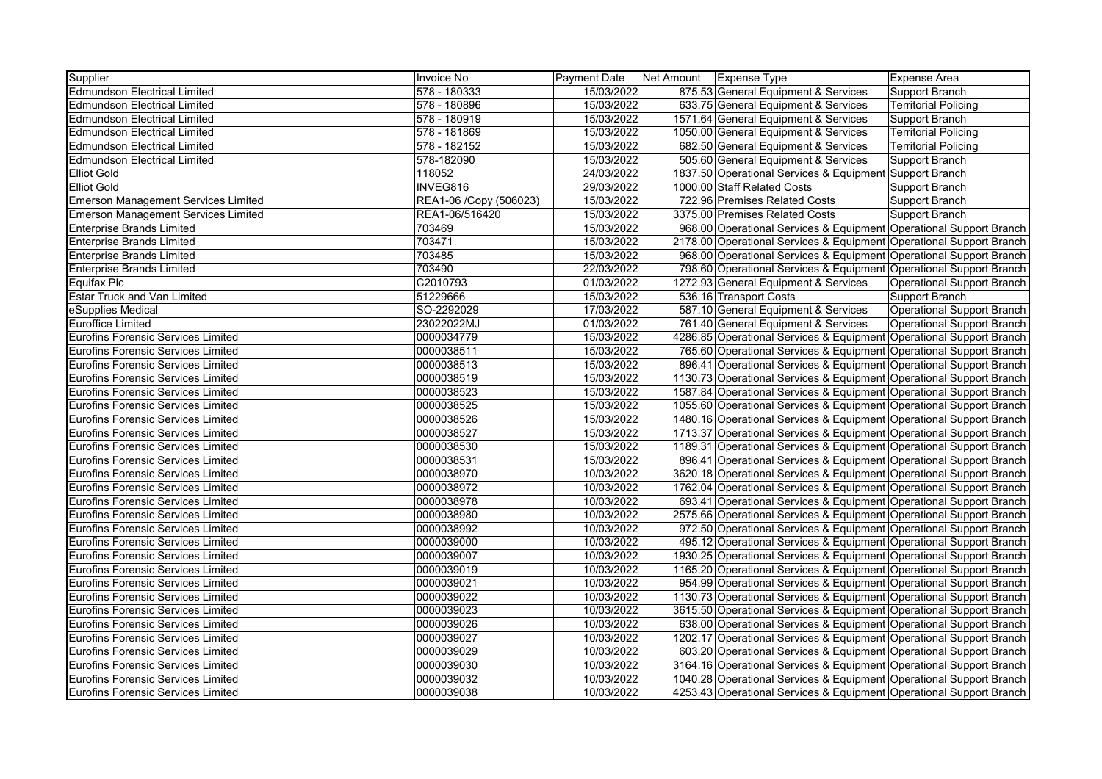| Supplier                                   | Invoice No             | <b>Payment Date</b> | Net Amount   Expense Type                                           | Expense Area                |
|--------------------------------------------|------------------------|---------------------|---------------------------------------------------------------------|-----------------------------|
| <b>Edmundson Electrical Limited</b>        | 578 - 180333           | 15/03/2022          | 875.53 General Equipment & Services                                 | Support Branch              |
| <b>Edmundson Electrical Limited</b>        | 578 - 180896           | 15/03/2022          | 633.75 General Equipment & Services                                 | <b>Territorial Policing</b> |
| <b>Edmundson Electrical Limited</b>        | 578 - 180919           | 15/03/2022          | 1571.64 General Equipment & Services                                | Support Branch              |
| <b>Edmundson Electrical Limited</b>        | 578 - 181869           | 15/03/2022          | 1050.00 General Equipment & Services                                | <b>Territorial Policing</b> |
| <b>Edmundson Electrical Limited</b>        | 578 - 182152           | 15/03/2022          | 682.50 General Equipment & Services                                 | <b>Territorial Policing</b> |
| <b>Edmundson Electrical Limited</b>        | 578-182090             | 15/03/2022          | 505.60 General Equipment & Services                                 | Support Branch              |
| <b>Elliot Gold</b>                         | 118052                 | 24/03/2022          | 1837.50 Operational Services & Equipment Support Branch             |                             |
| <b>Elliot Gold</b>                         | INVEG816               | 29/03/2022          | 1000.00 Staff Related Costs                                         | Support Branch              |
| <b>Emerson Management Services Limited</b> | REA1-06 /Copy (506023) | 15/03/2022          | 722.96 Premises Related Costs                                       | Support Branch              |
| <b>Emerson Management Services Limited</b> | REA1-06/516420         | 15/03/2022          | 3375.00 Premises Related Costs                                      | Support Branch              |
| <b>Enterprise Brands Limited</b>           | 703469                 | 15/03/2022          | 968.00 Operational Services & Equipment Operational Support Branch  |                             |
| <b>Enterprise Brands Limited</b>           | 703471                 | 15/03/2022          | 2178.00 Operational Services & Equipment Operational Support Branch |                             |
| <b>Enterprise Brands Limited</b>           | 703485                 | 15/03/2022          | 968.00 Operational Services & Equipment Operational Support Branch  |                             |
| <b>Enterprise Brands Limited</b>           | 703490                 | 22/03/2022          | 798.60 Operational Services & Equipment Operational Support Branch  |                             |
| Equifax Plc                                | C2010793               | 01/03/2022          | 1272.93 General Equipment & Services                                | Operational Support Branch  |
| <b>Estar Truck and Van Limited</b>         | 51229666               | 15/03/2022          | 536.16 Transport Costs                                              | Support Branch              |
| eSupplies Medical                          | SO-2292029             | 17/03/2022          | 587.10 General Equipment & Services                                 | Operational Support Branch  |
| <b>Euroffice Limited</b>                   | 23022022MJ             | 01/03/2022          | 761.40 General Equipment & Services                                 | Operational Support Branch  |
| Eurofins Forensic Services Limited         | 0000034779             | 15/03/2022          | 4286.85 Operational Services & Equipment Operational Support Branch |                             |
| Eurofins Forensic Services Limited         | 0000038511             | 15/03/2022          | 765.60 Operational Services & Equipment Operational Support Branch  |                             |
| <b>Eurofins Forensic Services Limited</b>  | 0000038513             | 15/03/2022          | 896.41 Operational Services & Equipment Operational Support Branch  |                             |
| Eurofins Forensic Services Limited         | 0000038519             | 15/03/2022          | 1130.73 Operational Services & Equipment Operational Support Branch |                             |
| <b>Eurofins Forensic Services Limited</b>  | 0000038523             | 15/03/2022          | 1587.84 Operational Services & Equipment Operational Support Branch |                             |
| <b>Eurofins Forensic Services Limited</b>  | 0000038525             | 15/03/2022          | 1055.60 Operational Services & Equipment Operational Support Branch |                             |
| <b>Eurofins Forensic Services Limited</b>  | 0000038526             | 15/03/2022          | 1480.16 Operational Services & Equipment Operational Support Branch |                             |
| Eurofins Forensic Services Limited         | 0000038527             | 15/03/2022          | 1713.37 Operational Services & Equipment Operational Support Branch |                             |
| <b>Eurofins Forensic Services Limited</b>  | 0000038530             | 15/03/2022          | 1189.31 Operational Services & Equipment Operational Support Branch |                             |
| <b>Eurofins Forensic Services Limited</b>  | 0000038531             | 15/03/2022          | 896.41 Operational Services & Equipment Operational Support Branch  |                             |
| Eurofins Forensic Services Limited         | 0000038970             | 10/03/2022          | 3620.18 Operational Services & Equipment Operational Support Branch |                             |
| Eurofins Forensic Services Limited         | 0000038972             | 10/03/2022          | 1762.04 Operational Services & Equipment Operational Support Branch |                             |
| Eurofins Forensic Services Limited         | 0000038978             | 10/03/2022          | 693.41 Operational Services & Equipment Operational Support Branch  |                             |
| <b>Eurofins Forensic Services Limited</b>  | 0000038980             | 10/03/2022          | 2575.66 Operational Services & Equipment Operational Support Branch |                             |
| <b>Eurofins Forensic Services Limited</b>  | 0000038992             | 10/03/2022          | 972.50 Operational Services & Equipment Operational Support Branch  |                             |
| Eurofins Forensic Services Limited         | 0000039000             | 10/03/2022          | 495.12 Operational Services & Equipment Operational Support Branch  |                             |
| <b>Eurofins Forensic Services Limited</b>  | 0000039007             | 10/03/2022          | 1930.25 Operational Services & Equipment Operational Support Branch |                             |
| Eurofins Forensic Services Limited         | 0000039019             | 10/03/2022          | 1165.20 Operational Services & Equipment Operational Support Branch |                             |
| Eurofins Forensic Services Limited         | 0000039021             | 10/03/2022          | 954.99 Operational Services & Equipment Operational Support Branch  |                             |
| Eurofins Forensic Services Limited         | 0000039022             | 10/03/2022          | 1130.73 Operational Services & Equipment Operational Support Branch |                             |
| Eurofins Forensic Services Limited         | 0000039023             | 10/03/2022          | 3615.50 Operational Services & Equipment Operational Support Branch |                             |
| <b>Eurofins Forensic Services Limited</b>  | 0000039026             | 10/03/2022          | 638.00 Operational Services & Equipment Operational Support Branch  |                             |
| <b>Eurofins Forensic Services Limited</b>  | 0000039027             | 10/03/2022          | 1202.17 Operational Services & Equipment Operational Support Branch |                             |
| <b>Eurofins Forensic Services Limited</b>  | 0000039029             | 10/03/2022          | 603.20 Operational Services & Equipment Operational Support Branch  |                             |
| <b>Eurofins Forensic Services Limited</b>  | 0000039030             | 10/03/2022          | 3164.16 Operational Services & Equipment Operational Support Branch |                             |
| Eurofins Forensic Services Limited         | 0000039032             | 10/03/2022          | 1040.28 Operational Services & Equipment Operational Support Branch |                             |
| Eurofins Forensic Services Limited         | 0000039038             | 10/03/2022          | 4253.43 Operational Services & Equipment Operational Support Branch |                             |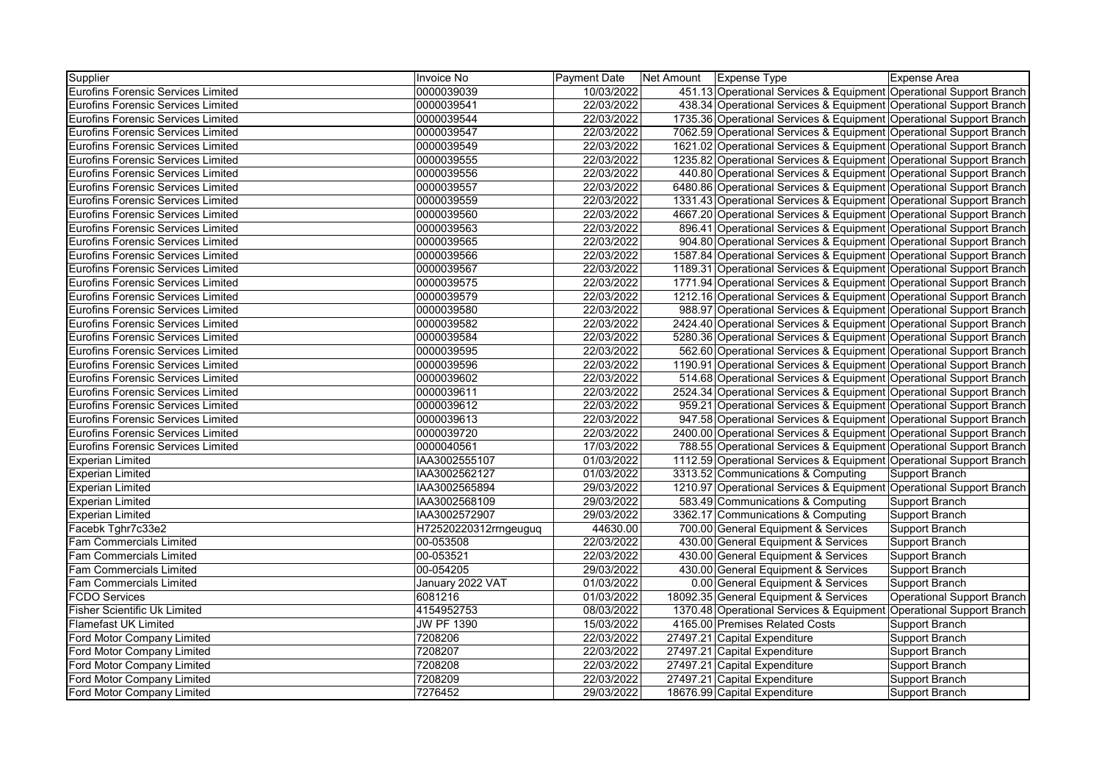| Supplier                                  | Invoice No            | Payment Date | Net Amount   Expense Type                                           | <b>Expense Area</b>        |
|-------------------------------------------|-----------------------|--------------|---------------------------------------------------------------------|----------------------------|
| <b>Eurofins Forensic Services Limited</b> | 0000039039            | 10/03/2022   | 451.13 Operational Services & Equipment Operational Support Branch  |                            |
| <b>Eurofins Forensic Services Limited</b> | 0000039541            | 22/03/2022   | 438.34 Operational Services & Equipment Operational Support Branch  |                            |
| <b>Eurofins Forensic Services Limited</b> | 0000039544            | 22/03/2022   | 1735.36 Operational Services & Equipment Operational Support Branch |                            |
| <b>Eurofins Forensic Services Limited</b> | 0000039547            | 22/03/2022   | 7062.59 Operational Services & Equipment Operational Support Branch |                            |
| <b>Eurofins Forensic Services Limited</b> | 0000039549            | 22/03/2022   | 1621.02 Operational Services & Equipment Operational Support Branch |                            |
| Eurofins Forensic Services Limited        | 0000039555            | 22/03/2022   | 1235.82 Operational Services & Equipment Operational Support Branch |                            |
| Eurofins Forensic Services Limited        | 0000039556            | 22/03/2022   | 440.80 Operational Services & Equipment Operational Support Branch  |                            |
| Eurofins Forensic Services Limited        | 0000039557            | 22/03/2022   | 6480.86 Operational Services & Equipment Operational Support Branch |                            |
| Eurofins Forensic Services Limited        | 0000039559            | 22/03/2022   | 1331.43 Operational Services & Equipment Operational Support Branch |                            |
| Eurofins Forensic Services Limited        | 0000039560            | 22/03/2022   | 4667.20 Operational Services & Equipment Operational Support Branch |                            |
| <b>Eurofins Forensic Services Limited</b> | 0000039563            | 22/03/2022   | 896.41 Operational Services & Equipment Operational Support Branch  |                            |
| <b>Eurofins Forensic Services Limited</b> | 0000039565            | 22/03/2022   | 904.80 Operational Services & Equipment Operational Support Branch  |                            |
| <b>Eurofins Forensic Services Limited</b> | 0000039566            | 22/03/2022   | 1587.84 Operational Services & Equipment Operational Support Branch |                            |
| <b>Eurofins Forensic Services Limited</b> | 0000039567            | 22/03/2022   | 1189.31 Operational Services & Equipment Operational Support Branch |                            |
| <b>Eurofins Forensic Services Limited</b> | 0000039575            | 22/03/2022   | 1771.94 Operational Services & Equipment Operational Support Branch |                            |
| <b>Eurofins Forensic Services Limited</b> | 0000039579            | 22/03/2022   | 1212.16 Operational Services & Equipment Operational Support Branch |                            |
| Eurofins Forensic Services Limited        | 0000039580            | 22/03/2022   | 988.97 Operational Services & Equipment Operational Support Branch  |                            |
| <b>Eurofins Forensic Services Limited</b> | 0000039582            | 22/03/2022   | 2424.40 Operational Services & Equipment Operational Support Branch |                            |
| <b>Eurofins Forensic Services Limited</b> | 0000039584            | 22/03/2022   | 5280.36 Operational Services & Equipment Operational Support Branch |                            |
| Eurofins Forensic Services Limited        | 0000039595            | 22/03/2022   | 562.60 Operational Services & Equipment Operational Support Branch  |                            |
| <b>Eurofins Forensic Services Limited</b> | 0000039596            | 22/03/2022   | 1190.91 Operational Services & Equipment Operational Support Branch |                            |
| Eurofins Forensic Services Limited        | 0000039602            | 22/03/2022   | 514.68 Operational Services & Equipment Operational Support Branch  |                            |
| Eurofins Forensic Services Limited        | 0000039611            | 22/03/2022   | 2524.34 Operational Services & Equipment Operational Support Branch |                            |
| <b>Eurofins Forensic Services Limited</b> | 0000039612            | 22/03/2022   | 959.21 Operational Services & Equipment Operational Support Branch  |                            |
| <b>Eurofins Forensic Services Limited</b> | 0000039613            | 22/03/2022   | 947.58 Operational Services & Equipment Operational Support Branch  |                            |
| <b>Eurofins Forensic Services Limited</b> | 0000039720            | 22/03/2022   | 2400.00 Operational Services & Equipment Operational Support Branch |                            |
| <b>Eurofins Forensic Services Limited</b> | 0000040561            | 17/03/2022   | 788.55 Operational Services & Equipment Operational Support Branch  |                            |
| <b>Experian Limited</b>                   | IAA3002555107         | 01/03/2022   | 1112.59 Operational Services & Equipment Operational Support Branch |                            |
| <b>Experian Limited</b>                   | IAA3002562127         | 01/03/2022   | 3313.52 Communications & Computing                                  | Support Branch             |
| <b>Experian Limited</b>                   | IAA3002565894         | 29/03/2022   | 1210.97 Operational Services & Equipment Operational Support Branch |                            |
| <b>Experian Limited</b>                   | IAA3002568109         | 29/03/2022   | 583.49 Communications & Computing                                   | Support Branch             |
| <b>Experian Limited</b>                   | IAA3002572907         | 29/03/2022   | 3362.17 Communications & Computing                                  | Support Branch             |
| Facebk Tghr7c33e2                         | H72520220312rrngeuguq | 44630.00     | 700.00 General Equipment & Services                                 | Support Branch             |
| <b>Fam Commercials Limited</b>            | 00-053508             | 22/03/2022   | 430.00 General Equipment & Services                                 | Support Branch             |
| <b>Fam Commercials Limited</b>            | 00-053521             | 22/03/2022   | 430.00 General Equipment & Services                                 | Support Branch             |
| <b>Fam Commercials Limited</b>            | 00-054205             | 29/03/2022   | 430.00 General Equipment & Services                                 | Support Branch             |
| Fam Commercials Limited                   | January 2022 VAT      | 01/03/2022   | 0.00 General Equipment & Services                                   | Support Branch             |
| <b>FCDO Services</b>                      | 6081216               | 01/03/2022   | 18092.35 General Equipment & Services                               | Operational Support Branch |
| <b>Fisher Scientific Uk Limited</b>       | 4154952753            | 08/03/2022   | 1370.48 Operational Services & Equipment Operational Support Branch |                            |
| <b>Flamefast UK Limited</b>               | <b>JW PF 1390</b>     | 15/03/2022   | 4165.00 Premises Related Costs                                      | <b>Support Branch</b>      |
| Ford Motor Company Limited                | 7208206               | 22/03/2022   | 27497.21 Capital Expenditure                                        | <b>Support Branch</b>      |
| Ford Motor Company Limited                | 7208207               | 22/03/2022   | 27497.21 Capital Expenditure                                        | Support Branch             |
| Ford Motor Company Limited                | 7208208               | 22/03/2022   | 27497.21 Capital Expenditure                                        | Support Branch             |
| Ford Motor Company Limited                | 7208209               | 22/03/2022   | 27497.21 Capital Expenditure                                        | Support Branch             |
| Ford Motor Company Limited                | 7276452               | 29/03/2022   | 18676.99 Capital Expenditure                                        | <b>Support Branch</b>      |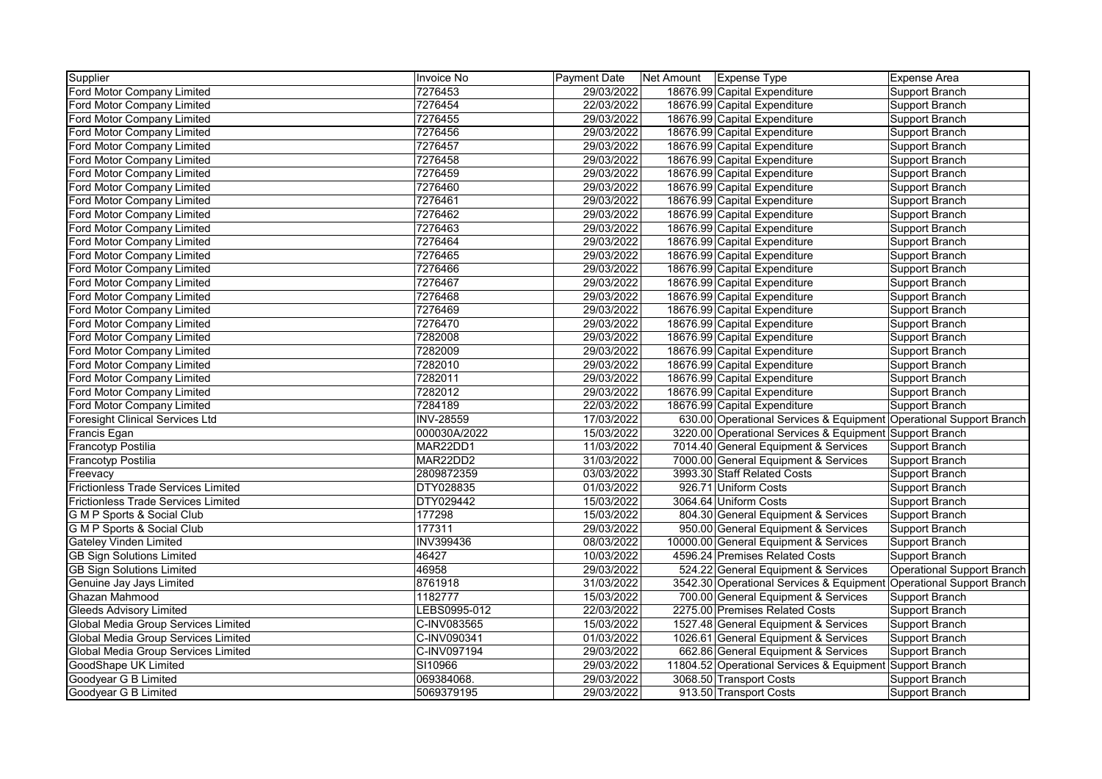| Supplier                                   | Invoice No       | <b>Payment Date</b> | Net Amount   Expense Type |                                                                     | <b>Expense Area</b>        |
|--------------------------------------------|------------------|---------------------|---------------------------|---------------------------------------------------------------------|----------------------------|
| Ford Motor Company Limited                 | 7276453          | 29/03/2022          |                           | 18676.99 Capital Expenditure                                        | Support Branch             |
| Ford Motor Company Limited                 | 7276454          | 22/03/2022          |                           | 18676.99 Capital Expenditure                                        | Support Branch             |
| Ford Motor Company Limited                 | 7276455          | 29/03/2022          |                           | 18676.99 Capital Expenditure                                        | Support Branch             |
| Ford Motor Company Limited                 | 7276456          | 29/03/2022          |                           | 18676.99 Capital Expenditure                                        | Support Branch             |
| Ford Motor Company Limited                 | 7276457          | 29/03/2022          |                           | 18676.99 Capital Expenditure                                        | Support Branch             |
| Ford Motor Company Limited                 | 7276458          | 29/03/2022          |                           | 18676.99 Capital Expenditure                                        | Support Branch             |
| Ford Motor Company Limited                 | 7276459          | 29/03/2022          |                           | 18676.99 Capital Expenditure                                        | Support Branch             |
| Ford Motor Company Limited                 | 7276460          | 29/03/2022          |                           | 18676.99 Capital Expenditure                                        | Support Branch             |
| Ford Motor Company Limited                 | 7276461          | 29/03/2022          |                           | 18676.99 Capital Expenditure                                        | Support Branch             |
| Ford Motor Company Limited                 | 7276462          | 29/03/2022          |                           | 18676.99 Capital Expenditure                                        | Support Branch             |
| Ford Motor Company Limited                 | 7276463          | 29/03/2022          |                           | 18676.99 Capital Expenditure                                        | Support Branch             |
| Ford Motor Company Limited                 | 7276464          | 29/03/2022          |                           | 18676.99 Capital Expenditure                                        | Support Branch             |
| Ford Motor Company Limited                 | 7276465          | 29/03/2022          |                           | 18676.99 Capital Expenditure                                        | Support Branch             |
| Ford Motor Company Limited                 | 7276466          | 29/03/2022          |                           | 18676.99 Capital Expenditure                                        | Support Branch             |
| Ford Motor Company Limited                 | 7276467          | 29/03/2022          |                           | 18676.99 Capital Expenditure                                        | Support Branch             |
| Ford Motor Company Limited                 | 7276468          | 29/03/2022          |                           | 18676.99 Capital Expenditure                                        | Support Branch             |
| Ford Motor Company Limited                 | 7276469          | 29/03/2022          |                           | 18676.99 Capital Expenditure                                        | Support Branch             |
| Ford Motor Company Limited                 | 7276470          | 29/03/2022          |                           | 18676.99 Capital Expenditure                                        | Support Branch             |
| Ford Motor Company Limited                 | 7282008          | 29/03/2022          |                           | 18676.99 Capital Expenditure                                        | Support Branch             |
| Ford Motor Company Limited                 | 7282009          | 29/03/2022          |                           | 18676.99 Capital Expenditure                                        | Support Branch             |
| Ford Motor Company Limited                 | 7282010          | 29/03/2022          |                           | 18676.99 Capital Expenditure                                        | Support Branch             |
| Ford Motor Company Limited                 | 7282011          | 29/03/2022          |                           | 18676.99 Capital Expenditure                                        | Support Branch             |
| Ford Motor Company Limited                 | 7282012          | 29/03/2022          |                           | 18676.99 Capital Expenditure                                        | Support Branch             |
| Ford Motor Company Limited                 | 7284189          | 22/03/2022          |                           | 18676.99 Capital Expenditure                                        | Support Branch             |
| <b>Foresight Clinical Services Ltd</b>     | <b>INV-28559</b> | 17/03/2022          |                           | 630.00 Operational Services & Equipment Operational Support Branch  |                            |
| Francis Egan                               | 000030A/2022     | 15/03/2022          |                           | 3220.00 Operational Services & Equipment Support Branch             |                            |
| Francotyp Postilia                         | MAR22DD1         | 11/03/2022          |                           | 7014.40 General Equipment & Services                                | Support Branch             |
| Francotyp Postilia                         | MAR22DD2         | 31/03/2022          |                           | 7000.00 General Equipment & Services                                | Support Branch             |
| Freevacy                                   | 2809872359       | 03/03/2022          |                           | 3993.30 Staff Related Costs                                         | Support Branch             |
| <b>Frictionless Trade Services Limited</b> | DTY028835        | 01/03/2022          |                           | 926.71 Uniform Costs                                                | Support Branch             |
| <b>Frictionless Trade Services Limited</b> | DTY029442        | 15/03/2022          |                           | 3064.64 Uniform Costs                                               | Support Branch             |
| <b>G M P Sports &amp; Social Club</b>      | 177298           | 15/03/2022          |                           | 804.30 General Equipment & Services                                 | Support Branch             |
| <b>G M P Sports &amp; Social Club</b>      | 177311           | 29/03/2022          |                           | 950.00 General Equipment & Services                                 | Support Branch             |
| <b>Gateley Vinden Limited</b>              | <b>INV399436</b> | 08/03/2022          |                           | 10000.00 General Equipment & Services                               | Support Branch             |
| <b>GB Sign Solutions Limited</b>           | 46427            | 10/03/2022          |                           | 4596.24 Premises Related Costs                                      | Support Branch             |
| <b>GB Sign Solutions Limited</b>           | 46958            | 29/03/2022          |                           | 524.22 General Equipment & Services                                 | Operational Support Branch |
| Genuine Jay Jays Limited                   | 8761918          | 31/03/2022          |                           | 3542.30 Operational Services & Equipment Operational Support Branch |                            |
| Ghazan Mahmood                             | 1182777          | 15/03/2022          |                           | 700.00 General Equipment & Services                                 | Support Branch             |
| <b>Gleeds Advisory Limited</b>             | LEBS0995-012     | 22/03/2022          |                           | 2275.00 Premises Related Costs                                      | Support Branch             |
| Global Media Group Services Limited        | C-INV083565      | 15/03/2022          |                           | 1527.48 General Equipment & Services                                | Support Branch             |
| Global Media Group Services Limited        | C-INV090341      | 01/03/2022          |                           | 1026.61 General Equipment & Services                                | Support Branch             |
| Global Media Group Services Limited        | C-INV097194      | 29/03/2022          |                           | 662.86 General Equipment & Services                                 | Support Branch             |
| GoodShape UK Limited                       | SI10966          | 29/03/2022          |                           | 11804.52 Operational Services & Equipment Support Branch            |                            |
| Goodyear G B Limited                       | 069384068.       | 29/03/2022          |                           | 3068.50 Transport Costs                                             | Support Branch             |
| Goodyear G B Limited                       | 5069379195       | 29/03/2022          |                           | 913.50 Transport Costs                                              | Support Branch             |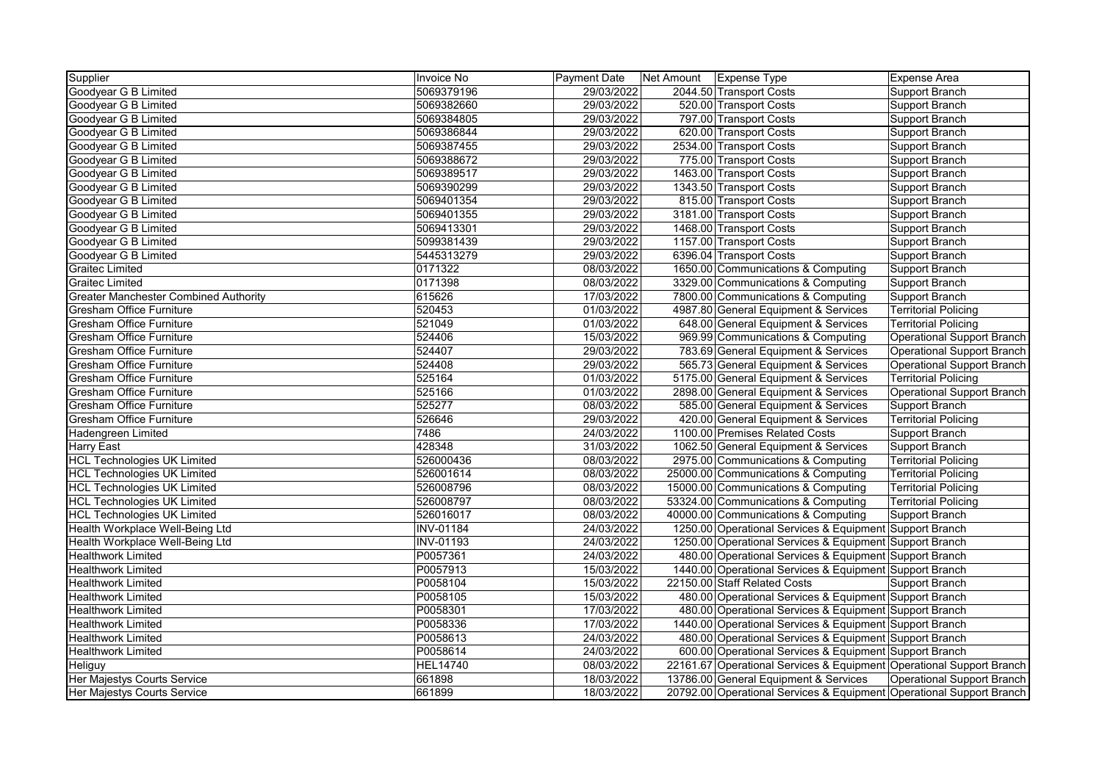| Supplier                                     | Invoice No       | <b>Payment Date</b> | Net Amount   Expense Type |                                                                      | <b>Expense Area</b>               |
|----------------------------------------------|------------------|---------------------|---------------------------|----------------------------------------------------------------------|-----------------------------------|
| Goodyear G B Limited                         | 5069379196       | 29/03/2022          |                           | 2044.50 Transport Costs                                              | Support Branch                    |
| Goodyear G B Limited                         | 5069382660       | 29/03/2022          |                           | 520.00 Transport Costs                                               | Support Branch                    |
| Goodyear G B Limited                         | 5069384805       | 29/03/2022          |                           | 797.00 Transport Costs                                               | Support Branch                    |
| Goodyear G B Limited                         | 5069386844       | 29/03/2022          |                           | 620.00 Transport Costs                                               | Support Branch                    |
| Goodyear G B Limited                         | 5069387455       | 29/03/2022          |                           | 2534.00 Transport Costs                                              | Support Branch                    |
| Goodyear G B Limited                         | 5069388672       | 29/03/2022          |                           | 775.00 Transport Costs                                               | Support Branch                    |
| Goodyear G B Limited                         | 5069389517       | 29/03/2022          |                           | 1463.00 Transport Costs                                              | Support Branch                    |
| Goodyear G B Limited                         | 5069390299       | 29/03/2022          |                           | 1343.50 Transport Costs                                              | Support Branch                    |
| Goodyear G B Limited                         | 5069401354       | 29/03/2022          |                           | 815.00 Transport Costs                                               | Support Branch                    |
| Goodyear G B Limited                         | 5069401355       | 29/03/2022          |                           | 3181.00 Transport Costs                                              | Support Branch                    |
| Goodyear G B Limited                         | 5069413301       | 29/03/2022          |                           | 1468.00 Transport Costs                                              | Support Branch                    |
| Goodyear G B Limited                         | 5099381439       | 29/03/2022          |                           | 1157.00 Transport Costs                                              | Support Branch                    |
| Goodyear G B Limited                         | 5445313279       | 29/03/2022          |                           | 6396.04 Transport Costs                                              | Support Branch                    |
| <b>Graitec Limited</b>                       | 0171322          | 08/03/2022          |                           | 1650.00 Communications & Computing                                   | Support Branch                    |
| <b>Graitec Limited</b>                       | 0171398          | 08/03/2022          |                           | 3329.00 Communications & Computing                                   | Support Branch                    |
| <b>Greater Manchester Combined Authority</b> | 615626           | 17/03/2022          |                           | 7800.00 Communications & Computing                                   | Support Branch                    |
| <b>Gresham Office Furniture</b>              | 520453           | 01/03/2022          |                           | 4987.80 General Equipment & Services                                 | <b>Territorial Policing</b>       |
| <b>Gresham Office Furniture</b>              | 521049           | 01/03/2022          |                           | 648.00 General Equipment & Services                                  | <b>Territorial Policing</b>       |
| <b>Gresham Office Furniture</b>              | 524406           | 15/03/2022          |                           | 969.99 Communications & Computing                                    | Operational Support Branch        |
| <b>Gresham Office Furniture</b>              | 524407           | 29/03/2022          |                           | 783.69 General Equipment & Services                                  | <b>Operational Support Branch</b> |
| <b>Gresham Office Furniture</b>              | 524408           | 29/03/2022          |                           | 565.73 General Equipment & Services                                  | Operational Support Branch        |
| <b>Gresham Office Furniture</b>              | 525164           | 01/03/2022          |                           | 5175.00 General Equipment & Services                                 | <b>Territorial Policing</b>       |
| <b>Gresham Office Furniture</b>              | 525166           | 01/03/2022          |                           | 2898.00 General Equipment & Services                                 | <b>Operational Support Branch</b> |
| <b>Gresham Office Furniture</b>              | 525277           | 08/03/2022          |                           | 585.00 General Equipment & Services                                  | Support Branch                    |
| <b>Gresham Office Furniture</b>              | 526646           | 29/03/2022          |                           | 420.00 General Equipment & Services                                  | <b>Territorial Policing</b>       |
| Hadengreen Limited                           | 7486             | 24/03/2022          |                           | 1100.00 Premises Related Costs                                       | <b>Support Branch</b>             |
| <b>Harry East</b>                            | 428348           | 31/03/2022          |                           | 1062.50 General Equipment & Services                                 | Support Branch                    |
| <b>HCL Technologies UK Limited</b>           | 526000436        | 08/03/2022          |                           | 2975.00 Communications & Computing                                   | <b>Territorial Policing</b>       |
| <b>HCL Technologies UK Limited</b>           | 526001614        | 08/03/2022          |                           | 25000.00 Communications & Computing                                  | <b>Territorial Policing</b>       |
| <b>HCL Technologies UK Limited</b>           | 526008796        | 08/03/2022          |                           | 15000.00 Communications & Computing                                  | <b>Territorial Policing</b>       |
| <b>HCL Technologies UK Limited</b>           | 526008797        | 08/03/2022          |                           | 53324.00 Communications & Computing                                  | <b>Territorial Policing</b>       |
| <b>HCL Technologies UK Limited</b>           | 526016017        | 08/03/2022          |                           | 40000.00 Communications & Computing                                  | Support Branch                    |
| Health Workplace Well-Being Ltd              | <b>INV-01184</b> | 24/03/2022          |                           | 1250.00 Operational Services & Equipment Support Branch              |                                   |
| Health Workplace Well-Being Ltd              | INV-01193        | 24/03/2022          |                           | 1250.00 Operational Services & Equipment Support Branch              |                                   |
| <b>Healthwork Limited</b>                    | P0057361         | 24/03/2022          |                           | 480.00 Operational Services & Equipment Support Branch               |                                   |
| <b>Healthwork Limited</b>                    | P0057913         | 15/03/2022          |                           | 1440.00 Operational Services & Equipment Support Branch              |                                   |
| <b>Healthwork Limited</b>                    | P0058104         | 15/03/2022          |                           | 22150.00 Staff Related Costs                                         | Support Branch                    |
| <b>Healthwork Limited</b>                    | P0058105         | 15/03/2022          |                           | 480.00 Operational Services & Equipment Support Branch               |                                   |
| <b>Healthwork Limited</b>                    | P0058301         | 17/03/2022          |                           | 480.00 Operational Services & Equipment Support Branch               |                                   |
| <b>Healthwork Limited</b>                    | P0058336         | 17/03/2022          |                           | 1440.00 Operational Services & Equipment Support Branch              |                                   |
| <b>Healthwork Limited</b>                    | P0058613         | 24/03/2022          |                           | 480.00 Operational Services & Equipment Support Branch               |                                   |
| <b>Healthwork Limited</b>                    | P0058614         | 24/03/2022          |                           | 600.00 Operational Services & Equipment Support Branch               |                                   |
| Heliguy                                      | <b>HEL14740</b>  | 08/03/2022          |                           | 22161.67 Operational Services & Equipment Operational Support Branch |                                   |
| Her Majestys Courts Service                  | 661898           | 18/03/2022          |                           | 13786.00 General Equipment & Services                                | Operational Support Branch        |
| Her Majestys Courts Service                  | 661899           | 18/03/2022          |                           | 20792.00 Operational Services & Equipment Operational Support Branch |                                   |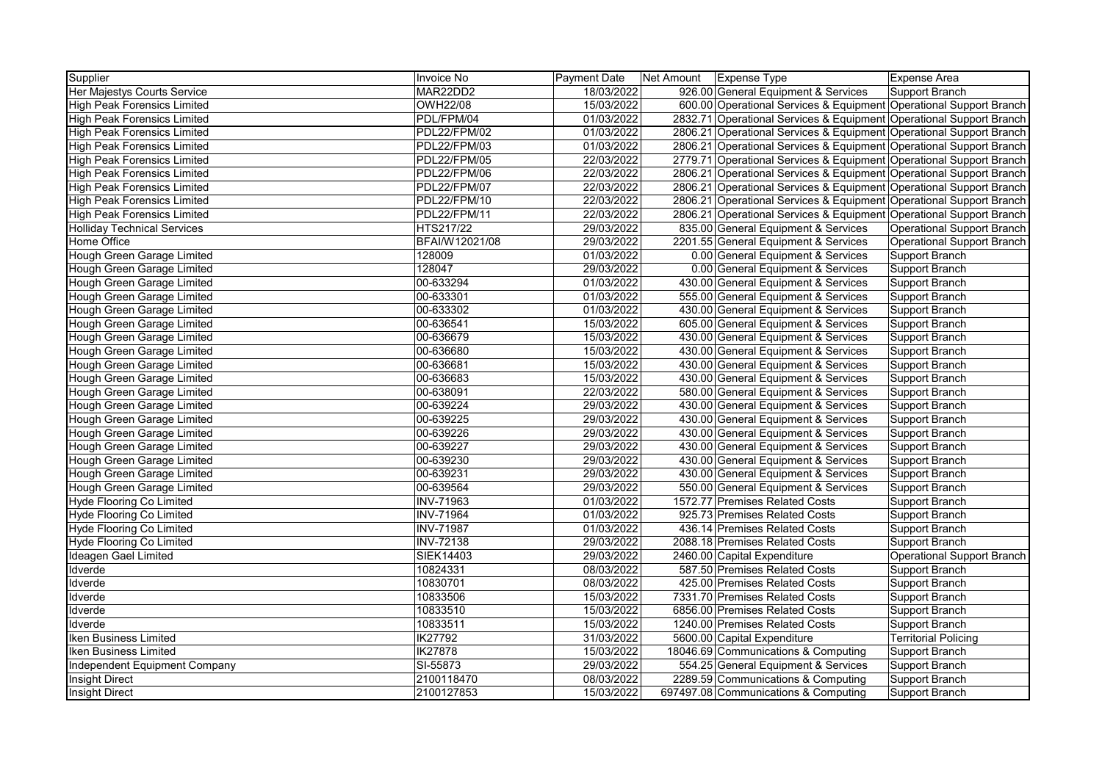| Supplier                             | Invoice No       | <b>Payment Date</b> | Net Amount | <b>Expense Type</b>                                                 | Expense Area                |
|--------------------------------------|------------------|---------------------|------------|---------------------------------------------------------------------|-----------------------------|
| Her Majestys Courts Service          | MAR22DD2         | 18/03/2022          |            | 926.00 General Equipment & Services                                 | Support Branch              |
| <b>High Peak Forensics Limited</b>   | <b>OWH22/08</b>  | 15/03/2022          |            | 600.00 Operational Services & Equipment Operational Support Branch  |                             |
| <b>High Peak Forensics Limited</b>   | PDL/FPM/04       | 01/03/2022          |            | 2832.71 Operational Services & Equipment Operational Support Branch |                             |
| <b>High Peak Forensics Limited</b>   | PDL22/FPM/02     | 01/03/2022          |            | 2806.21 Operational Services & Equipment Operational Support Branch |                             |
| <b>High Peak Forensics Limited</b>   | PDL22/FPM/03     | 01/03/2022          |            | 2806.21 Operational Services & Equipment Operational Support Branch |                             |
| <b>High Peak Forensics Limited</b>   | PDL22/FPM/05     | 22/03/2022          |            | 2779.71 Operational Services & Equipment Operational Support Branch |                             |
| <b>High Peak Forensics Limited</b>   | PDL22/FPM/06     | 22/03/2022          |            | 2806.21 Operational Services & Equipment Operational Support Branch |                             |
| <b>High Peak Forensics Limited</b>   | PDL22/FPM/07     | 22/03/2022          |            | 2806.21 Operational Services & Equipment Operational Support Branch |                             |
| <b>High Peak Forensics Limited</b>   | PDL22/FPM/10     | 22/03/2022          |            | 2806.21 Operational Services & Equipment Operational Support Branch |                             |
| High Peak Forensics Limited          | PDL22/FPM/11     | 22/03/2022          |            | 2806.21 Operational Services & Equipment Operational Support Branch |                             |
| <b>Holliday Technical Services</b>   | HTS217/22        | 29/03/2022          |            | 835.00 General Equipment & Services                                 | Operational Support Branch  |
| Home Office                          | BFAI/W12021/08   | 29/03/2022          |            | 2201.55 General Equipment & Services                                | Operational Support Branch  |
| Hough Green Garage Limited           | 128009           | 01/03/2022          |            | 0.00 General Equipment & Services                                   | Support Branch              |
| Hough Green Garage Limited           | 128047           | 29/03/2022          |            | 0.00 General Equipment & Services                                   | Support Branch              |
| Hough Green Garage Limited           | 00-633294        | 01/03/2022          |            | 430.00 General Equipment & Services                                 | Support Branch              |
| Hough Green Garage Limited           | 00-633301        | 01/03/2022          |            | 555.00 General Equipment & Services                                 | Support Branch              |
| Hough Green Garage Limited           | 00-633302        | 01/03/2022          |            | 430.00 General Equipment & Services                                 | Support Branch              |
| Hough Green Garage Limited           | 00-636541        | 15/03/2022          |            | 605.00 General Equipment & Services                                 | Support Branch              |
| Hough Green Garage Limited           | 00-636679        | 15/03/2022          |            | 430.00 General Equipment & Services                                 | Support Branch              |
| Hough Green Garage Limited           | 00-636680        | 15/03/2022          |            | 430.00 General Equipment & Services                                 | Support Branch              |
| Hough Green Garage Limited           | 00-636681        | 15/03/2022          |            | 430.00 General Equipment & Services                                 | Support Branch              |
| Hough Green Garage Limited           | 00-636683        | 15/03/2022          |            | 430.00 General Equipment & Services                                 | Support Branch              |
| Hough Green Garage Limited           | 00-638091        | 22/03/2022          |            | 580.00 General Equipment & Services                                 | Support Branch              |
| Hough Green Garage Limited           | 00-639224        | 29/03/2022          |            | 430.00 General Equipment & Services                                 | Support Branch              |
| Hough Green Garage Limited           | 00-639225        | 29/03/2022          |            | 430.00 General Equipment & Services                                 | Support Branch              |
| Hough Green Garage Limited           | 00-639226        | 29/03/2022          |            | 430.00 General Equipment & Services                                 | Support Branch              |
| Hough Green Garage Limited           | 00-639227        | 29/03/2022          |            | 430.00 General Equipment & Services                                 | Support Branch              |
| Hough Green Garage Limited           | 00-639230        | 29/03/2022          |            | 430.00 General Equipment & Services                                 | Support Branch              |
| Hough Green Garage Limited           | 00-639231        | 29/03/2022          |            | 430.00 General Equipment & Services                                 | Support Branch              |
| Hough Green Garage Limited           | 00-639564        | 29/03/2022          |            | 550.00 General Equipment & Services                                 | Support Branch              |
| Hyde Flooring Co Limited             | <b>INV-71963</b> | 01/03/2022          |            | 1572.77 Premises Related Costs                                      | Support Branch              |
| <b>Hyde Flooring Co Limited</b>      | <b>INV-71964</b> | 01/03/2022          |            | 925.73 Premises Related Costs                                       | Support Branch              |
| <b>Hyde Flooring Co Limited</b>      | <b>INV-71987</b> | 01/03/2022          |            | 436.14 Premises Related Costs                                       | Support Branch              |
| Hyde Flooring Co Limited             | <b>INV-72138</b> | 29/03/2022          |            | 2088.18 Premises Related Costs                                      | Support Branch              |
| Ideagen Gael Limited                 | SIEK14403        | 29/03/2022          |            | 2460.00 Capital Expenditure                                         | Operational Support Branch  |
| Idverde                              | 10824331         | 08/03/2022          |            | 587.50 Premises Related Costs                                       | Support Branch              |
| Idverde                              | 10830701         | 08/03/2022          |            | 425.00 Premises Related Costs                                       | Support Branch              |
| Idverde                              | 10833506         | 15/03/2022          |            | 7331.70 Premises Related Costs                                      | Support Branch              |
| Idverde                              | 10833510         | 15/03/2022          |            | 6856.00 Premises Related Costs                                      | Support Branch              |
| Idverde                              | 10833511         | 15/03/2022          |            | 1240.00 Premises Related Costs                                      | Support Branch              |
| Iken Business Limited                | <b>IK27792</b>   | 31/03/2022          |            | 5600.00 Capital Expenditure                                         | <b>Territorial Policing</b> |
| Iken Business Limited                | <b>IK27878</b>   | 15/03/2022          |            | 18046.69 Communications & Computing                                 | Support Branch              |
| <b>Independent Equipment Company</b> | SI-55873         | 29/03/2022          |            | 554.25 General Equipment & Services                                 | Support Branch              |
| <b>Insight Direct</b>                | 2100118470       | 08/03/2022          |            | 2289.59 Communications & Computing                                  | Support Branch              |
| <b>Insight Direct</b>                | 2100127853       | 15/03/2022          |            | 697497.08 Communications & Computing                                | Support Branch              |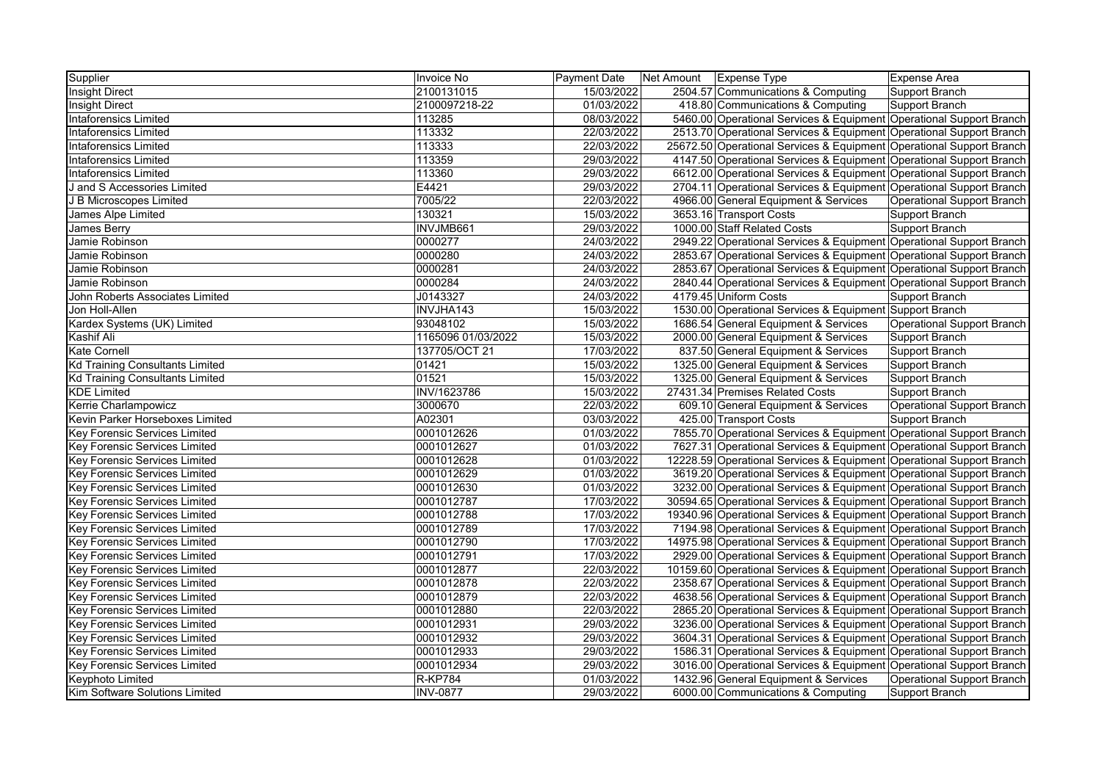| Supplier                               | Invoice No         | Payment Date | Net Amount Expense Type                                              | Expense Area                      |
|----------------------------------------|--------------------|--------------|----------------------------------------------------------------------|-----------------------------------|
| <b>Insight Direct</b>                  | 2100131015         | 15/03/2022   | 2504.57 Communications & Computing                                   | Support Branch                    |
| <b>Insight Direct</b>                  | 2100097218-22      | 01/03/2022   | 418.80 Communications & Computing                                    | Support Branch                    |
| <b>Intaforensics Limited</b>           | 113285             | 08/03/2022   | 5460.00 Operational Services & Equipment Operational Support Branch  |                                   |
| <b>Intaforensics Limited</b>           | 113332             | 22/03/2022   | 2513.70 Operational Services & Equipment Operational Support Branch  |                                   |
| <b>Intaforensics Limited</b>           | 113333             | 22/03/2022   | 25672.50 Operational Services & Equipment Operational Support Branch |                                   |
| <b>Intaforensics Limited</b>           | 113359             | 29/03/2022   | 4147.50 Operational Services & Equipment Operational Support Branch  |                                   |
| <b>Intaforensics Limited</b>           | 113360             | 29/03/2022   | 6612.00 Operational Services & Equipment Operational Support Branch  |                                   |
| J and S Accessories Limited            | E4421              | 29/03/2022   | 2704.11 Operational Services & Equipment Operational Support Branch  |                                   |
| J B Microscopes Limited                | 7005/22            | 22/03/2022   | 4966.00 General Equipment & Services                                 | <b>Operational Support Branch</b> |
| James Alpe Limited                     | 130321             | 15/03/2022   | 3653.16 Transport Costs                                              | <b>Support Branch</b>             |
| James Berry                            | INVJMB661          | 29/03/2022   | 1000.00 Staff Related Costs                                          | Support Branch                    |
| Jamie Robinson                         | 0000277            | 24/03/2022   | 2949.22 Operational Services & Equipment Operational Support Branch  |                                   |
| Jamie Robinson                         | 0000280            | 24/03/2022   | 2853.67 Operational Services & Equipment Operational Support Branch  |                                   |
| Jamie Robinson                         | 0000281            | 24/03/2022   | 2853.67 Operational Services & Equipment Operational Support Branch  |                                   |
| Jamie Robinson                         | 0000284            | 24/03/2022   | 2840.44 Operational Services & Equipment Operational Support Branch  |                                   |
| John Roberts Associates Limited        | J0143327           | 24/03/2022   | 4179.45 Uniform Costs                                                | Support Branch                    |
| Jon Holl-Allen                         | INVJHA143          | 15/03/2022   | 1530.00 Operational Services & Equipment Support Branch              |                                   |
| Kardex Systems (UK) Limited            | 93048102           | 15/03/2022   | 1686.54 General Equipment & Services                                 | <b>Operational Support Branch</b> |
| Kashif Ali                             | 1165096 01/03/2022 | 15/03/2022   | 2000.00 General Equipment & Services                                 | Support Branch                    |
| <b>Kate Cornell</b>                    | 137705/OCT 21      | 17/03/2022   | 837.50 General Equipment & Services                                  | Support Branch                    |
| <b>Kd Training Consultants Limited</b> | 01421              | 15/03/2022   | 1325.00 General Equipment & Services                                 | Support Branch                    |
| <b>Kd Training Consultants Limited</b> | 01521              | 15/03/2022   | 1325.00 General Equipment & Services                                 | <b>Support Branch</b>             |
| <b>KDE Limited</b>                     | INV/1623786        | 15/03/2022   | 27431.34 Premises Related Costs                                      | <b>Support Branch</b>             |
| Kerrie Charlampowicz                   | 3000670            | 22/03/2022   | 609.10 General Equipment & Services                                  | <b>Operational Support Branch</b> |
| Kevin Parker Horseboxes Limited        | A02301             | 03/03/2022   | 425.00 Transport Costs                                               | Support Branch                    |
| <b>Key Forensic Services Limited</b>   | 0001012626         | 01/03/2022   | 7855.70 Operational Services & Equipment Operational Support Branch  |                                   |
| <b>Key Forensic Services Limited</b>   | 0001012627         | 01/03/2022   | 7627.31 Operational Services & Equipment Operational Support Branch  |                                   |
| <b>Key Forensic Services Limited</b>   | 0001012628         | 01/03/2022   | 12228.59 Operational Services & Equipment Operational Support Branch |                                   |
| <b>Key Forensic Services Limited</b>   | 0001012629         | 01/03/2022   | 3619.20 Operational Services & Equipment Operational Support Branch  |                                   |
| <b>Key Forensic Services Limited</b>   | 0001012630         | 01/03/2022   | 3232.00 Operational Services & Equipment Operational Support Branch  |                                   |
| Key Forensic Services Limited          | 0001012787         | 17/03/2022   | 30594.65 Operational Services & Equipment Operational Support Branch |                                   |
| Key Forensic Services Limited          | 0001012788         | 17/03/2022   | 19340.96 Operational Services & Equipment Operational Support Branch |                                   |
| Key Forensic Services Limited          | 0001012789         | 17/03/2022   | 7194.98 Operational Services & Equipment Operational Support Branch  |                                   |
| Key Forensic Services Limited          | 0001012790         | 17/03/2022   | 14975.98 Operational Services & Equipment Operational Support Branch |                                   |
| <b>Key Forensic Services Limited</b>   | 0001012791         | 17/03/2022   | 2929.00 Operational Services & Equipment Operational Support Branch  |                                   |
| <b>Key Forensic Services Limited</b>   | 0001012877         | 22/03/2022   | 10159.60 Operational Services & Equipment Operational Support Branch |                                   |
| Key Forensic Services Limited          | 0001012878         | 22/03/2022   | 2358.67 Operational Services & Equipment Operational Support Branch  |                                   |
| Key Forensic Services Limited          | 0001012879         | 22/03/2022   | 4638.56 Operational Services & Equipment Operational Support Branch  |                                   |
| <b>Key Forensic Services Limited</b>   | 0001012880         | 22/03/2022   | 2865.20 Operational Services & Equipment Operational Support Branch  |                                   |
| <b>Key Forensic Services Limited</b>   | 0001012931         | 29/03/2022   | 3236.00 Operational Services & Equipment Operational Support Branch  |                                   |
| Key Forensic Services Limited          | 0001012932         | 29/03/2022   | 3604.31 Operational Services & Equipment Operational Support Branch  |                                   |
| Key Forensic Services Limited          | 0001012933         | 29/03/2022   | 1586.31 Operational Services & Equipment Operational Support Branch  |                                   |
| Key Forensic Services Limited          | 0001012934         | 29/03/2022   | 3016.00 Operational Services & Equipment Operational Support Branch  |                                   |
| <b>Keyphoto Limited</b>                | <b>R-KP784</b>     | 01/03/2022   | 1432.96 General Equipment & Services                                 | <b>Operational Support Branch</b> |
| Kim Software Solutions Limited         | <b>INV-0877</b>    | 29/03/2022   | 6000.00 Communications & Computing                                   | Support Branch                    |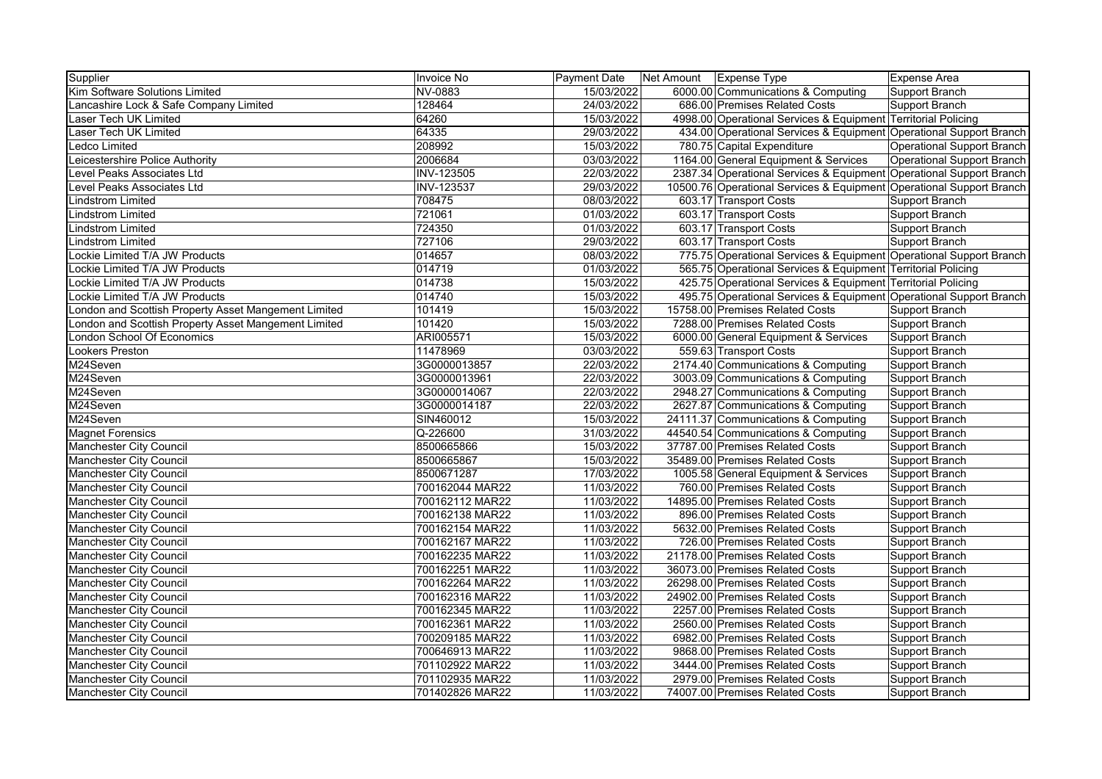| Supplier                                             | <b>Invoice No</b> | <b>Payment Date</b> | Net Amount   Expense Type                                            | Expense Area               |
|------------------------------------------------------|-------------------|---------------------|----------------------------------------------------------------------|----------------------------|
| Kim Software Solutions Limited                       | NV-0883           | 15/03/2022          | 6000.00 Communications & Computing                                   | Support Branch             |
| Lancashire Lock & Safe Company Limited               | 128464            | 24/03/2022          | 686.00 Premises Related Costs                                        | Support Branch             |
| Laser Tech UK Limited                                | 64260             | 15/03/2022          | 4998.00 Operational Services & Equipment Territorial Policing        |                            |
| Laser Tech UK Limited                                | 64335             | 29/03/2022          | 434.00 Operational Services & Equipment Operational Support Branch   |                            |
| <b>Ledco Limited</b>                                 | 208992            | 15/03/2022          | 780.75 Capital Expenditure                                           | Operational Support Branch |
| Leicestershire Police Authority                      | 2006684           | 03/03/2022          | 1164.00 General Equipment & Services                                 | Operational Support Branch |
| Level Peaks Associates Ltd                           | INV-123505        | 22/03/2022          | 2387.34 Operational Services & Equipment Operational Support Branch  |                            |
| Level Peaks Associates Ltd                           | <b>INV-123537</b> | 29/03/2022          | 10500.76 Operational Services & Equipment Operational Support Branch |                            |
| Lindstrom Limited                                    | 708475            | 08/03/2022          | 603.17 Transport Costs                                               | Support Branch             |
| Lindstrom Limited                                    | 721061            | 01/03/2022          | 603.17 Transport Costs                                               | Support Branch             |
| <b>Lindstrom Limited</b>                             | 724350            | 01/03/2022          | 603.17 Transport Costs                                               | Support Branch             |
| <b>Lindstrom Limited</b>                             | 727106            | 29/03/2022          | 603.17 Transport Costs                                               | Support Branch             |
| ockie Limited T/A JW Products                        | 014657            | 08/03/2022          | 775.75 Operational Services & Equipment Operational Support Branch   |                            |
| Lockie Limited T/A JW Products                       | 014719            | 01/03/2022          | 565.75 Operational Services & Equipment Territorial Policing         |                            |
| Lockie Limited T/A JW Products                       | 014738            | 15/03/2022          | 425.75 Operational Services & Equipment Territorial Policing         |                            |
| Lockie Limited T/A JW Products                       | 014740            | 15/03/2022          | 495.75 Operational Services & Equipment Operational Support Branch   |                            |
| London and Scottish Property Asset Mangement Limited | 101419            | 15/03/2022          | 15758.00 Premises Related Costs                                      | Support Branch             |
| London and Scottish Property Asset Mangement Limited | 101420            | 15/03/2022          | 7288.00 Premises Related Costs                                       | Support Branch             |
| <b>London School Of Economics</b>                    | ARI005571         | 15/03/2022          | 6000.00 General Equipment & Services                                 | Support Branch             |
| <b>Lookers Preston</b>                               | 11478969          | 03/03/2022          | 559.63 Transport Costs                                               | Support Branch             |
| M24Seven                                             | 3G0000013857      | 22/03/2022          | 2174.40 Communications & Computing                                   | Support Branch             |
| M24Seven                                             | 3G0000013961      | 22/03/2022          | 3003.09 Communications & Computing                                   | Support Branch             |
| M24Seven                                             | 3G0000014067      | 22/03/2022          | 2948.27 Communications & Computing                                   | Support Branch             |
| M24Seven                                             | 3G0000014187      | 22/03/2022          | 2627.87 Communications & Computing                                   | Support Branch             |
| M24Seven                                             | SIN460012         | 15/03/2022          | 24111.37 Communications & Computing                                  | Support Branch             |
| <b>Magnet Forensics</b>                              | $Q-226600$        | 31/03/2022          | 44540.54 Communications & Computing                                  | Support Branch             |
| Manchester City Council                              | 8500665866        | 15/03/2022          | 37787.00 Premises Related Costs                                      | Support Branch             |
| <b>Manchester City Council</b>                       | 8500665867        | 15/03/2022          | 35489.00 Premises Related Costs                                      | Support Branch             |
| <b>Manchester City Council</b>                       | 8500671287        | 17/03/2022          | 1005.58 General Equipment & Services                                 | Support Branch             |
| Manchester City Council                              | 700162044 MAR22   | 11/03/2022          | 760.00 Premises Related Costs                                        | Support Branch             |
| <b>Manchester City Council</b>                       | 700162112 MAR22   | 11/03/2022          | 14895.00 Premises Related Costs                                      | Support Branch             |
| <b>Manchester City Council</b>                       | 700162138 MAR22   | 11/03/2022          | 896.00 Premises Related Costs                                        | Support Branch             |
| <b>Manchester City Council</b>                       | 700162154 MAR22   | 11/03/2022          | 5632.00 Premises Related Costs                                       | Support Branch             |
| Manchester City Council                              | 700162167 MAR22   | 11/03/2022          | 726.00 Premises Related Costs                                        | Support Branch             |
| Manchester City Council                              | 700162235 MAR22   | 11/03/2022          | 21178.00 Premises Related Costs                                      | Support Branch             |
| <b>Manchester City Council</b>                       | 700162251 MAR22   | 11/03/2022          | 36073.00 Premises Related Costs                                      | Support Branch             |
| Manchester City Council                              | 700162264 MAR22   | 11/03/2022          | 26298.00 Premises Related Costs                                      | Support Branch             |
| Manchester City Council                              | 700162316 MAR22   | 11/03/2022          | 24902.00 Premises Related Costs                                      | Support Branch             |
| Manchester City Council                              | 700162345 MAR22   | 11/03/2022          | 2257.00 Premises Related Costs                                       | Support Branch             |
| Manchester City Council                              | 700162361 MAR22   | 11/03/2022          | 2560.00 Premises Related Costs                                       | Support Branch             |
| Manchester City Council                              | 700209185 MAR22   | 11/03/2022          | 6982.00 Premises Related Costs                                       | Support Branch             |
| Manchester City Council                              | 700646913 MAR22   | 11/03/2022          | 9868.00 Premises Related Costs                                       | Support Branch             |
| <b>Manchester City Council</b>                       | 701102922 MAR22   | 11/03/2022          | 3444.00 Premises Related Costs                                       | Support Branch             |
| Manchester City Council                              | 701102935 MAR22   | 11/03/2022          | 2979.00 Premises Related Costs                                       | Support Branch             |
| Manchester City Council                              | 701402826 MAR22   | 11/03/2022          | 74007.00 Premises Related Costs                                      | Support Branch             |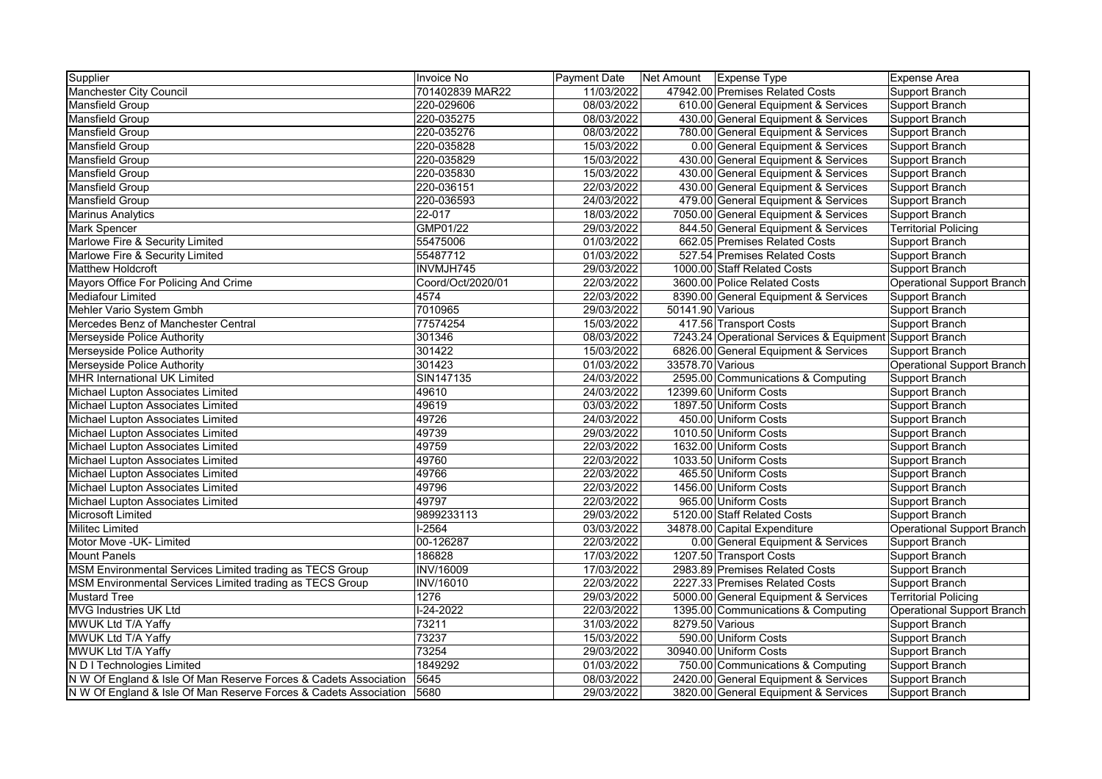| Supplier                                                         | <b>Invoice No</b> | Payment Date |                  | Net Amount Expense Type                                 | Expense Area                |
|------------------------------------------------------------------|-------------------|--------------|------------------|---------------------------------------------------------|-----------------------------|
| Manchester City Council                                          | 701402839 MAR22   | 11/03/2022   |                  | 47942.00 Premises Related Costs                         | Support Branch              |
| Mansfield Group                                                  | 220-029606        | 08/03/2022   |                  | 610.00 General Equipment & Services                     | Support Branch              |
| Mansfield Group                                                  | 220-035275        | 08/03/2022   |                  | 430.00 General Equipment & Services                     | Support Branch              |
| <b>Mansfield Group</b>                                           | 220-035276        | 08/03/2022   |                  | 780.00 General Equipment & Services                     | Support Branch              |
| <b>Mansfield Group</b>                                           | 220-035828        | 15/03/2022   |                  | 0.00 General Equipment & Services                       | Support Branch              |
| <b>Mansfield Group</b>                                           | 220-035829        | 15/03/2022   |                  | 430.00 General Equipment & Services                     | Support Branch              |
| <b>Mansfield Group</b>                                           | 220-035830        | 15/03/2022   |                  | 430.00 General Equipment & Services                     | Support Branch              |
| Mansfield Group                                                  | 220-036151        | 22/03/2022   |                  | 430.00 General Equipment & Services                     | Support Branch              |
| Mansfield Group                                                  | 220-036593        | 24/03/2022   |                  | 479.00 General Equipment & Services                     | Support Branch              |
| <b>Marinus Analytics</b>                                         | $22 - 017$        | 18/03/2022   |                  | 7050.00 General Equipment & Services                    | Support Branch              |
| <b>Mark Spencer</b>                                              | GMP01/22          | 29/03/2022   |                  | 844.50 General Equipment & Services                     | <b>Territorial Policing</b> |
| Marlowe Fire & Security Limited                                  | 55475006          | 01/03/2022   |                  | 662.05 Premises Related Costs                           | Support Branch              |
| Marlowe Fire & Security Limited                                  | 55487712          | 01/03/2022   |                  | 527.54 Premises Related Costs                           | Support Branch              |
| <b>Matthew Holdcroft</b>                                         | INVMJH745         | 29/03/2022   |                  | 1000.00 Staff Related Costs                             | Support Branch              |
| Mayors Office For Policing And Crime                             | Coord/Oct/2020/01 | 22/03/2022   |                  | 3600.00 Police Related Costs                            | Operational Support Branch  |
| <b>Mediafour Limited</b>                                         | 4574              | 22/03/2022   |                  | 8390.00 General Equipment & Services                    | Support Branch              |
| Mehler Vario System Gmbh                                         | 7010965           | 29/03/2022   | 50141.90 Various |                                                         | Support Branch              |
| Mercedes Benz of Manchester Central                              | 77574254          | 15/03/2022   |                  | 417.56 Transport Costs                                  | Support Branch              |
| Merseyside Police Authority                                      | 301346            | 08/03/2022   |                  | 7243.24 Operational Services & Equipment Support Branch |                             |
| Merseyside Police Authority                                      | 301422            | 15/03/2022   |                  | 6826.00 General Equipment & Services                    | Support Branch              |
| Merseyside Police Authority                                      | 301423            | 01/03/2022   | 33578.70 Various |                                                         | Operational Support Branch  |
| <b>MHR International UK Limited</b>                              | SIN147135         | 24/03/2022   |                  | 2595.00 Communications & Computing                      | Support Branch              |
| Michael Lupton Associates Limited                                | 49610             | 24/03/2022   |                  | 12399.60 Uniform Costs                                  | Support Branch              |
| Michael Lupton Associates Limited                                | 49619             | 03/03/2022   |                  | 1897.50 Uniform Costs                                   | Support Branch              |
| Michael Lupton Associates Limited                                | 49726             | 24/03/2022   |                  | 450.00 Uniform Costs                                    | Support Branch              |
| Michael Lupton Associates Limited                                | 49739             | 29/03/2022   |                  | 1010.50 Uniform Costs                                   | Support Branch              |
| Michael Lupton Associates Limited                                | 49759             | 22/03/2022   |                  | 1632.00 Uniform Costs                                   | Support Branch              |
| Michael Lupton Associates Limited                                | 49760             | 22/03/2022   |                  | 1033.50 Uniform Costs                                   | Support Branch              |
| Michael Lupton Associates Limited                                | 49766             | 22/03/2022   |                  | 465.50 Uniform Costs                                    | Support Branch              |
| Michael Lupton Associates Limited                                | 49796             | 22/03/2022   |                  | 1456.00 Uniform Costs                                   | Support Branch              |
| Michael Lupton Associates Limited                                | 49797             | 22/03/2022   |                  | 965.00 Uniform Costs                                    | Support Branch              |
| <b>Microsoft Limited</b>                                         | 9899233113        | 29/03/2022   |                  | 5120.00 Staff Related Costs                             | Support Branch              |
| <b>Militec Limited</b>                                           | $1-2564$          | 03/03/2022   |                  | 34878.00 Capital Expenditure                            | Operational Support Branch  |
| Motor Move - UK- Limited                                         | 00-126287         | 22/03/2022   |                  | 0.00 General Equipment & Services                       | Support Branch              |
| <b>Mount Panels</b>                                              | 186828            | 17/03/2022   |                  | 1207.50 Transport Costs                                 | Support Branch              |
| MSM Environmental Services Limited trading as TECS Group         | <b>INV/16009</b>  | 17/03/2022   |                  | 2983.89 Premises Related Costs                          | Support Branch              |
| MSM Environmental Services Limited trading as TECS Group         | <b>INV/16010</b>  | 22/03/2022   |                  | 2227.33 Premises Related Costs                          | Support Branch              |
| <b>Mustard Tree</b>                                              | 1276              | 29/03/2022   |                  | 5000.00 General Equipment & Services                    | <b>Territorial Policing</b> |
| <b>MVG Industries UK Ltd</b>                                     | $1-24-2022$       | 22/03/2022   |                  | 1395.00 Communications & Computing                      | Operational Support Branch  |
| MWUK Ltd T/A Yaffy                                               | 73211             | 31/03/2022   | 8279.50 Various  |                                                         | Support Branch              |
| MWUK Ltd T/A Yaffy                                               | 73237             | 15/03/2022   |                  | 590.00 Uniform Costs                                    | Support Branch              |
| MWUK Ltd T/A Yaffy                                               | 73254             | 29/03/2022   |                  | 30940.00 Uniform Costs                                  | Support Branch              |
| N D I Technologies Limited                                       | 1849292           | 01/03/2022   |                  | 750.00 Communications & Computing                       | Support Branch              |
| N W Of England & Isle Of Man Reserve Forces & Cadets Association | 5645              | 08/03/2022   |                  | 2420.00 General Equipment & Services                    | Support Branch              |
| N W Of England & Isle Of Man Reserve Forces & Cadets Association | 5680              | 29/03/2022   |                  | 3820.00 General Equipment & Services                    | Support Branch              |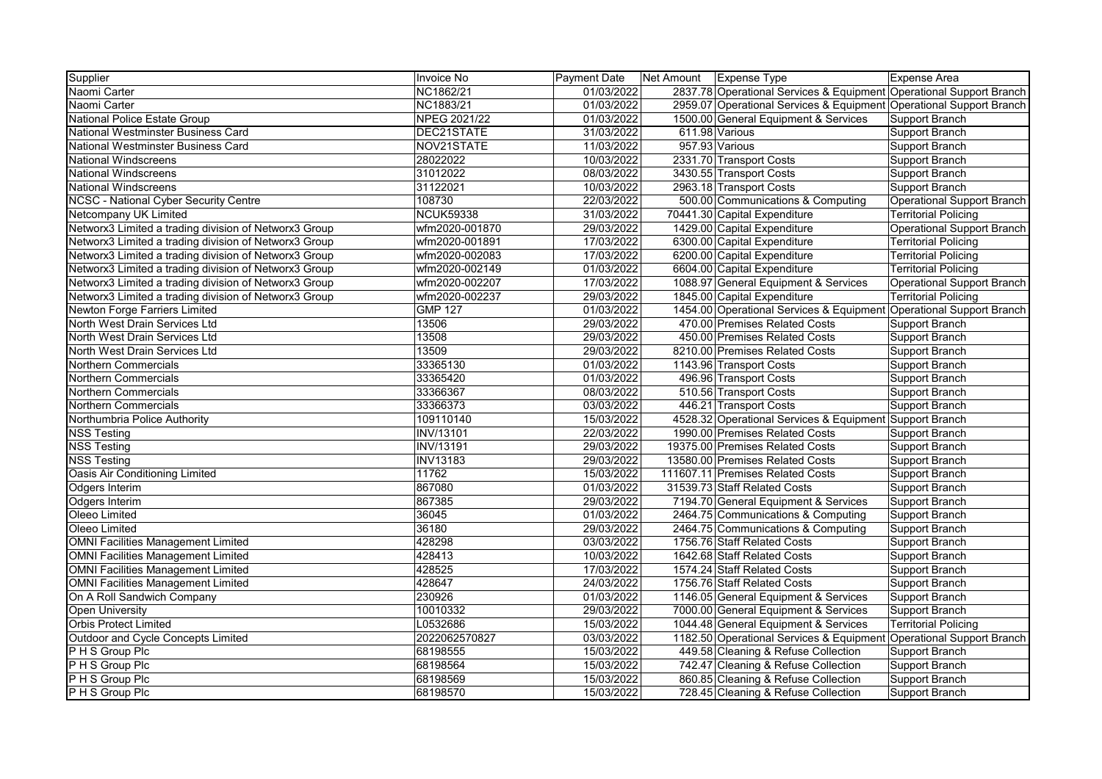| Supplier                                              | Invoice No       | <b>Payment Date</b> | Net Amount   Expense Type |                                                                     | Expense Area                |
|-------------------------------------------------------|------------------|---------------------|---------------------------|---------------------------------------------------------------------|-----------------------------|
| Naomi Carter                                          | NC1862/21        | 01/03/2022          |                           | 2837.78 Operational Services & Equipment Operational Support Branch |                             |
| Naomi Carter                                          | NC1883/21        | 01/03/2022          |                           | 2959.07 Operational Services & Equipment Operational Support Branch |                             |
| National Police Estate Group                          | NPEG 2021/22     | 01/03/2022          |                           | 1500.00 General Equipment & Services                                | Support Branch              |
| National Westminster Business Card                    | DEC21STATE       | 31/03/2022          |                           | 611.98 Various                                                      | Support Branch              |
| National Westminster Business Card                    | NOV21STATE       | 11/03/2022          |                           | 957.93 Various                                                      | Support Branch              |
| <b>National Windscreens</b>                           | 28022022         | 10/03/2022          |                           | 2331.70 Transport Costs                                             | Support Branch              |
| <b>National Windscreens</b>                           | 31012022         | 08/03/2022          |                           | 3430.55 Transport Costs                                             | Support Branch              |
| <b>National Windscreens</b>                           | 31122021         | 10/03/2022          |                           | 2963.18 Transport Costs                                             | Support Branch              |
| NCSC - National Cyber Security Centre                 | 108730           | 22/03/2022          |                           | 500.00 Communications & Computing                                   | Operational Support Branch  |
| Netcompany UK Limited                                 | <b>NCUK59338</b> | 31/03/2022          |                           | 70441.30 Capital Expenditure                                        | <b>Territorial Policing</b> |
| Networx3 Limited a trading division of Networx3 Group | wfm2020-001870   | 29/03/2022          |                           | 1429.00 Capital Expenditure                                         | Operational Support Branch  |
| Networx3 Limited a trading division of Networx3 Group | wfm2020-001891   | 17/03/2022          |                           | 6300.00 Capital Expenditure                                         | <b>Territorial Policing</b> |
| Networx3 Limited a trading division of Networx3 Group | wfm2020-002083   | 17/03/2022          |                           | 6200.00 Capital Expenditure                                         | <b>Territorial Policing</b> |
| Networx3 Limited a trading division of Networx3 Group | wfm2020-002149   | 01/03/2022          |                           | 6604.00 Capital Expenditure                                         | <b>Territorial Policing</b> |
| Networx3 Limited a trading division of Networx3 Group | wfm2020-002207   | 17/03/2022          |                           | 1088.97 General Equipment & Services                                | Operational Support Branch  |
| Networx3 Limited a trading division of Networx3 Group | wfm2020-002237   | 29/03/2022          |                           | 1845.00 Capital Expenditure                                         | <b>Territorial Policing</b> |
| Newton Forge Farriers Limited                         | <b>GMP 127</b>   | 01/03/2022          |                           | 1454.00 Operational Services & Equipment Operational Support Branch |                             |
| North West Drain Services Ltd                         | 13506            | 29/03/2022          |                           | 470.00 Premises Related Costs                                       | Support Branch              |
| North West Drain Services Ltd                         | 13508            | 29/03/2022          |                           | 450.00 Premises Related Costs                                       | Support Branch              |
| North West Drain Services Ltd                         | 13509            | 29/03/2022          |                           | 8210.00 Premises Related Costs                                      | Support Branch              |
| Northern Commercials                                  | 33365130         | 01/03/2022          |                           | 1143.96 Transport Costs                                             | Support Branch              |
| Northern Commercials                                  | 33365420         | 01/03/2022          |                           | 496.96 Transport Costs                                              | Support Branch              |
| Northern Commercials                                  | 33366367         | 08/03/2022          |                           | 510.56 Transport Costs                                              | Support Branch              |
| <b>Northern Commercials</b>                           | 33366373         | 03/03/2022          |                           | 446.21 Transport Costs                                              | Support Branch              |
| Northumbria Police Authority                          | 109110140        | 15/03/2022          |                           | 4528.32 Operational Services & Equipment Support Branch             |                             |
| <b>NSS Testing</b>                                    | <b>INV/13101</b> | 22/03/2022          |                           | 1990.00 Premises Related Costs                                      | Support Branch              |
| <b>NSS Testing</b>                                    | INV/13191        | 29/03/2022          |                           | 19375.00 Premises Related Costs                                     | Support Branch              |
| <b>NSS Testing</b>                                    | <b>INV13183</b>  | 29/03/2022          |                           | 13580.00 Premises Related Costs                                     | Support Branch              |
| Oasis Air Conditioning Limited                        | 11762            | 15/03/2022          |                           | 111607.11 Premises Related Costs                                    | Support Branch              |
| Odgers Interim                                        | 867080           | 01/03/2022          |                           | 31539.73 Staff Related Costs                                        | Support Branch              |
| <b>Odgers Interim</b>                                 | 867385           | 29/03/2022          |                           | 7194.70 General Equipment & Services                                | Support Branch              |
| Oleeo Limited                                         | 36045            | 01/03/2022          |                           | 2464.75 Communications & Computing                                  | Support Branch              |
| Oleeo Limited                                         | 36180            | 29/03/2022          |                           | 2464.75 Communications & Computing                                  | Support Branch              |
| <b>OMNI Facilities Management Limited</b>             | 428298           | 03/03/2022          |                           | 1756.76 Staff Related Costs                                         | Support Branch              |
| <b>OMNI Facilities Management Limited</b>             | 428413           | 10/03/2022          |                           | 1642.68 Staff Related Costs                                         | Support Branch              |
| <b>OMNI Facilities Management Limited</b>             | 428525           | 17/03/2022          |                           | 1574.24 Staff Related Costs                                         | Support Branch              |
| <b>OMNI Facilities Management Limited</b>             | 428647           | 24/03/2022          |                           | 1756.76 Staff Related Costs                                         | Support Branch              |
| On A Roll Sandwich Company                            | 230926           | 01/03/2022          |                           | 1146.05 General Equipment & Services                                | Support Branch              |
| <b>Open University</b>                                | 10010332         | 29/03/2022          |                           | 7000.00 General Equipment & Services                                | Support Branch              |
| <b>Orbis Protect Limited</b>                          | L0532686         | 15/03/2022          |                           | 1044.48 General Equipment & Services                                | <b>Territorial Policing</b> |
| Outdoor and Cycle Concepts Limited                    | 2022062570827    | 03/03/2022          |                           | 1182.50 Operational Services & Equipment Operational Support Branch |                             |
| P H S Group Plc                                       | 68198555         | 15/03/2022          |                           | 449.58 Cleaning & Refuse Collection                                 | Support Branch              |
| P H S Group Plc                                       | 68198564         | 15/03/2022          |                           | 742.47 Cleaning & Refuse Collection                                 | Support Branch              |
| P H S Group Plc                                       | 68198569         | 15/03/2022          |                           | 860.85 Cleaning & Refuse Collection                                 | Support Branch              |
| P H S Group Plc                                       | 68198570         | 15/03/2022          |                           | 728.45 Cleaning & Refuse Collection                                 | Support Branch              |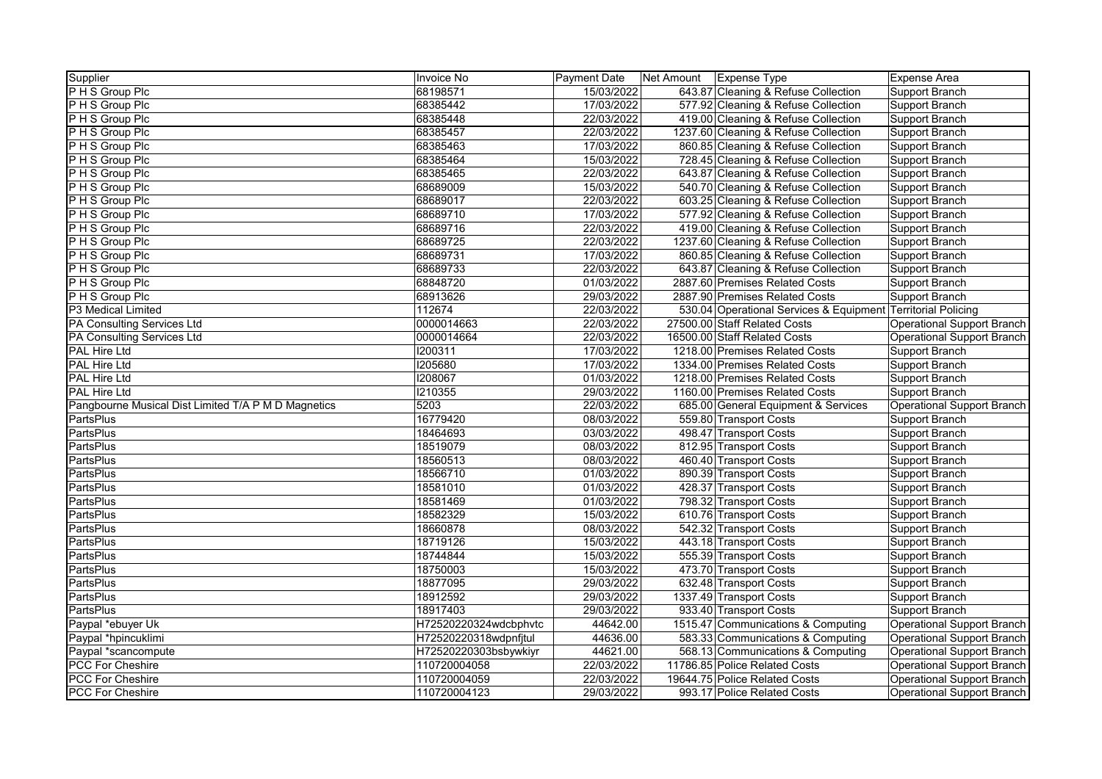| Supplier<br><b>Payment Date</b><br>Invoice No<br>Net Amount   Expense Type                                       | <b>Expense Area</b>                                          |
|------------------------------------------------------------------------------------------------------------------|--------------------------------------------------------------|
| P H S Group Plc<br>15/03/2022<br>68198571<br>643.87 Cleaning & Refuse Collection                                 | Support Branch                                               |
| 17/03/2022<br>P H S Group Plc<br>68385442<br>577.92 Cleaning & Refuse Collection                                 | Support Branch                                               |
| P H S Group Plc<br>68385448<br>22/03/2022<br>419.00 Cleaning & Refuse Collection                                 | Support Branch                                               |
| P H S Group Plc<br>68385457<br>22/03/2022<br>1237.60 Cleaning & Refuse Collection                                | Support Branch                                               |
| 68385463<br>17/03/2022<br>860.85 Cleaning & Refuse Collection<br>P H S Group Plc                                 | <b>Support Branch</b>                                        |
| P H S Group Plc<br>68385464<br>15/03/2022<br>728.45 Cleaning & Refuse Collection                                 | Support Branch                                               |
| 68385465<br>22/03/2022<br>643.87 Cleaning & Refuse Collection<br>P H S Group Plc                                 | Support Branch                                               |
| P H S Group Plc<br>68689009<br>15/03/2022<br>540.70 Cleaning & Refuse Collection                                 | Support Branch                                               |
| P H S Group Plc<br>68689017<br>22/03/2022<br>603.25 Cleaning & Refuse Collection                                 | Support Branch                                               |
| P H S Group Plc<br>68689710<br>17/03/2022<br>577.92 Cleaning & Refuse Collection                                 | Support Branch                                               |
| 68689716<br>22/03/2022<br>P H S Group Plc<br>419.00 Cleaning & Refuse Collection                                 | Support Branch                                               |
| 68689725<br>22/03/2022<br>1237.60 Cleaning & Refuse Collection<br>P H S Group Plc                                | <b>Support Branch</b>                                        |
| 68689731<br>17/03/2022<br>P H S Group Plc<br>860.85 Cleaning & Refuse Collection                                 | Support Branch                                               |
| P H S Group Plc<br>68689733<br>22/03/2022<br>643.87 Cleaning & Refuse Collection                                 | Support Branch                                               |
| 68848720<br>01/03/2022<br>2887.60 Premises Related Costs<br>P H S Group Plc                                      | Support Branch                                               |
| 68913626<br>29/03/2022<br>2887.90 Premises Related Costs<br>P H S Group Plc                                      | Support Branch                                               |
| P3 Medical Limited<br>112674<br>22/03/2022                                                                       | 530.04 Operational Services & Equipment Territorial Policing |
| 0000014663<br>22/03/2022<br>PA Consulting Services Ltd<br>27500.00 Staff Related Costs                           | Operational Support Branch                                   |
| 0000014664<br>22/03/2022<br>PA Consulting Services Ltd<br>16500.00 Staff Related Costs                           | Operational Support Branch                                   |
| 17/03/2022<br>PAL Hire Ltd<br>1200311<br>1218.00 Premises Related Costs                                          | Support Branch                                               |
| 1205680<br>PAL Hire Ltd<br>17/03/2022<br>1334.00 Premises Related Costs                                          | Support Branch                                               |
| 1208067<br>1218.00 Premises Related Costs<br><b>PAL Hire Ltd</b><br>01/03/2022                                   | Support Branch                                               |
| <b>PAL Hire Ltd</b><br><b>I210355</b><br>29/03/2022<br>1160.00 Premises Related Costs                            | Support Branch                                               |
| 5203<br>22/03/2022<br>Pangbourne Musical Dist Limited T/A P M D Magnetics<br>685.00 General Equipment & Services | Operational Support Branch                                   |
| 16779420<br>PartsPlus<br>08/03/2022<br>559.80 Transport Costs                                                    | Support Branch                                               |
| PartsPlus<br>18464693<br>03/03/2022<br>498.47 Transport Costs                                                    | Support Branch                                               |
| <b>PartsPlus</b><br>18519079<br>08/03/2022<br>812.95 Transport Costs                                             | Support Branch                                               |
| PartsPlus<br>18560513<br>08/03/2022<br>460.40 Transport Costs                                                    | Support Branch                                               |
| PartsPlus<br>01/03/2022<br>890.39 Transport Costs<br>18566710                                                    | Support Branch                                               |
| PartsPlus<br>18581010<br>01/03/2022<br>428.37 Transport Costs                                                    | Support Branch                                               |
| <b>PartsPlus</b><br>18581469<br>01/03/2022<br>798.32 Transport Costs                                             | Support Branch                                               |
| PartsPlus<br>18582329<br>15/03/2022<br>610.76 Transport Costs                                                    | Support Branch                                               |
| PartsPlus<br>18660878<br>08/03/2022<br>542.32 Transport Costs                                                    | Support Branch                                               |
| PartsPlus<br>18719126<br>15/03/2022<br>443.18 Transport Costs                                                    | Support Branch                                               |
| PartsPlus<br>555.39 Transport Costs<br>18744844<br>15/03/2022                                                    | Support Branch                                               |
| PartsPlus<br>18750003<br>15/03/2022<br>473.70 Transport Costs                                                    | Support Branch                                               |
| <b>PartsPlus</b><br>18877095<br>29/03/2022<br>632.48 Transport Costs                                             | Support Branch                                               |
| PartsPlus<br>18912592<br>29/03/2022<br>1337.49 Transport Costs                                                   | Support Branch                                               |
| <b>PartsPlus</b><br>18917403<br>29/03/2022<br>933.40 Transport Costs                                             | <b>Support Branch</b>                                        |
| Paypal *ebuyer Uk<br>H72520220324wdcbphvtc<br>44642.00<br>1515.47 Communications & Computing                     | <b>Operational Support Branch</b>                            |
| Paypal *hpincuklimi<br>H72520220318wdpnfjtul<br>44636.00<br>583.33 Communications & Computing                    | <b>Operational Support Branch</b>                            |
| 44621.00<br>H72520220303bsbywkiyr<br>568.13 Communications & Computing<br>Paypal *scancompute                    | Operational Support Branch                                   |
| 110720004058<br>11786.85 Police Related Costs<br><b>PCC For Cheshire</b><br>22/03/2022                           | Operational Support Branch                                   |
| <b>PCC For Cheshire</b><br>110720004059<br>22/03/2022<br>19644.75 Police Related Costs                           | Operational Support Branch                                   |
| <b>PCC For Cheshire</b><br>110720004123<br>29/03/2022<br>993.17 Police Related Costs                             | Operational Support Branch                                   |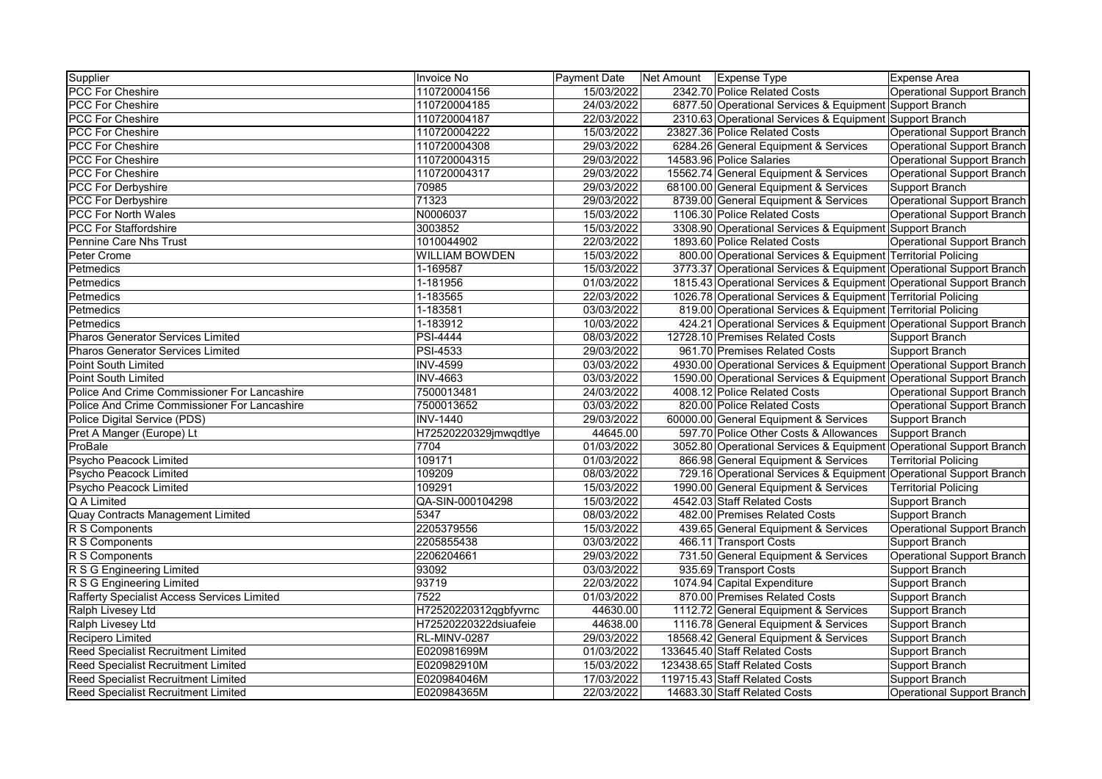| Supplier                                     | Invoice No            | <b>Payment Date</b> | Net Amount Expense Type                                             | Expense Area                |
|----------------------------------------------|-----------------------|---------------------|---------------------------------------------------------------------|-----------------------------|
| <b>PCC For Cheshire</b>                      | 110720004156          | 15/03/2022          | 2342.70 Police Related Costs                                        | Operational Support Branch  |
| <b>PCC For Cheshire</b>                      | 110720004185          | 24/03/2022          | 6877.50 Operational Services & Equipment Support Branch             |                             |
| <b>PCC For Cheshire</b>                      | 110720004187          | 22/03/2022          | 2310.63 Operational Services & Equipment Support Branch             |                             |
| <b>PCC For Cheshire</b>                      | 110720004222          | 15/03/2022          | 23827.36 Police Related Costs                                       | Operational Support Branch  |
| <b>PCC For Cheshire</b>                      | 110720004308          | 29/03/2022          | 6284.26 General Equipment & Services                                | Operational Support Branch  |
| <b>PCC For Cheshire</b>                      | 110720004315          | 29/03/2022          | 14583.96 Police Salaries                                            | Operational Support Branch  |
| <b>PCC For Cheshire</b>                      | 110720004317          | 29/03/2022          | 15562.74 General Equipment & Services                               | Operational Support Branch  |
| PCC For Derbyshire                           | 70985                 | 29/03/2022          | 68100.00 General Equipment & Services                               | Support Branch              |
| <b>PCC For Derbyshire</b>                    | 71323                 | 29/03/2022          | 8739.00 General Equipment & Services                                | Operational Support Branch  |
| <b>PCC For North Wales</b>                   | N0006037              | 15/03/2022          | 1106.30 Police Related Costs                                        | Operational Support Branch  |
| <b>PCC For Staffordshire</b>                 | 3003852               | 15/03/2022          | 3308.90 Operational Services & Equipment Support Branch             |                             |
| Pennine Care Nhs Trust                       | 1010044902            | 22/03/2022          | 1893.60 Police Related Costs                                        | Operational Support Branch  |
| Peter Crome                                  | <b>WILLIAM BOWDEN</b> | 15/03/2022          | 800.00 Operational Services & Equipment Territorial Policing        |                             |
| Petmedics                                    | 1-169587              | 15/03/2022          | 3773.37 Operational Services & Equipment Operational Support Branch |                             |
| Petmedics                                    | 1-181956              | 01/03/2022          | 1815.43 Operational Services & Equipment Operational Support Branch |                             |
| Petmedics                                    | 1-183565              | 22/03/2022          | 1026.78 Operational Services & Equipment Territorial Policing       |                             |
| Petmedics                                    | 1-183581              | 03/03/2022          | 819.00 Operational Services & Equipment Territorial Policing        |                             |
| Petmedics                                    | 1-183912              | 10/03/2022          | 424.21 Operational Services & Equipment Operational Support Branch  |                             |
| <b>Pharos Generator Services Limited</b>     | <b>PSI-4444</b>       | 08/03/2022          | 12728.10 Premises Related Costs                                     | Support Branch              |
| <b>Pharos Generator Services Limited</b>     | <b>PSI-4533</b>       | 29/03/2022          | 961.70 Premises Related Costs                                       | Support Branch              |
| Point South Limited                          | <b>INV-4599</b>       | 03/03/2022          | 4930.00 Operational Services & Equipment Operational Support Branch |                             |
| Point South Limited                          | INV-4663              | 03/03/2022          | 1590.00 Operational Services & Equipment Operational Support Branch |                             |
| Police And Crime Commissioner For Lancashire | 7500013481            | 24/03/2022          | 4008.12 Police Related Costs                                        | Operational Support Branch  |
| Police And Crime Commissioner For Lancashire | 7500013652            | 03/03/2022          | 820.00 Police Related Costs                                         | Operational Support Branch  |
| Police Digital Service (PDS)                 | <b>INV-1440</b>       | 29/03/2022          | 60000.00 General Equipment & Services                               | Support Branch              |
| Pret A Manger (Europe) Lt                    | H72520220329jmwqdtlye | 44645.00            | 597.70 Police Other Costs & Allowances                              | Support Branch              |
| ProBale                                      | 7704                  | 01/03/2022          | 3052.80 Operational Services & Equipment Operational Support Branch |                             |
| Psycho Peacock Limited                       | 109171                | 01/03/2022          | 866.98 General Equipment & Services                                 | <b>Territorial Policing</b> |
| Psycho Peacock Limited                       | 109209                | 08/03/2022          | 729.16 Operational Services & Equipment Operational Support Branch  |                             |
| Psycho Peacock Limited                       | 109291                | 15/03/2022          | 1990.00 General Equipment & Services                                | <b>Territorial Policing</b> |
| Q A Limited                                  | QA-SIN-000104298      | 15/03/2022          | 4542.03 Staff Related Costs                                         | Support Branch              |
| Quay Contracts Management Limited            | 5347                  | 08/03/2022          | 482.00 Premises Related Costs                                       | Support Branch              |
| R S Components                               | 2205379556            | 15/03/2022          | 439.65 General Equipment & Services                                 | Operational Support Branch  |
| R S Components                               | 2205855438            | 03/03/2022          | 466.11 Transport Costs                                              | Support Branch              |
| R S Components                               | 2206204661            | 29/03/2022          | 731.50 General Equipment & Services                                 | Operational Support Branch  |
| R S G Engineering Limited                    | 93092                 | 03/03/2022          | 935.69 Transport Costs                                              | Support Branch              |
| R S G Engineering Limited                    | 93719                 | 22/03/2022          | 1074.94 Capital Expenditure                                         | Support Branch              |
| Rafferty Specialist Access Services Limited  | 7522                  | 01/03/2022          | 870.00 Premises Related Costs                                       | Support Branch              |
| Ralph Livesey Ltd                            | H72520220312qgbfyvrnc | 44630.00            | 1112.72 General Equipment & Services                                | Support Branch              |
| Ralph Livesey Ltd                            | H72520220322dsiuafeie | 44638.00            | 1116.78 General Equipment & Services                                | Support Branch              |
| Recipero Limited                             | RL-MINV-0287          | 29/03/2022          | 18568.42 General Equipment & Services                               | Support Branch              |
| Reed Specialist Recruitment Limited          | E020981699M           | 01/03/2022          | 133645.40 Staff Related Costs                                       | Support Branch              |
| <b>Reed Specialist Recruitment Limited</b>   | E020982910M           | 15/03/2022          | 123438.65 Staff Related Costs                                       | Support Branch              |
| <b>Reed Specialist Recruitment Limited</b>   | E020984046M           | 17/03/2022          | 119715.43 Staff Related Costs                                       | Support Branch              |
| <b>Reed Specialist Recruitment Limited</b>   | E020984365M           | 22/03/2022          | 14683.30 Staff Related Costs                                        | Operational Support Branch  |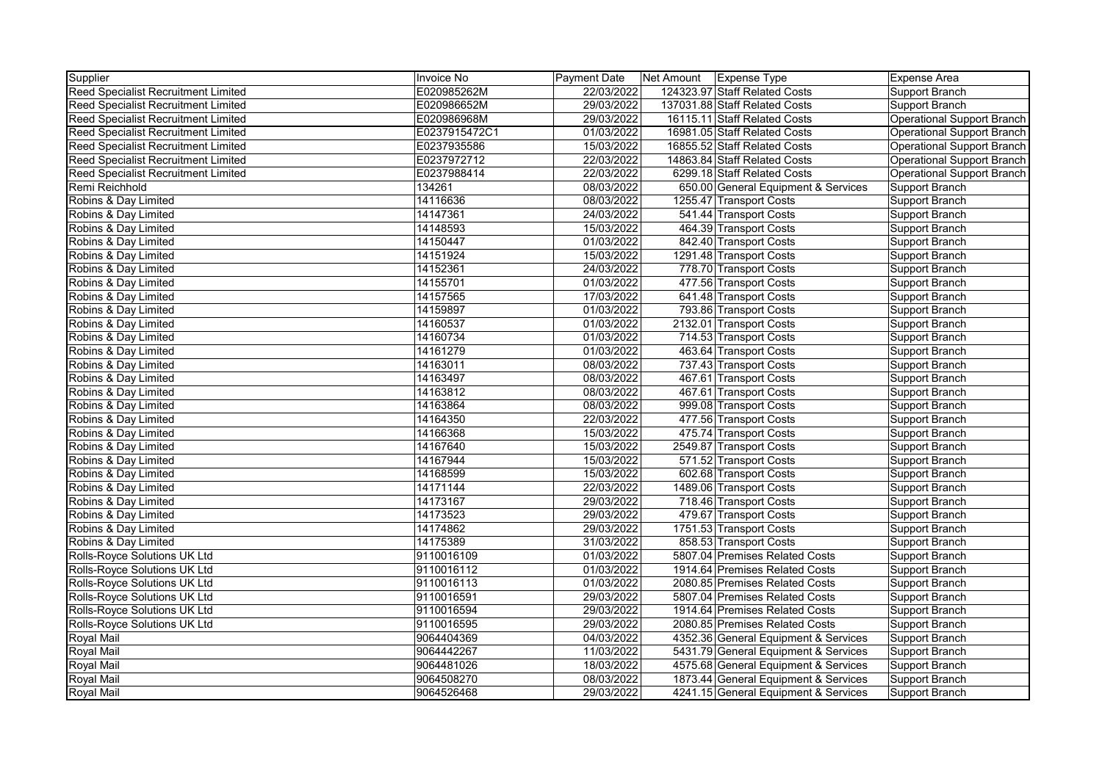| Supplier                                   | Invoice No    | Payment Date | Net Amount   Expense Type            | Expense Area                      |
|--------------------------------------------|---------------|--------------|--------------------------------------|-----------------------------------|
| <b>Reed Specialist Recruitment Limited</b> | E020985262M   | 22/03/2022   | 124323.97 Staff Related Costs        | Support Branch                    |
| <b>Reed Specialist Recruitment Limited</b> | E020986652M   | 29/03/2022   | 137031.88 Staff Related Costs        | Support Branch                    |
| <b>Reed Specialist Recruitment Limited</b> | E020986968M   | 29/03/2022   | 16115.11 Staff Related Costs         | <b>Operational Support Branch</b> |
| <b>Reed Specialist Recruitment Limited</b> | E0237915472C1 | 01/03/2022   | 16981.05 Staff Related Costs         | Operational Support Branch        |
| <b>Reed Specialist Recruitment Limited</b> | E0237935586   | 15/03/2022   | 16855.52 Staff Related Costs         | Operational Support Branch        |
| Reed Specialist Recruitment Limited        | E0237972712   | 22/03/2022   | 14863.84 Staff Related Costs         | Operational Support Branch        |
| Reed Specialist Recruitment Limited        | E0237988414   | 22/03/2022   | 6299.18 Staff Related Costs          | Operational Support Branch        |
| Remi Reichhold                             | 134261        | 08/03/2022   | 650.00 General Equipment & Services  | Support Branch                    |
| Robins & Day Limited                       | 14116636      | 08/03/2022   | 1255.47 Transport Costs              | Support Branch                    |
| Robins & Day Limited                       | 14147361      | 24/03/2022   | 541.44 Transport Costs               | Support Branch                    |
| Robins & Day Limited                       | 14148593      | 15/03/2022   | 464.39 Transport Costs               | Support Branch                    |
| Robins & Day Limited                       | 14150447      | 01/03/2022   | 842.40 Transport Costs               | Support Branch                    |
| Robins & Day Limited                       | 14151924      | 15/03/2022   | 1291.48 Transport Costs              | Support Branch                    |
| Robins & Day Limited                       | 14152361      | 24/03/2022   | 778.70 Transport Costs               | Support Branch                    |
| Robins & Day Limited                       | 14155701      | 01/03/2022   | 477.56 Transport Costs               | Support Branch                    |
| Robins & Day Limited                       | 14157565      | 17/03/2022   | 641.48 Transport Costs               | Support Branch                    |
| Robins & Day Limited                       | 14159897      | 01/03/2022   | 793.86 Transport Costs               | Support Branch                    |
| Robins & Day Limited                       | 14160537      | 01/03/2022   | 2132.01 Transport Costs              | Support Branch                    |
| Robins & Day Limited                       | 14160734      | 01/03/2022   | 714.53 Transport Costs               | Support Branch                    |
| Robins & Day Limited                       | 14161279      | 01/03/2022   | 463.64 Transport Costs               | Support Branch                    |
| Robins & Day Limited                       | 14163011      | 08/03/2022   | 737.43 Transport Costs               | Support Branch                    |
| Robins & Day Limited                       | 14163497      | 08/03/2022   | 467.61 Transport Costs               | Support Branch                    |
| Robins & Day Limited                       | 14163812      | 08/03/2022   | 467.61 Transport Costs               | Support Branch                    |
| Robins & Day Limited                       | 14163864      | 08/03/2022   | 999.08 Transport Costs               | Support Branch                    |
| Robins & Day Limited                       | 14164350      | 22/03/2022   | 477.56 Transport Costs               | Support Branch                    |
| Robins & Day Limited                       | 14166368      | 15/03/2022   | 475.74 Transport Costs               | Support Branch                    |
| Robins & Day Limited                       | 14167640      | 15/03/2022   | 2549.87 Transport Costs              | Support Branch                    |
| Robins & Day Limited                       | 14167944      | 15/03/2022   | 571.52 Transport Costs               | Support Branch                    |
| Robins & Day Limited                       | 14168599      | 15/03/2022   | 602.68 Transport Costs               | Support Branch                    |
| Robins & Day Limited                       | 14171144      | 22/03/2022   | 1489.06 Transport Costs              | Support Branch                    |
| Robins & Day Limited                       | 14173167      | 29/03/2022   | 718.46 Transport Costs               | Support Branch                    |
| Robins & Day Limited                       | 14173523      | 29/03/2022   | 479.67 Transport Costs               | Support Branch                    |
| Robins & Day Limited                       | 14174862      | 29/03/2022   | 1751.53 Transport Costs              | Support Branch                    |
| Robins & Day Limited                       | 14175389      | 31/03/2022   | 858.53 Transport Costs               | Support Branch                    |
| Rolls-Royce Solutions UK Ltd               | 9110016109    | 01/03/2022   | 5807.04 Premises Related Costs       | Support Branch                    |
| Rolls-Royce Solutions UK Ltd               | 9110016112    | 01/03/2022   | 1914.64 Premises Related Costs       | Support Branch                    |
| Rolls-Royce Solutions UK Ltd               | 9110016113    | 01/03/2022   | 2080.85 Premises Related Costs       | Support Branch                    |
| Rolls-Royce Solutions UK Ltd               | 9110016591    | 29/03/2022   | 5807.04 Premises Related Costs       | Support Branch                    |
| Rolls-Royce Solutions UK Ltd               | 9110016594    | 29/03/2022   | 1914.64 Premises Related Costs       | Support Branch                    |
| Rolls-Royce Solutions UK Ltd               | 9110016595    | 29/03/2022   | 2080.85 Premises Related Costs       | Support Branch                    |
| <b>Royal Mail</b>                          | 9064404369    | 04/03/2022   | 4352.36 General Equipment & Services | Support Branch                    |
| <b>Royal Mail</b>                          | 9064442267    | 11/03/2022   | 5431.79 General Equipment & Services | Support Branch                    |
| <b>Royal Mail</b>                          | 9064481026    | 18/03/2022   | 4575.68 General Equipment & Services | Support Branch                    |
| <b>Royal Mail</b>                          | 9064508270    | 08/03/2022   | 1873.44 General Equipment & Services | Support Branch                    |
| <b>Royal Mail</b>                          | 9064526468    | 29/03/2022   | 4241.15 General Equipment & Services | Support Branch                    |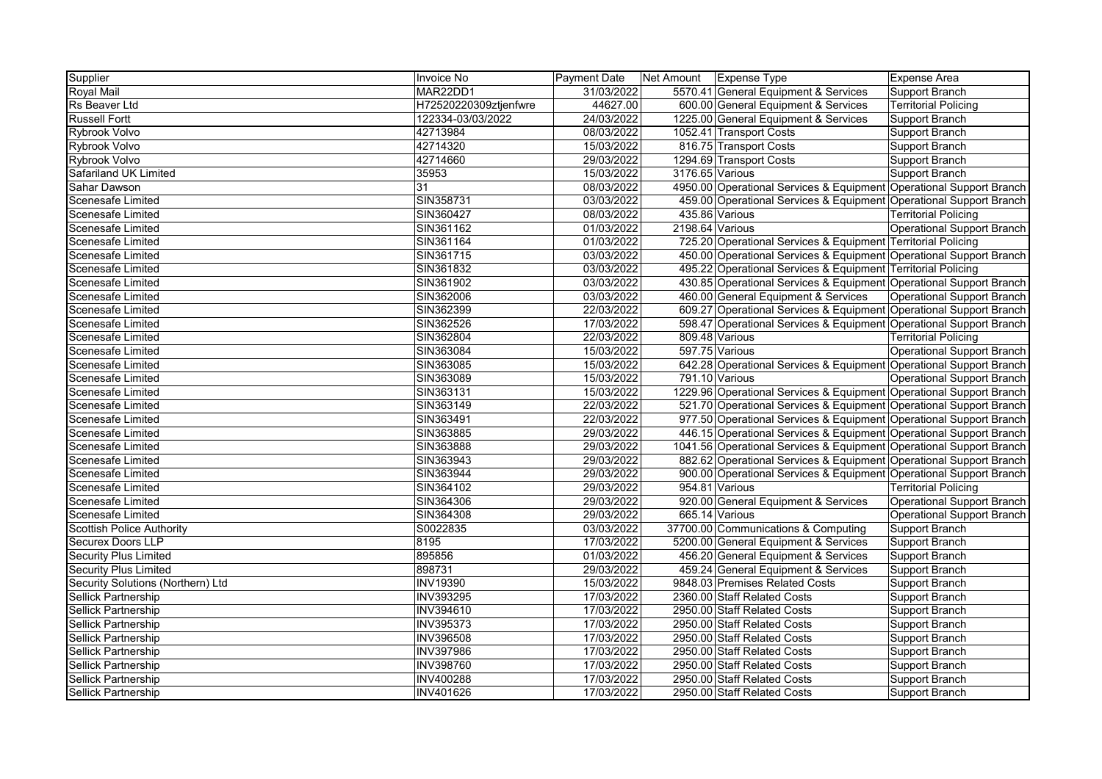| Supplier                          | Invoice No            | Payment Date |                 | Net Amount Expense Type                                             | Expense Area                      |
|-----------------------------------|-----------------------|--------------|-----------------|---------------------------------------------------------------------|-----------------------------------|
| Royal Mail                        | MAR22DD1              | 31/03/2022   |                 | 5570.41 General Equipment & Services                                | Support Branch                    |
| <b>Rs Beaver Ltd</b>              | H72520220309ztjenfwre | 44627.00     |                 | 600.00 General Equipment & Services                                 | <b>Territorial Policing</b>       |
| <b>Russell Fortt</b>              | 122334-03/03/2022     | 24/03/2022   |                 | 1225.00 General Equipment & Services                                | Support Branch                    |
| Rybrook Volvo                     | 42713984              | 08/03/2022   |                 | 1052.41 Transport Costs                                             | <b>Support Branch</b>             |
| Rybrook Volvo                     | 42714320              | 15/03/2022   |                 | 816.75 Transport Costs                                              | <b>Support Branch</b>             |
| Rybrook Volvo                     | 42714660              | 29/03/2022   |                 | 1294.69 Transport Costs                                             | Support Branch                    |
| Safariland UK Limited             | 35953                 | 15/03/2022   | 3176.65 Various |                                                                     | Support Branch                    |
| Sahar Dawson                      | 31                    | 08/03/2022   |                 | 4950.00 Operational Services & Equipment Operational Support Branch |                                   |
| Scenesafe Limited                 | SIN358731             | 03/03/2022   |                 | 459.00 Operational Services & Equipment Operational Support Branch  |                                   |
| Scenesafe Limited                 | SIN360427             | 08/03/2022   |                 | 435.86 Various                                                      | <b>Territorial Policing</b>       |
| Scenesafe Limited                 | SIN361162             | 01/03/2022   | 2198.64 Various |                                                                     | <b>Operational Support Branch</b> |
| Scenesafe Limited                 | SIN361164             | 01/03/2022   |                 | 725.20 Operational Services & Equipment Territorial Policing        |                                   |
| <b>Scenesafe Limited</b>          | SIN361715             | 03/03/2022   |                 | 450.00 Operational Services & Equipment Operational Support Branch  |                                   |
| <b>Scenesafe Limited</b>          | SIN361832             | 03/03/2022   |                 | 495.22 Operational Services & Equipment Territorial Policing        |                                   |
| Scenesafe Limited                 | SIN361902             | 03/03/2022   |                 | 430.85 Operational Services & Equipment Operational Support Branch  |                                   |
| <b>Scenesafe Limited</b>          | SIN362006             | 03/03/2022   |                 | 460.00 General Equipment & Services                                 | <b>Operational Support Branch</b> |
| Scenesafe Limited                 | SIN362399             | 22/03/2022   |                 | 609.27 Operational Services & Equipment Operational Support Branch  |                                   |
| Scenesafe Limited                 | SIN362526             | 17/03/2022   |                 | 598.47 Operational Services & Equipment Operational Support Branch  |                                   |
| Scenesafe Limited                 | SIN362804             | 22/03/2022   |                 | 809.48 Various                                                      | <b>Territorial Policing</b>       |
| Scenesafe Limited                 | SIN363084             | 15/03/2022   |                 | 597.75 Various                                                      | Operational Support Branch        |
| <b>Scenesafe Limited</b>          | SIN363085             | 15/03/2022   |                 | 642.28 Operational Services & Equipment Operational Support Branch  |                                   |
| Scenesafe Limited                 | SIN363089             | 15/03/2022   |                 | 791.10 Various                                                      | <b>Operational Support Branch</b> |
| Scenesafe Limited                 | SIN363131             | 15/03/2022   |                 | 1229.96 Operational Services & Equipment Operational Support Branch |                                   |
| <b>Scenesafe Limited</b>          | SIN363149             | 22/03/2022   |                 | 521.70 Operational Services & Equipment Operational Support Branch  |                                   |
| <b>Scenesafe Limited</b>          | SIN363491             | 22/03/2022   |                 | 977.50 Operational Services & Equipment Operational Support Branch  |                                   |
| <b>Scenesafe Limited</b>          | SIN363885             | 29/03/2022   |                 | 446.15 Operational Services & Equipment Operational Support Branch  |                                   |
| <b>Scenesafe Limited</b>          | SIN363888             | 29/03/2022   |                 | 1041.56 Operational Services & Equipment Operational Support Branch |                                   |
| Scenesafe Limited                 | SIN363943             | 29/03/2022   |                 | 882.62 Operational Services & Equipment Operational Support Branch  |                                   |
| Scenesafe Limited                 | SIN363944             | 29/03/2022   |                 | 900.00 Operational Services & Equipment Operational Support Branch  |                                   |
| Scenesafe Limited                 | SIN364102             | 29/03/2022   |                 | 954.81 Various                                                      | <b>Territorial Policing</b>       |
| <b>Scenesafe Limited</b>          | SIN364306             | 29/03/2022   |                 | 920.00 General Equipment & Services                                 | <b>Operational Support Branch</b> |
| Scenesafe Limited                 | SIN364308             | 29/03/2022   |                 | 665.14 Various                                                      | Operational Support Branch        |
| <b>Scottish Police Authority</b>  | S0022835              | 03/03/2022   |                 | 37700.00 Communications & Computing                                 | <b>Support Branch</b>             |
| <b>Securex Doors LLP</b>          | 8195                  | 17/03/2022   |                 | 5200.00 General Equipment & Services                                | Support Branch                    |
| Security Plus Limited             | 895856                | 01/03/2022   |                 | 456.20 General Equipment & Services                                 | Support Branch                    |
| <b>Security Plus Limited</b>      | 898731                | 29/03/2022   |                 | 459.24 General Equipment & Services                                 | <b>Support Branch</b>             |
| Security Solutions (Northern) Ltd | <b>INV19390</b>       | 15/03/2022   |                 | 9848.03 Premises Related Costs                                      | Support Branch                    |
| Sellick Partnership               | <b>INV393295</b>      | 17/03/2022   |                 | 2360.00 Staff Related Costs                                         | Support Branch                    |
| <b>Sellick Partnership</b>        | <b>INV394610</b>      | 17/03/2022   |                 | 2950.00 Staff Related Costs                                         | <b>Support Branch</b>             |
| Sellick Partnership               | <b>INV395373</b>      | 17/03/2022   |                 | 2950.00 Staff Related Costs                                         | <b>Support Branch</b>             |
| Sellick Partnership               | <b>INV396508</b>      | 17/03/2022   |                 | 2950.00 Staff Related Costs                                         | Support Branch                    |
| Sellick Partnership               | <b>INV397986</b>      | 17/03/2022   |                 | 2950.00 Staff Related Costs                                         | Support Branch                    |
| Sellick Partnership               | INV398760             | 17/03/2022   |                 | 2950.00 Staff Related Costs                                         | Support Branch                    |
| <b>Sellick Partnership</b>        | <b>INV400288</b>      | 17/03/2022   |                 | 2950.00 Staff Related Costs                                         | Support Branch                    |
| Sellick Partnership               | <b>INV401626</b>      | 17/03/2022   |                 | 2950.00 Staff Related Costs                                         | <b>Support Branch</b>             |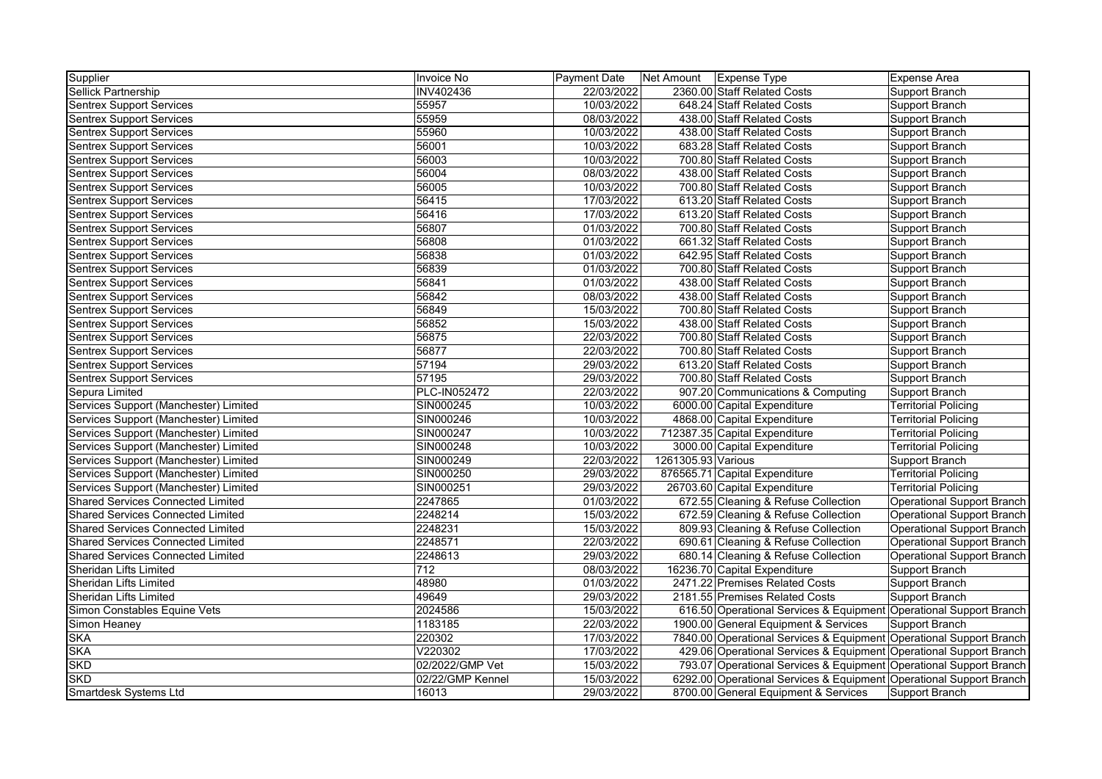| Supplier                                 | Invoice No       | <b>Payment Date</b> | Net Amount   Expense Type |                                                                     | <b>Expense Area</b>         |
|------------------------------------------|------------------|---------------------|---------------------------|---------------------------------------------------------------------|-----------------------------|
| Sellick Partnership                      | INV402436        | 22/03/2022          |                           | 2360.00 Staff Related Costs                                         | Support Branch              |
| <b>Sentrex Support Services</b>          | 55957            | 10/03/2022          |                           | 648.24 Staff Related Costs                                          | Support Branch              |
| <b>Sentrex Support Services</b>          | 55959            | 08/03/2022          |                           | 438.00 Staff Related Costs                                          | Support Branch              |
| <b>Sentrex Support Services</b>          | 55960            | 10/03/2022          |                           | 438.00 Staff Related Costs                                          | Support Branch              |
| <b>Sentrex Support Services</b>          | 56001            | 10/03/2022          |                           | 683.28 Staff Related Costs                                          | Support Branch              |
| <b>Sentrex Support Services</b>          | 56003            | 10/03/2022          |                           | 700.80 Staff Related Costs                                          | Support Branch              |
| <b>Sentrex Support Services</b>          | 56004            | 08/03/2022          |                           | 438.00 Staff Related Costs                                          | Support Branch              |
| <b>Sentrex Support Services</b>          | 56005            | 10/03/2022          |                           | 700.80 Staff Related Costs                                          | Support Branch              |
| <b>Sentrex Support Services</b>          | 56415            | 17/03/2022          |                           | 613.20 Staff Related Costs                                          | Support Branch              |
| <b>Sentrex Support Services</b>          | 56416            | 17/03/2022          |                           | 613.20 Staff Related Costs                                          | Support Branch              |
| <b>Sentrex Support Services</b>          | 56807            | 01/03/2022          |                           | 700.80 Staff Related Costs                                          | Support Branch              |
| <b>Sentrex Support Services</b>          | 56808            | 01/03/2022          |                           | 661.32 Staff Related Costs                                          | Support Branch              |
| <b>Sentrex Support Services</b>          | 56838            | 01/03/2022          |                           | 642.95 Staff Related Costs                                          | Support Branch              |
| <b>Sentrex Support Services</b>          | 56839            | 01/03/2022          |                           | 700.80 Staff Related Costs                                          | Support Branch              |
| <b>Sentrex Support Services</b>          | 56841            | 01/03/2022          |                           | 438.00 Staff Related Costs                                          | Support Branch              |
| <b>Sentrex Support Services</b>          | 56842            | 08/03/2022          |                           | 438.00 Staff Related Costs                                          | Support Branch              |
| <b>Sentrex Support Services</b>          | 56849            | 15/03/2022          |                           | 700.80 Staff Related Costs                                          | Support Branch              |
| <b>Sentrex Support Services</b>          | 56852            | 15/03/2022          |                           | 438.00 Staff Related Costs                                          | Support Branch              |
| <b>Sentrex Support Services</b>          | 56875            | 22/03/2022          |                           | 700.80 Staff Related Costs                                          | Support Branch              |
| <b>Sentrex Support Services</b>          | 56877            | 22/03/2022          |                           | 700.80 Staff Related Costs                                          | Support Branch              |
| <b>Sentrex Support Services</b>          | 57194            | 29/03/2022          |                           | 613.20 Staff Related Costs                                          | Support Branch              |
| Sentrex Support Services                 | 57195            | 29/03/2022          |                           | 700.80 Staff Related Costs                                          | Support Branch              |
| Sepura Limited                           | PLC-IN052472     | 22/03/2022          |                           | 907.20 Communications & Computing                                   | Support Branch              |
| Services Support (Manchester) Limited    | SIN000245        | 10/03/2022          |                           | 6000.00 Capital Expenditure                                         | <b>Territorial Policing</b> |
| Services Support (Manchester) Limited    | SIN000246        | 10/03/2022          |                           | 4868.00 Capital Expenditure                                         | <b>Territorial Policing</b> |
| Services Support (Manchester) Limited    | SIN000247        | 10/03/2022          |                           | 712387.35 Capital Expenditure                                       | <b>Territorial Policing</b> |
| Services Support (Manchester) Limited    | SIN000248        | 10/03/2022          |                           | 3000.00 Capital Expenditure                                         | <b>Territorial Policing</b> |
| Services Support (Manchester) Limited    | SIN000249        | 22/03/2022          | 1261305.93 Various        |                                                                     | Support Branch              |
| Services Support (Manchester) Limited    | SIN000250        | 29/03/2022          |                           | 876565.71 Capital Expenditure                                       | <b>Territorial Policing</b> |
| Services Support (Manchester) Limited    | SIN000251        | 29/03/2022          |                           | 26703.60 Capital Expenditure                                        | <b>Territorial Policing</b> |
| <b>Shared Services Connected Limited</b> | 2247865          | 01/03/2022          |                           | 672.55 Cleaning & Refuse Collection                                 | Operational Support Branch  |
| <b>Shared Services Connected Limited</b> | 2248214          | 15/03/2022          |                           | 672.59 Cleaning & Refuse Collection                                 | Operational Support Branch  |
| <b>Shared Services Connected Limited</b> | 2248231          | 15/03/2022          |                           | 809.93 Cleaning & Refuse Collection                                 | Operational Support Branch  |
| <b>Shared Services Connected Limited</b> | 2248571          | 22/03/2022          |                           | 690.61 Cleaning & Refuse Collection                                 | Operational Support Branch  |
| <b>Shared Services Connected Limited</b> | 2248613          | 29/03/2022          |                           | 680.14 Cleaning & Refuse Collection                                 | Operational Support Branch  |
| Sheridan Lifts Limited                   | 712              | 08/03/2022          |                           | 16236.70 Capital Expenditure                                        | Support Branch              |
| Sheridan Lifts Limited                   | 48980            | 01/03/2022          |                           | 2471.22 Premises Related Costs                                      | Support Branch              |
| Sheridan Lifts Limited                   | 49649            | 29/03/2022          |                           | 2181.55 Premises Related Costs                                      | Support Branch              |
| Simon Constables Equine Vets             | 2024586          | 15/03/2022          |                           | 616.50 Operational Services & Equipment Operational Support Branch  |                             |
| Simon Heaney                             | 1183185          | 22/03/2022          |                           | 1900.00 General Equipment & Services                                | Support Branch              |
| <b>SKA</b>                               | 220302           | 17/03/2022          |                           | 7840.00 Operational Services & Equipment Operational Support Branch |                             |
| <b>SKA</b>                               | V220302          | 17/03/2022          |                           | 429.06 Operational Services & Equipment Operational Support Branch  |                             |
| <b>SKD</b>                               | 02/2022/GMP Vet  | 15/03/2022          |                           | 793.07 Operational Services & Equipment Operational Support Branch  |                             |
| <b>SKD</b>                               | 02/22/GMP Kennel | 15/03/2022          |                           | 6292.00 Operational Services & Equipment Operational Support Branch |                             |
| Smartdesk Systems Ltd                    | 16013            | 29/03/2022          |                           | 8700.00 General Equipment & Services                                | Support Branch              |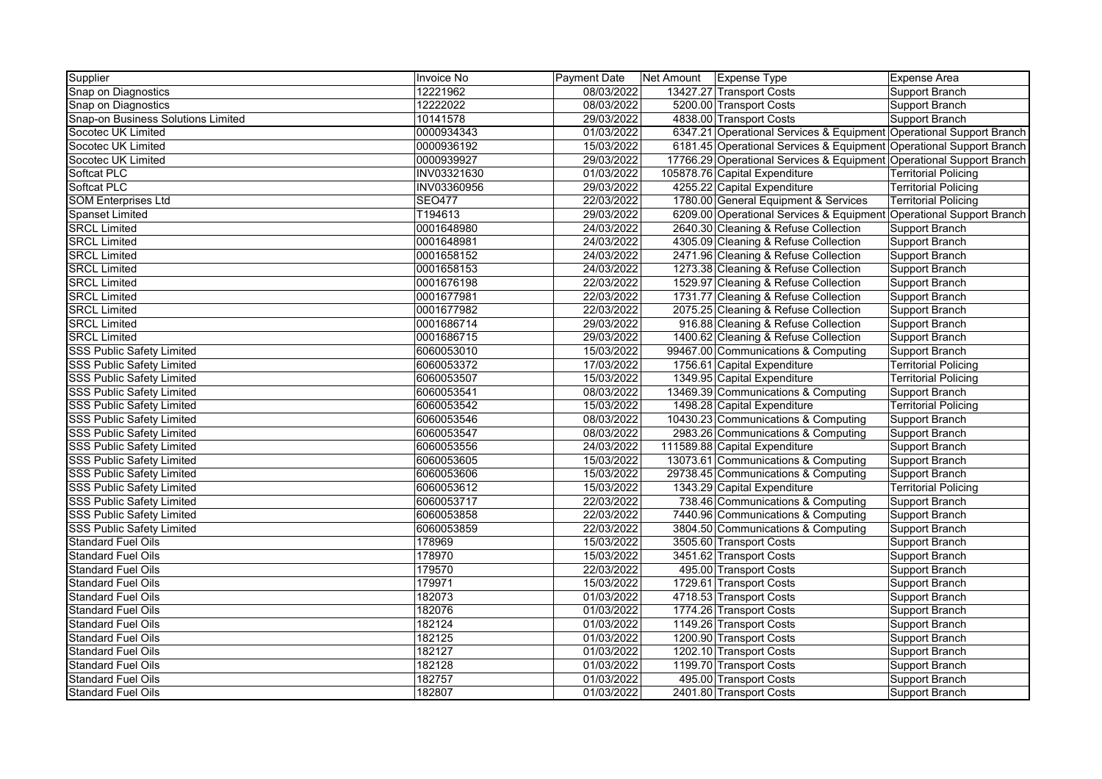| Supplier                           | Invoice No    | <b>Payment Date</b> | Net Amount   Expense Type |                                                                      | Expense Area                |
|------------------------------------|---------------|---------------------|---------------------------|----------------------------------------------------------------------|-----------------------------|
| Snap on Diagnostics                | 12221962      | 08/03/2022          |                           | 13427.27 Transport Costs                                             | Support Branch              |
| Snap on Diagnostics                | 12222022      | 08/03/2022          |                           | 5200.00 Transport Costs                                              | Support Branch              |
| Snap-on Business Solutions Limited | 10141578      | 29/03/2022          |                           | 4838.00 Transport Costs                                              | Support Branch              |
| Socotec UK Limited                 | 0000934343    | 01/03/2022          |                           | 6347.21 Operational Services & Equipment Operational Support Branch  |                             |
| Socotec UK Limited                 | 0000936192    | 15/03/2022          |                           | 6181.45 Operational Services & Equipment Operational Support Branch  |                             |
| Socotec UK Limited                 | 0000939927    | 29/03/2022          |                           | 17766.29 Operational Services & Equipment Operational Support Branch |                             |
| Softcat PLC                        | INV03321630   | 01/03/2022          |                           | 105878.76 Capital Expenditure                                        | <b>Territorial Policing</b> |
| Softcat PLC                        | INV03360956   | 29/03/2022          |                           | 4255.22 Capital Expenditure                                          | <b>Territorial Policing</b> |
| <b>SOM Enterprises Ltd</b>         | <b>SEO477</b> | 22/03/2022          |                           | 1780.00 General Equipment & Services                                 | <b>Territorial Policing</b> |
| <b>Spanset Limited</b>             | T194613       | 29/03/2022          |                           | 6209.00 Operational Services & Equipment Operational Support Branch  |                             |
| <b>SRCL Limited</b>                | 0001648980    | 24/03/2022          |                           | 2640.30 Cleaning & Refuse Collection                                 | Support Branch              |
| <b>SRCL Limited</b>                | 0001648981    | 24/03/2022          |                           | 4305.09 Cleaning & Refuse Collection                                 | Support Branch              |
| <b>SRCL Limited</b>                | 0001658152    | 24/03/2022          |                           | 2471.96 Cleaning & Refuse Collection                                 | Support Branch              |
| <b>SRCL Limited</b>                | 0001658153    | 24/03/2022          |                           | 1273.38 Cleaning & Refuse Collection                                 | Support Branch              |
| <b>SRCL Limited</b>                | 0001676198    | 22/03/2022          |                           | 1529.97 Cleaning & Refuse Collection                                 | Support Branch              |
| <b>SRCL Limited</b>                | 0001677981    | 22/03/2022          |                           | 1731.77 Cleaning & Refuse Collection                                 | Support Branch              |
| <b>SRCL Limited</b>                | 0001677982    | 22/03/2022          |                           | 2075.25 Cleaning & Refuse Collection                                 | Support Branch              |
| <b>SRCL Limited</b>                | 0001686714    | 29/03/2022          |                           | 916.88 Cleaning & Refuse Collection                                  | Support Branch              |
| <b>SRCL Limited</b>                | 0001686715    | 29/03/2022          |                           | 1400.62 Cleaning & Refuse Collection                                 | Support Branch              |
| <b>SSS Public Safety Limited</b>   | 6060053010    | 15/03/2022          |                           | 99467.00 Communications & Computing                                  | Support Branch              |
| <b>SSS Public Safety Limited</b>   | 6060053372    | 17/03/2022          |                           | 1756.61 Capital Expenditure                                          | <b>Territorial Policing</b> |
| <b>SSS Public Safety Limited</b>   | 6060053507    | 15/03/2022          |                           | 1349.95 Capital Expenditure                                          | <b>Territorial Policing</b> |
| <b>SSS Public Safety Limited</b>   | 6060053541    | 08/03/2022          |                           | 13469.39 Communications & Computing                                  | Support Branch              |
| <b>SSS Public Safety Limited</b>   | 6060053542    | 15/03/2022          |                           | 1498.28 Capital Expenditure                                          | <b>Territorial Policing</b> |
| <b>SSS Public Safety Limited</b>   | 6060053546    | 08/03/2022          |                           | 10430.23 Communications & Computing                                  | Support Branch              |
| <b>SSS Public Safety Limited</b>   | 6060053547    | 08/03/2022          |                           | 2983.26 Communications & Computing                                   | Support Branch              |
| <b>SSS Public Safety Limited</b>   | 6060053556    | 24/03/2022          |                           | 111589.88 Capital Expenditure                                        | Support Branch              |
| <b>SSS Public Safety Limited</b>   | 6060053605    | 15/03/2022          |                           | 13073.61 Communications & Computing                                  | Support Branch              |
| <b>SSS Public Safety Limited</b>   | 6060053606    | 15/03/2022          |                           | 29738.45 Communications & Computing                                  | Support Branch              |
| <b>SSS Public Safety Limited</b>   | 6060053612    | 15/03/2022          |                           | 1343.29 Capital Expenditure                                          | <b>Territorial Policing</b> |
| <b>SSS Public Safety Limited</b>   | 6060053717    | 22/03/2022          |                           | 738.46 Communications & Computing                                    | Support Branch              |
| <b>SSS Public Safety Limited</b>   | 6060053858    | 22/03/2022          |                           | 7440.96 Communications & Computing                                   | Support Branch              |
| <b>SSS Public Safety Limited</b>   | 6060053859    | 22/03/2022          |                           | 3804.50 Communications & Computing                                   | Support Branch              |
| <b>Standard Fuel Oils</b>          | 178969        | 15/03/2022          |                           | 3505.60 Transport Costs                                              | Support Branch              |
| <b>Standard Fuel Oils</b>          | 178970        | 15/03/2022          |                           | 3451.62 Transport Costs                                              | Support Branch              |
| <b>Standard Fuel Oils</b>          | 179570        | 22/03/2022          |                           | 495.00 Transport Costs                                               | Support Branch              |
| <b>Standard Fuel Oils</b>          | 179971        | 15/03/2022          |                           | 1729.61 Transport Costs                                              | Support Branch              |
| <b>Standard Fuel Oils</b>          | 182073        | 01/03/2022          |                           | 4718.53 Transport Costs                                              | Support Branch              |
| <b>Standard Fuel Oils</b>          | 182076        | 01/03/2022          |                           | 1774.26 Transport Costs                                              | Support Branch              |
| <b>Standard Fuel Oils</b>          | 182124        | 01/03/2022          |                           | 1149.26 Transport Costs                                              | Support Branch              |
| <b>Standard Fuel Oils</b>          | 182125        | 01/03/2022          |                           | 1200.90 Transport Costs                                              | Support Branch              |
| <b>Standard Fuel Oils</b>          | 182127        | 01/03/2022          |                           | 1202.10 Transport Costs                                              | Support Branch              |
| <b>Standard Fuel Oils</b>          | 182128        | 01/03/2022          |                           | 1199.70 Transport Costs                                              | Support Branch              |
| <b>Standard Fuel Oils</b>          | 182757        | 01/03/2022          |                           | 495.00 Transport Costs                                               | Support Branch              |
| <b>Standard Fuel Oils</b>          | 182807        | 01/03/2022          |                           | 2401.80 Transport Costs                                              | Support Branch              |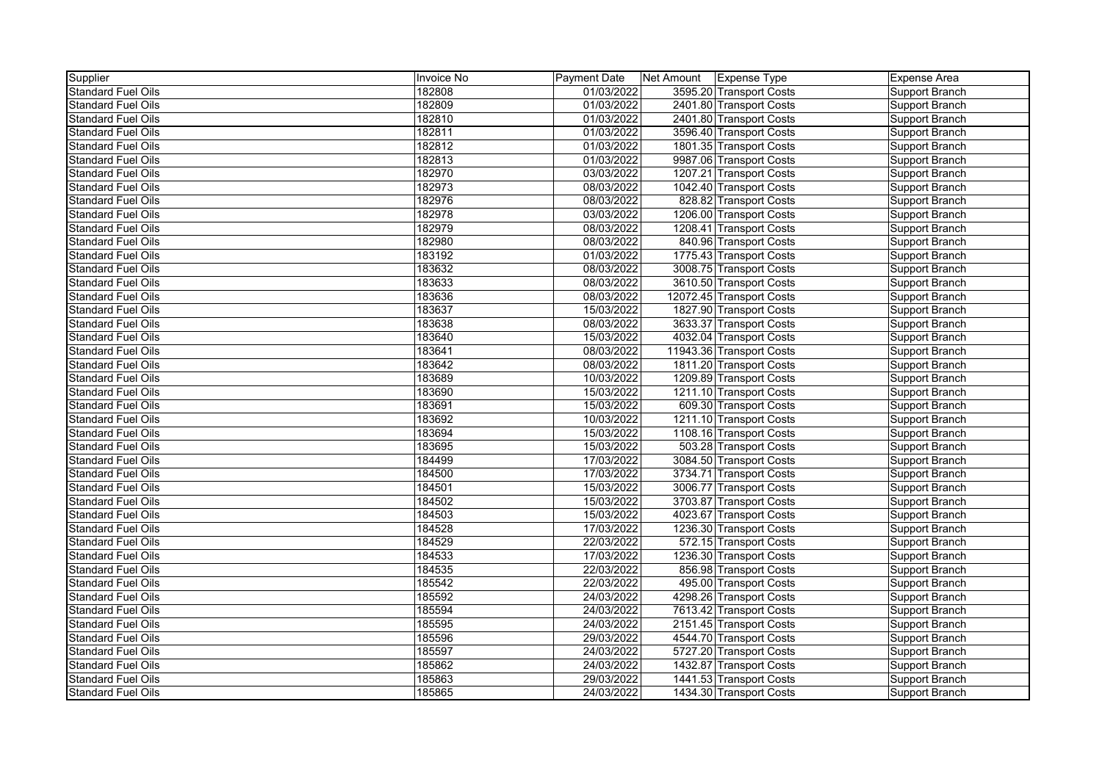| Supplier                  | Invoice No | <b>Payment Date</b> | Net Amount   Expense Type |                          | <b>Expense Area</b> |
|---------------------------|------------|---------------------|---------------------------|--------------------------|---------------------|
| <b>Standard Fuel Oils</b> | 182808     | 01/03/2022          |                           | 3595.20 Transport Costs  | Support Branch      |
| <b>Standard Fuel Oils</b> | 182809     | 01/03/2022          |                           | 2401.80 Transport Costs  | Support Branch      |
| <b>Standard Fuel Oils</b> | 182810     | 01/03/2022          |                           | 2401.80 Transport Costs  | Support Branch      |
| <b>Standard Fuel Oils</b> | 182811     | 01/03/2022          |                           | 3596.40 Transport Costs  | Support Branch      |
| <b>Standard Fuel Oils</b> | 182812     | 01/03/2022          |                           | 1801.35 Transport Costs  | Support Branch      |
| <b>Standard Fuel Oils</b> | 182813     | 01/03/2022          |                           | 9987.06 Transport Costs  | Support Branch      |
| <b>Standard Fuel Oils</b> | 182970     | 03/03/2022          |                           | 1207.21 Transport Costs  | Support Branch      |
| <b>Standard Fuel Oils</b> | 182973     | 08/03/2022          |                           | 1042.40 Transport Costs  | Support Branch      |
| <b>Standard Fuel Oils</b> | 182976     | 08/03/2022          |                           | 828.82 Transport Costs   | Support Branch      |
| <b>Standard Fuel Oils</b> | 182978     | 03/03/2022          |                           | 1206.00 Transport Costs  | Support Branch      |
| <b>Standard Fuel Oils</b> | 182979     | 08/03/2022          |                           | 1208.41 Transport Costs  | Support Branch      |
| <b>Standard Fuel Oils</b> | 182980     | 08/03/2022          |                           | 840.96 Transport Costs   | Support Branch      |
| <b>Standard Fuel Oils</b> | 183192     | 01/03/2022          |                           | 1775.43 Transport Costs  | Support Branch      |
| <b>Standard Fuel Oils</b> | 183632     | 08/03/2022          |                           | 3008.75 Transport Costs  | Support Branch      |
| <b>Standard Fuel Oils</b> | 183633     | 08/03/2022          |                           | 3610.50 Transport Costs  | Support Branch      |
| <b>Standard Fuel Oils</b> | 183636     | 08/03/2022          |                           | 12072.45 Transport Costs | Support Branch      |
| <b>Standard Fuel Oils</b> | 183637     | 15/03/2022          |                           | 1827.90 Transport Costs  | Support Branch      |
| <b>Standard Fuel Oils</b> | 183638     | 08/03/2022          |                           | 3633.37 Transport Costs  | Support Branch      |
| <b>Standard Fuel Oils</b> | 183640     | 15/03/2022          |                           | 4032.04 Transport Costs  | Support Branch      |
| <b>Standard Fuel Oils</b> | 183641     | 08/03/2022          |                           | 11943.36 Transport Costs | Support Branch      |
| <b>Standard Fuel Oils</b> | 183642     | 08/03/2022          |                           | 1811.20 Transport Costs  | Support Branch      |
| <b>Standard Fuel Oils</b> | 183689     | 10/03/2022          |                           | 1209.89 Transport Costs  | Support Branch      |
| <b>Standard Fuel Oils</b> | 183690     | 15/03/2022          |                           | 1211.10 Transport Costs  | Support Branch      |
| <b>Standard Fuel Oils</b> | 183691     | 15/03/2022          |                           | 609.30 Transport Costs   | Support Branch      |
| <b>Standard Fuel Oils</b> | 183692     | 10/03/2022          |                           | 1211.10 Transport Costs  | Support Branch      |
| <b>Standard Fuel Oils</b> | 183694     | 15/03/2022          |                           | 1108.16 Transport Costs  | Support Branch      |
| <b>Standard Fuel Oils</b> | 183695     | 15/03/2022          |                           | 503.28 Transport Costs   | Support Branch      |
| <b>Standard Fuel Oils</b> | 184499     | 17/03/2022          |                           | 3084.50 Transport Costs  | Support Branch      |
| <b>Standard Fuel Oils</b> | 184500     | 17/03/2022          |                           | 3734.71 Transport Costs  | Support Branch      |
| <b>Standard Fuel Oils</b> | 184501     | 15/03/2022          |                           | 3006.77 Transport Costs  | Support Branch      |
| <b>Standard Fuel Oils</b> | 184502     | 15/03/2022          |                           | 3703.87 Transport Costs  | Support Branch      |
| <b>Standard Fuel Oils</b> | 184503     | 15/03/2022          |                           | 4023.67 Transport Costs  | Support Branch      |
| <b>Standard Fuel Oils</b> | 184528     | 17/03/2022          |                           | 1236.30 Transport Costs  | Support Branch      |
| <b>Standard Fuel Oils</b> | 184529     | 22/03/2022          |                           | 572.15 Transport Costs   | Support Branch      |
| <b>Standard Fuel Oils</b> | 184533     | 17/03/2022          |                           | 1236.30 Transport Costs  | Support Branch      |
| <b>Standard Fuel Oils</b> | 184535     | 22/03/2022          |                           | 856.98 Transport Costs   | Support Branch      |
| <b>Standard Fuel Oils</b> | 185542     | 22/03/2022          |                           | 495.00 Transport Costs   | Support Branch      |
| <b>Standard Fuel Oils</b> | 185592     | 24/03/2022          |                           | 4298.26 Transport Costs  | Support Branch      |
| <b>Standard Fuel Oils</b> | 185594     | 24/03/2022          |                           | 7613.42 Transport Costs  | Support Branch      |
| <b>Standard Fuel Oils</b> | 185595     | 24/03/2022          |                           | 2151.45 Transport Costs  | Support Branch      |
| <b>Standard Fuel Oils</b> | 185596     | 29/03/2022          |                           | 4544.70 Transport Costs  | Support Branch      |
| <b>Standard Fuel Oils</b> | 185597     | 24/03/2022          |                           | 5727.20 Transport Costs  | Support Branch      |
| <b>Standard Fuel Oils</b> | 185862     | 24/03/2022          |                           | 1432.87 Transport Costs  | Support Branch      |
| <b>Standard Fuel Oils</b> | 185863     | 29/03/2022          |                           | 1441.53 Transport Costs  | Support Branch      |
| <b>Standard Fuel Oils</b> | 185865     | 24/03/2022          |                           | 1434.30 Transport Costs  | Support Branch      |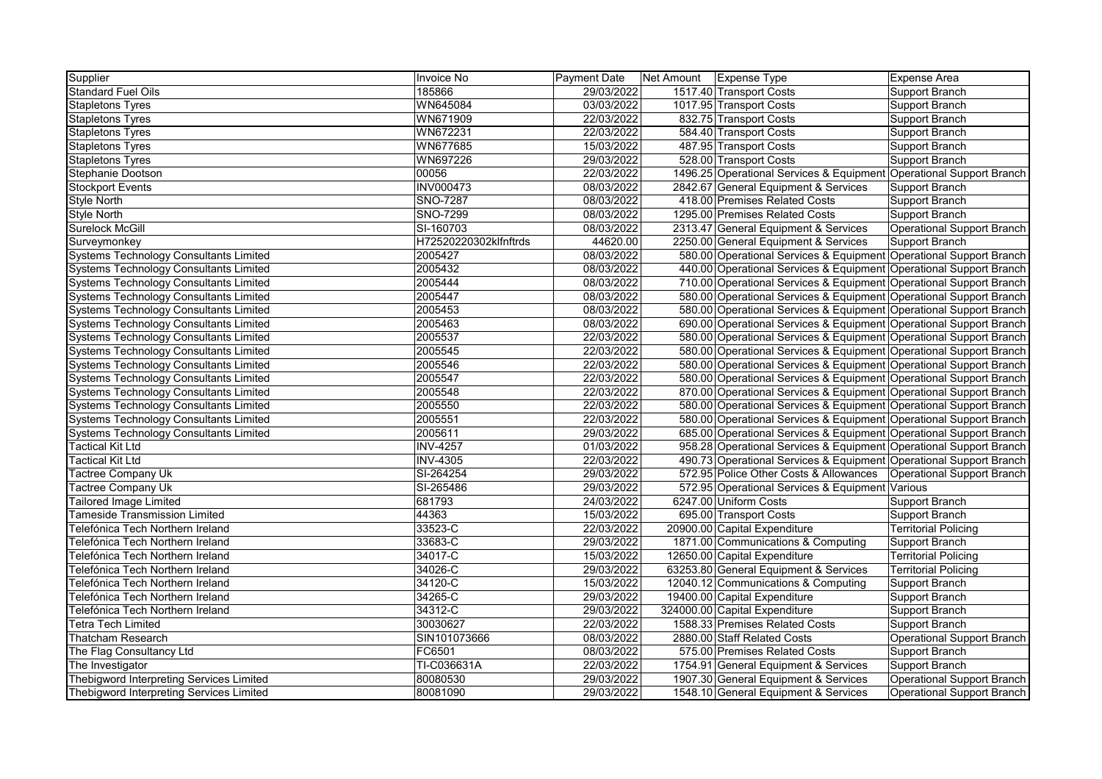| Supplier                                      | Invoice No            | <b>Payment Date</b> | Net Amount   Expense Type |                                                                     | <b>Expense Area</b>               |
|-----------------------------------------------|-----------------------|---------------------|---------------------------|---------------------------------------------------------------------|-----------------------------------|
| <b>Standard Fuel Oils</b>                     | 185866                | 29/03/2022          |                           | 1517.40 Transport Costs                                             | Support Branch                    |
| <b>Stapletons Tyres</b>                       | WN645084              | 03/03/2022          |                           | 1017.95 Transport Costs                                             | Support Branch                    |
| <b>Stapletons Tyres</b>                       | WN671909              | 22/03/2022          |                           | 832.75 Transport Costs                                              | Support Branch                    |
| <b>Stapletons Tyres</b>                       | WN672231              | 22/03/2022          |                           | 584.40 Transport Costs                                              | Support Branch                    |
| <b>Stapletons Tyres</b>                       | WN677685              | 15/03/2022          |                           | 487.95 Transport Costs                                              | Support Branch                    |
| <b>Stapletons Tyres</b>                       | WN697226              | 29/03/2022          |                           | 528.00 Transport Costs                                              | Support Branch                    |
| Stephanie Dootson                             | 00056                 | 22/03/2022          |                           | 1496.25 Operational Services & Equipment Operational Support Branch |                                   |
| <b>Stockport Events</b>                       | INV000473             | 08/03/2022          |                           | 2842.67 General Equipment & Services                                | Support Branch                    |
| <b>Style North</b>                            | <b>SNO-7287</b>       | 08/03/2022          |                           | 418.00 Premises Related Costs                                       | Support Branch                    |
| <b>Style North</b>                            | SNO-7299              | 08/03/2022          |                           | 1295.00 Premises Related Costs                                      | Support Branch                    |
| Surelock McGill                               | SI-160703             | 08/03/2022          |                           | 2313.47 General Equipment & Services                                | <b>Operational Support Branch</b> |
| Surveymonkey                                  | H72520220302klfnftrds | 44620.00            |                           | 2250.00 General Equipment & Services                                | Support Branch                    |
| <b>Systems Technology Consultants Limited</b> | 2005427               | 08/03/2022          |                           | 580.00 Operational Services & Equipment Operational Support Branch  |                                   |
| <b>Systems Technology Consultants Limited</b> | 2005432               | 08/03/2022          |                           | 440.00 Operational Services & Equipment Operational Support Branch  |                                   |
| <b>Systems Technology Consultants Limited</b> | 2005444               | 08/03/2022          |                           | 710.00 Operational Services & Equipment Operational Support Branch  |                                   |
| <b>Systems Technology Consultants Limited</b> | 2005447               | 08/03/2022          |                           | 580.00 Operational Services & Equipment Operational Support Branch  |                                   |
| <b>Systems Technology Consultants Limited</b> | 2005453               | 08/03/2022          |                           | 580.00 Operational Services & Equipment Operational Support Branch  |                                   |
| <b>Systems Technology Consultants Limited</b> | 2005463               | 08/03/2022          |                           | 690.00 Operational Services & Equipment Operational Support Branch  |                                   |
| <b>Systems Technology Consultants Limited</b> | 2005537               | 22/03/2022          |                           | 580.00 Operational Services & Equipment Operational Support Branch  |                                   |
| <b>Systems Technology Consultants Limited</b> | 2005545               | 22/03/2022          |                           | 580.00 Operational Services & Equipment Operational Support Branch  |                                   |
| Systems Technology Consultants Limited        | 2005546               | 22/03/2022          |                           | 580.00 Operational Services & Equipment Operational Support Branch  |                                   |
| <b>Systems Technology Consultants Limited</b> | 2005547               | 22/03/2022          |                           | 580.00 Operational Services & Equipment Operational Support Branch  |                                   |
| Systems Technology Consultants Limited        | 2005548               | 22/03/2022          |                           | 870.00 Operational Services & Equipment Operational Support Branch  |                                   |
| Systems Technology Consultants Limited        | 2005550               | 22/03/2022          |                           | 580.00 Operational Services & Equipment Operational Support Branch  |                                   |
| Systems Technology Consultants Limited        | 2005551               | 22/03/2022          |                           | 580.00 Operational Services & Equipment Operational Support Branch  |                                   |
| <b>Systems Technology Consultants Limited</b> | 2005611               | 29/03/2022          |                           | 685.00 Operational Services & Equipment Operational Support Branch  |                                   |
| <b>Tactical Kit Ltd</b>                       | <b>INV-4257</b>       | 01/03/2022          |                           | 958.28 Operational Services & Equipment Operational Support Branch  |                                   |
| <b>Tactical Kit Ltd</b>                       | <b>INV-4305</b>       | 22/03/2022          |                           | 490.73 Operational Services & Equipment Operational Support Branch  |                                   |
| <b>Tactree Company Uk</b>                     | SI-264254             | 29/03/2022          |                           | 572.95 Police Other Costs & Allowances                              | Operational Support Branch        |
| <b>Tactree Company Uk</b>                     | SI-265486             | 29/03/2022          |                           | 572.95 Operational Services & Equipment Various                     |                                   |
| <b>Tailored Image Limited</b>                 | 681793                | 24/03/2022          |                           | 6247.00 Uniform Costs                                               | Support Branch                    |
| <b>Tameside Transmission Limited</b>          | 44363                 | 15/03/2022          |                           | 695.00 Transport Costs                                              | Support Branch                    |
| Telefónica Tech Northern Ireland              | 33523-C               | 22/03/2022          |                           | 20900.00 Capital Expenditure                                        | <b>Territorial Policing</b>       |
| Telefónica Tech Northern Ireland              | 33683-C               | 29/03/2022          |                           | 1871.00 Communications & Computing                                  | Support Branch                    |
| Telefónica Tech Northern Ireland              | 34017-C               | 15/03/2022          |                           | 12650.00 Capital Expenditure                                        | <b>Territorial Policing</b>       |
| Telefónica Tech Northern Ireland              | 34026-C               | 29/03/2022          |                           | 63253.80 General Equipment & Services                               | <b>Territorial Policing</b>       |
| Telefónica Tech Northern Ireland              | 34120-C               | 15/03/2022          |                           | 12040.12 Communications & Computing                                 | Support Branch                    |
| Telefónica Tech Northern Ireland              | 34265-C               | 29/03/2022          |                           | 19400.00 Capital Expenditure                                        | Support Branch                    |
| Telefónica Tech Northern Ireland              | 34312-C               | 29/03/2022          |                           | 324000.00 Capital Expenditure                                       | Support Branch                    |
| <b>Tetra Tech Limited</b>                     | 30030627              | 22/03/2022          |                           | 1588.33 Premises Related Costs                                      | Support Branch                    |
| <b>Thatcham Research</b>                      | SIN101073666          | 08/03/2022          |                           | 2880.00 Staff Related Costs                                         | Operational Support Branch        |
| The Flag Consultancy Ltd                      | FC6501                | 08/03/2022          |                           | 575.00 Premises Related Costs                                       | Support Branch                    |
| The Investigator                              | TI-C036631A           | 22/03/2022          |                           | 1754.91 General Equipment & Services                                | Support Branch                    |
| Thebigword Interpreting Services Limited      | 80080530              | 29/03/2022          |                           | 1907.30 General Equipment & Services                                | Operational Support Branch        |
| Thebigword Interpreting Services Limited      | 80081090              | 29/03/2022          |                           | 1548.10 General Equipment & Services                                | Operational Support Branch        |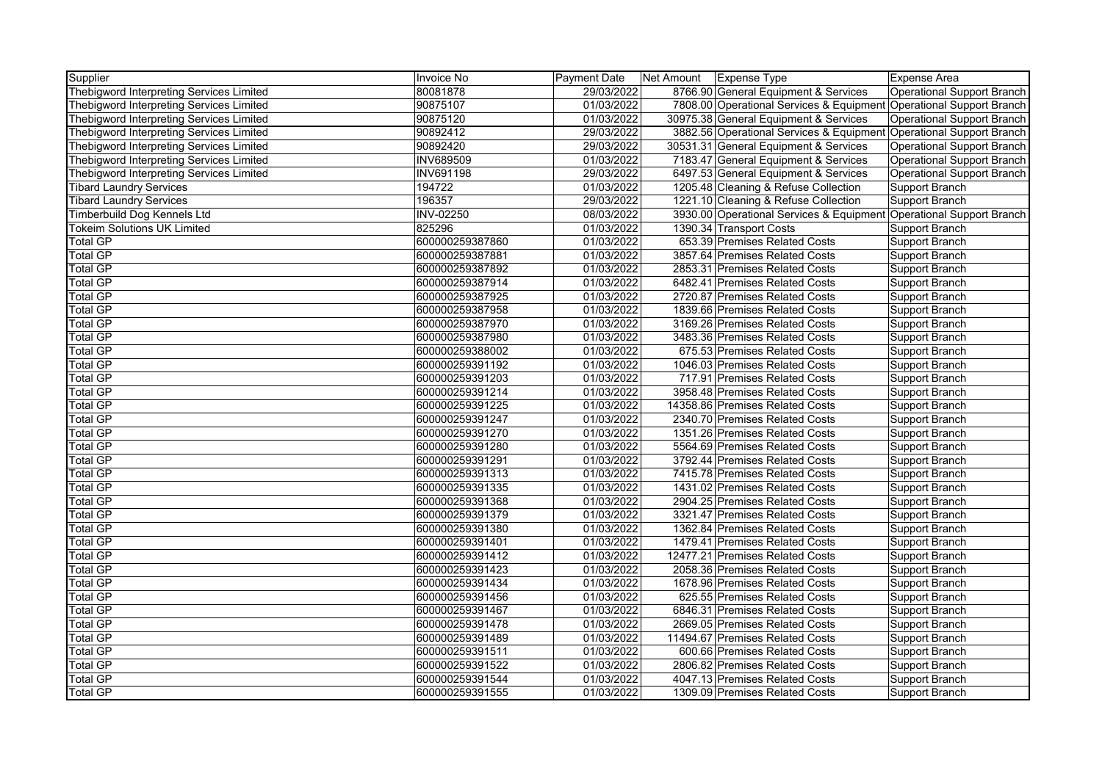| Supplier                                 | <b>Invoice No</b> | Payment Date | Net Amount | Expense Type                                                        | Expense Area                      |
|------------------------------------------|-------------------|--------------|------------|---------------------------------------------------------------------|-----------------------------------|
| Thebigword Interpreting Services Limited | 80081878          | 29/03/2022   |            | 8766.90 General Equipment & Services                                | Operational Support Branch        |
| Thebigword Interpreting Services Limited | 90875107          | 01/03/2022   |            | 7808.00 Operational Services & Equipment Operational Support Branch |                                   |
| Thebigword Interpreting Services Limited | 90875120          | 01/03/2022   |            | 30975.38 General Equipment & Services                               | <b>Operational Support Branch</b> |
| Thebigword Interpreting Services Limited | 90892412          | 29/03/2022   |            | 3882.56 Operational Services & Equipment Operational Support Branch |                                   |
| Thebigword Interpreting Services Limited | 90892420          | 29/03/2022   |            | 30531.31 General Equipment & Services                               | Operational Support Branch        |
| Thebigword Interpreting Services Limited | <b>INV689509</b>  | 01/03/2022   |            | 7183.47 General Equipment & Services                                | Operational Support Branch        |
| Thebigword Interpreting Services Limited | <b>INV691198</b>  | 29/03/2022   |            | 6497.53 General Equipment & Services                                | <b>Operational Support Branch</b> |
| <b>Tibard Laundry Services</b>           | 194722            | 01/03/2022   |            | 1205.48 Cleaning & Refuse Collection                                | <b>Support Branch</b>             |
| <b>Tibard Laundry Services</b>           | 196357            | 29/03/2022   |            | 1221.10 Cleaning & Refuse Collection                                | <b>Support Branch</b>             |
| Timberbuild Dog Kennels Ltd              | <b>INV-02250</b>  | 08/03/2022   |            | 3930.00 Operational Services & Equipment Operational Support Branch |                                   |
| <b>Tokeim Solutions UK Limited</b>       | 825296            | 01/03/2022   |            | 1390.34 Transport Costs                                             | Support Branch                    |
| <b>Total GP</b>                          | 600000259387860   | 01/03/2022   |            | 653.39 Premises Related Costs                                       | Support Branch                    |
| <b>Total GP</b>                          | 600000259387881   | 01/03/2022   |            | 3857.64 Premises Related Costs                                      | <b>Support Branch</b>             |
| <b>Total GP</b>                          | 600000259387892   | 01/03/2022   |            | 2853.31 Premises Related Costs                                      | Support Branch                    |
| <b>Total GP</b>                          | 600000259387914   | 01/03/2022   |            | 6482.41 Premises Related Costs                                      | Support Branch                    |
| Total GP                                 | 600000259387925   | 01/03/2022   |            | 2720.87 Premises Related Costs                                      | Support Branch                    |
| <b>Total GP</b>                          | 600000259387958   | 01/03/2022   |            | 1839.66 Premises Related Costs                                      | Support Branch                    |
| Total GP                                 | 600000259387970   | 01/03/2022   |            | 3169.26 Premises Related Costs                                      | <b>Support Branch</b>             |
| <b>Total GP</b>                          | 600000259387980   | 01/03/2022   |            | 3483.36 Premises Related Costs                                      | Support Branch                    |
| <b>Total GP</b>                          | 600000259388002   | 01/03/2022   |            | 675.53 Premises Related Costs                                       | Support Branch                    |
| <b>Total GP</b>                          | 600000259391192   | 01/03/2022   |            | 1046.03 Premises Related Costs                                      | <b>Support Branch</b>             |
| <b>Total GP</b>                          | 600000259391203   | 01/03/2022   |            | 717.91 Premises Related Costs                                       | <b>Support Branch</b>             |
| <b>Total GP</b>                          | 600000259391214   | 01/03/2022   |            | 3958.48 Premises Related Costs                                      | <b>Support Branch</b>             |
| <b>Total GP</b>                          | 600000259391225   | 01/03/2022   |            | 14358.86 Premises Related Costs                                     | Support Branch                    |
| Total GP                                 | 600000259391247   | 01/03/2022   |            | 2340.70 Premises Related Costs                                      | Support Branch                    |
| <b>Total GP</b>                          | 600000259391270   | 01/03/2022   |            | 1351.26 Premises Related Costs                                      | Support Branch                    |
| Total GP                                 | 600000259391280   | 01/03/2022   |            | 5564.69 Premises Related Costs                                      | Support Branch                    |
| <b>Total GP</b>                          | 600000259391291   | 01/03/2022   |            | 3792.44 Premises Related Costs                                      | Support Branch                    |
| <b>Total GP</b>                          | 600000259391313   | 01/03/2022   |            | 7415.78 Premises Related Costs                                      | Support Branch                    |
| <b>Total GP</b>                          | 600000259391335   | 01/03/2022   |            | 1431.02 Premises Related Costs                                      | Support Branch                    |
| <b>Total GP</b>                          | 600000259391368   | 01/03/2022   |            | 2904.25 Premises Related Costs                                      | <b>Support Branch</b>             |
| <b>Total GP</b>                          | 600000259391379   | 01/03/2022   |            | 3321.47 Premises Related Costs                                      | <b>Support Branch</b>             |
| <b>Total GP</b>                          | 600000259391380   | 01/03/2022   |            | 1362.84 Premises Related Costs                                      | <b>Support Branch</b>             |
| Total GP                                 | 600000259391401   | 01/03/2022   |            | 1479.41 Premises Related Costs                                      | Support Branch                    |
| Total GP                                 | 600000259391412   | 01/03/2022   |            | 12477.21 Premises Related Costs                                     | Support Branch                    |
| Total GP                                 | 600000259391423   | 01/03/2022   |            | 2058.36 Premises Related Costs                                      | <b>Support Branch</b>             |
| <b>Total GP</b>                          | 600000259391434   | 01/03/2022   |            | 1678.96 Premises Related Costs                                      | <b>Support Branch</b>             |
| <b>Total GP</b>                          | 600000259391456   | 01/03/2022   |            | 625.55 Premises Related Costs                                       | Support Branch                    |
| <b>Total GP</b>                          | 600000259391467   | 01/03/2022   |            | 6846.31 Premises Related Costs                                      | <b>Support Branch</b>             |
| <b>Total GP</b>                          | 600000259391478   | 01/03/2022   |            | 2669.05 Premises Related Costs                                      | Support Branch                    |
| <b>Total GP</b>                          | 600000259391489   | 01/03/2022   |            | 11494.67 Premises Related Costs                                     | Support Branch                    |
| <b>Total GP</b>                          | 600000259391511   | 01/03/2022   |            | 600.66 Premises Related Costs                                       | <b>Support Branch</b>             |
| <b>Total GP</b>                          | 600000259391522   | 01/03/2022   |            | 2806.82 Premises Related Costs                                      | Support Branch                    |
| <b>Total GP</b>                          | 600000259391544   | 01/03/2022   |            | 4047.13 Premises Related Costs                                      | Support Branch                    |
| <b>Total GP</b>                          | 600000259391555   | 01/03/2022   |            | 1309.09 Premises Related Costs                                      | <b>Support Branch</b>             |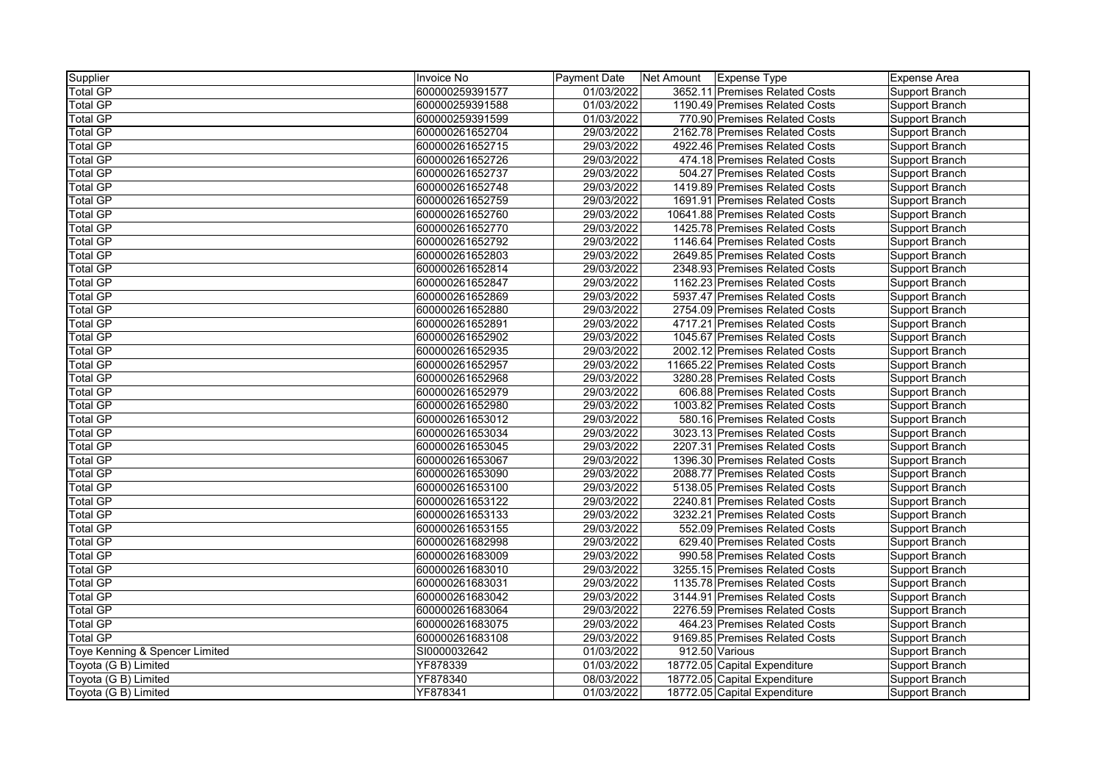| Supplier                       | Invoice No      | Payment Date | Net Amount   Expense Type       | Expense Area   |
|--------------------------------|-----------------|--------------|---------------------------------|----------------|
| <b>Total GP</b>                | 600000259391577 | 01/03/2022   | 3652.11 Premises Related Costs  | Support Branch |
| <b>Total GP</b>                | 600000259391588 | 01/03/2022   | 1190.49 Premises Related Costs  | Support Branch |
| <b>Total GP</b>                | 600000259391599 | 01/03/2022   | 770.90 Premises Related Costs   | Support Branch |
| <b>Total GP</b>                | 600000261652704 | 29/03/2022   | 2162.78 Premises Related Costs  | Support Branch |
| <b>Total GP</b>                | 600000261652715 | 29/03/2022   | 4922.46 Premises Related Costs  | Support Branch |
| <b>Total GP</b>                | 600000261652726 | 29/03/2022   | 474.18 Premises Related Costs   | Support Branch |
| <b>Total GP</b>                | 600000261652737 | 29/03/2022   | 504.27 Premises Related Costs   | Support Branch |
| <b>Total GP</b>                | 600000261652748 | 29/03/2022   | 1419.89 Premises Related Costs  | Support Branch |
| <b>Total GP</b>                | 600000261652759 | 29/03/2022   | 1691.91 Premises Related Costs  | Support Branch |
| <b>Total GP</b>                | 600000261652760 | 29/03/2022   | 10641.88 Premises Related Costs | Support Branch |
| <b>Total GP</b>                | 600000261652770 | 29/03/2022   | 1425.78 Premises Related Costs  | Support Branch |
| <b>Total GP</b>                | 600000261652792 | 29/03/2022   | 1146.64 Premises Related Costs  | Support Branch |
| <b>Total GP</b>                | 600000261652803 | 29/03/2022   | 2649.85 Premises Related Costs  | Support Branch |
| <b>Total GP</b>                | 600000261652814 | 29/03/2022   | 2348.93 Premises Related Costs  | Support Branch |
| <b>Total GP</b>                | 600000261652847 | 29/03/2022   | 1162.23 Premises Related Costs  | Support Branch |
| Total GP                       | 600000261652869 | 29/03/2022   | 5937.47 Premises Related Costs  | Support Branch |
| <b>Total GP</b>                | 600000261652880 | 29/03/2022   | 2754.09 Premises Related Costs  | Support Branch |
| <b>Total GP</b>                | 600000261652891 | 29/03/2022   | 4717.21 Premises Related Costs  | Support Branch |
| <b>Total GP</b>                | 600000261652902 | 29/03/2022   | 1045.67 Premises Related Costs  | Support Branch |
| <b>Total GP</b>                | 600000261652935 | 29/03/2022   | 2002.12 Premises Related Costs  | Support Branch |
| <b>Total GP</b>                | 600000261652957 | 29/03/2022   | 11665.22 Premises Related Costs | Support Branch |
| Total GP                       | 600000261652968 | 29/03/2022   | 3280.28 Premises Related Costs  | Support Branch |
| <b>Total GP</b>                | 600000261652979 | 29/03/2022   | 606.88 Premises Related Costs   | Support Branch |
| <b>Total GP</b>                | 600000261652980 | 29/03/2022   | 1003.82 Premises Related Costs  | Support Branch |
| <b>Total GP</b>                | 600000261653012 | 29/03/2022   | 580.16 Premises Related Costs   | Support Branch |
| <b>Total GP</b>                | 600000261653034 | 29/03/2022   | 3023.13 Premises Related Costs  | Support Branch |
| <b>Total GP</b>                | 600000261653045 | 29/03/2022   | 2207.31 Premises Related Costs  | Support Branch |
| <b>Total GP</b>                | 600000261653067 | 29/03/2022   | 1396.30 Premises Related Costs  | Support Branch |
| <b>Total GP</b>                | 600000261653090 | 29/03/2022   | 2088.77 Premises Related Costs  | Support Branch |
| <b>Total GP</b>                | 600000261653100 | 29/03/2022   | 5138.05 Premises Related Costs  | Support Branch |
| <b>Total GP</b>                | 600000261653122 | 29/03/2022   | 2240.81 Premises Related Costs  | Support Branch |
| <b>Total GP</b>                | 600000261653133 | 29/03/2022   | 3232.21 Premises Related Costs  | Support Branch |
| <b>Total GP</b>                | 600000261653155 | 29/03/2022   | 552.09 Premises Related Costs   | Support Branch |
| <b>Total GP</b>                | 600000261682998 | 29/03/2022   | 629.40 Premises Related Costs   | Support Branch |
| <b>Total GP</b>                | 600000261683009 | 29/03/2022   | 990.58 Premises Related Costs   | Support Branch |
| <b>Total GP</b>                | 600000261683010 | 29/03/2022   | 3255.15 Premises Related Costs  | Support Branch |
| <b>Total GP</b>                | 600000261683031 | 29/03/2022   | 1135.78 Premises Related Costs  | Support Branch |
| Total GP                       | 600000261683042 | 29/03/2022   | 3144.91 Premises Related Costs  | Support Branch |
| Total GP                       | 600000261683064 | 29/03/2022   | 2276.59 Premises Related Costs  | Support Branch |
| <b>Total GP</b>                | 600000261683075 | 29/03/2022   | 464.23 Premises Related Costs   | Support Branch |
| <b>Total GP</b>                | 600000261683108 | 29/03/2022   | 9169.85 Premises Related Costs  | Support Branch |
| Toye Kenning & Spencer Limited | SI0000032642    | 01/03/2022   | 912.50 Various                  | Support Branch |
| Toyota (G B) Limited           | YF878339        | 01/03/2022   | 18772.05 Capital Expenditure    | Support Branch |
| Toyota (G B) Limited           | YF878340        | 08/03/2022   | 18772.05 Capital Expenditure    | Support Branch |
| Toyota (G B) Limited           | YF878341        | 01/03/2022   | 18772.05 Capital Expenditure    | Support Branch |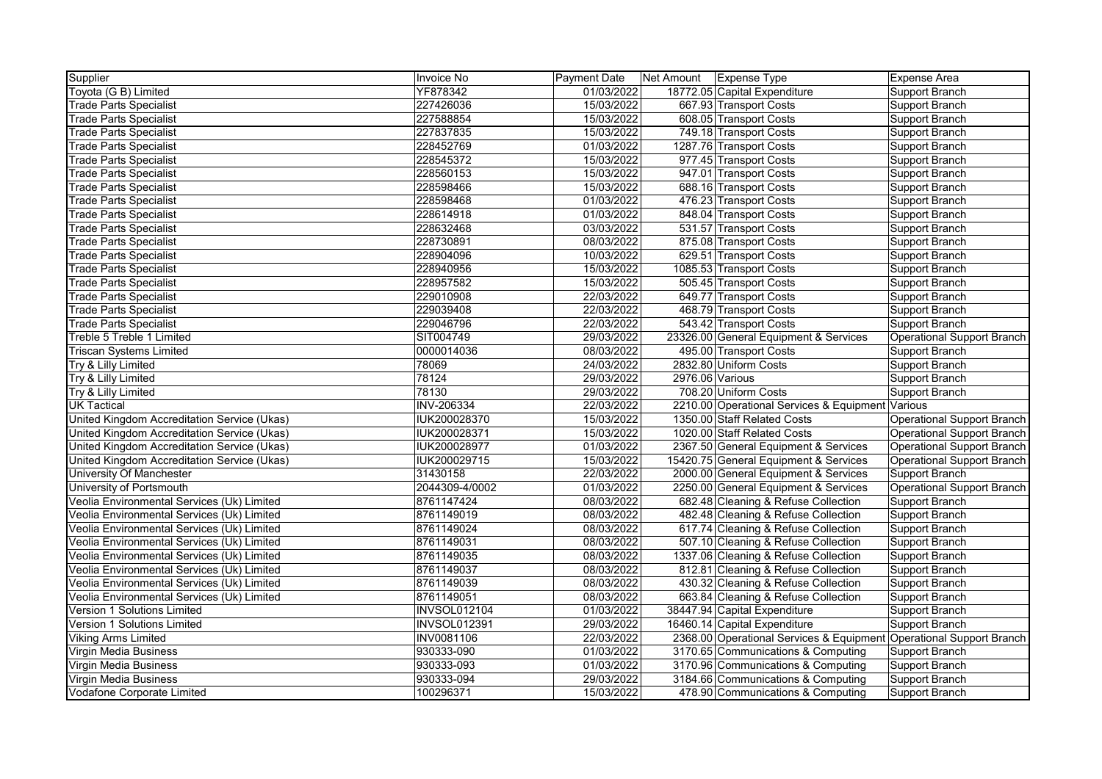| Supplier                                    | Invoice No          | <b>Payment Date</b> | Net Amount   Expense Type |                                                                     | <b>Expense Area</b>        |
|---------------------------------------------|---------------------|---------------------|---------------------------|---------------------------------------------------------------------|----------------------------|
| Toyota (G B) Limited                        | YF878342            | 01/03/2022          |                           | 18772.05 Capital Expenditure                                        | Support Branch             |
| <b>Trade Parts Specialist</b>               | 227426036           | 15/03/2022          |                           | 667.93 Transport Costs                                              | Support Branch             |
| <b>Trade Parts Specialist</b>               | 227588854           | 15/03/2022          |                           | 608.05 Transport Costs                                              | Support Branch             |
| Trade Parts Specialist                      | 227837835           | 15/03/2022          |                           | 749.18 Transport Costs                                              | Support Branch             |
| <b>Trade Parts Specialist</b>               | 228452769           | 01/03/2022          |                           | 1287.76 Transport Costs                                             | Support Branch             |
| <b>Trade Parts Specialist</b>               | 228545372           | 15/03/2022          |                           | 977.45 Transport Costs                                              | Support Branch             |
| <b>Trade Parts Specialist</b>               | 228560153           | 15/03/2022          |                           | 947.01 Transport Costs                                              | Support Branch             |
| <b>Trade Parts Specialist</b>               | 228598466           | 15/03/2022          |                           | 688.16 Transport Costs                                              | Support Branch             |
| <b>Trade Parts Specialist</b>               | 228598468           | 01/03/2022          |                           | 476.23 Transport Costs                                              | Support Branch             |
| <b>Trade Parts Specialist</b>               | 228614918           | 01/03/2022          |                           | 848.04 Transport Costs                                              | Support Branch             |
| <b>Trade Parts Specialist</b>               | 228632468           | 03/03/2022          |                           | 531.57 Transport Costs                                              | Support Branch             |
| <b>Trade Parts Specialist</b>               | 228730891           | 08/03/2022          |                           | 875.08 Transport Costs                                              | Support Branch             |
| Trade Parts Specialist                      | 228904096           | 10/03/2022          |                           | 629.51 Transport Costs                                              | Support Branch             |
| <b>Trade Parts Specialist</b>               | 228940956           | 15/03/2022          |                           | 1085.53 Transport Costs                                             | Support Branch             |
| <b>Trade Parts Specialist</b>               | 228957582           | 15/03/2022          |                           | 505.45 Transport Costs                                              | Support Branch             |
| <b>Trade Parts Specialist</b>               | 229010908           | 22/03/2022          |                           | 649.77 Transport Costs                                              | Support Branch             |
| <b>Trade Parts Specialist</b>               | 229039408           | 22/03/2022          |                           | 468.79 Transport Costs                                              | Support Branch             |
| <b>Trade Parts Specialist</b>               | 229046796           | 22/03/2022          |                           | 543.42 Transport Costs                                              | Support Branch             |
| Treble 5 Treble 1 Limited                   | SIT004749           | 29/03/2022          |                           | 23326.00 General Equipment & Services                               | Operational Support Branch |
| <b>Triscan Systems Limited</b>              | 0000014036          | 08/03/2022          |                           | 495.00 Transport Costs                                              | Support Branch             |
| Try & Lilly Limited                         | 78069               | 24/03/2022          |                           | 2832.80 Uniform Costs                                               | Support Branch             |
| Try & Lilly Limited                         | 78124               | 29/03/2022          | 2976.06 Various           |                                                                     | Support Branch             |
| Try & Lilly Limited                         | 78130               | 29/03/2022          |                           | 708.20 Uniform Costs                                                | Support Branch             |
| <b>UK Tactical</b>                          | <b>INV-206334</b>   | 22/03/2022          |                           | 2210.00 Operational Services & Equipment Various                    |                            |
| United Kingdom Accreditation Service (Ukas) | IUK200028370        | 15/03/2022          |                           | 1350.00 Staff Related Costs                                         | Operational Support Branch |
| United Kingdom Accreditation Service (Ukas) | IUK200028371        | 15/03/2022          |                           | 1020.00 Staff Related Costs                                         | Operational Support Branch |
| United Kingdom Accreditation Service (Ukas) | IUK200028977        | 01/03/2022          |                           | 2367.50 General Equipment & Services                                | Operational Support Branch |
| United Kingdom Accreditation Service (Ukas) | IUK200029715        | 15/03/2022          |                           | 15420.75 General Equipment & Services                               | Operational Support Branch |
| University Of Manchester                    | 31430158            | 22/03/2022          |                           | 2000.00 General Equipment & Services                                | Support Branch             |
| <b>University of Portsmouth</b>             | 2044309-4/0002      | 01/03/2022          |                           | 2250.00 General Equipment & Services                                | Operational Support Branch |
| Veolia Environmental Services (Uk) Limited  | 8761147424          | 08/03/2022          |                           | 682.48 Cleaning & Refuse Collection                                 | Support Branch             |
| Veolia Environmental Services (Uk) Limited  | 8761149019          | 08/03/2022          |                           | 482.48 Cleaning & Refuse Collection                                 | Support Branch             |
| Veolia Environmental Services (Uk) Limited  | 8761149024          | 08/03/2022          |                           | 617.74 Cleaning & Refuse Collection                                 | Support Branch             |
| Veolia Environmental Services (Uk) Limited  | 8761149031          | 08/03/2022          |                           | 507.10 Cleaning & Refuse Collection                                 | Support Branch             |
| Veolia Environmental Services (Uk) Limited  | 8761149035          | 08/03/2022          |                           | 1337.06 Cleaning & Refuse Collection                                | Support Branch             |
| Veolia Environmental Services (Uk) Limited  | 8761149037          | 08/03/2022          |                           | 812.81 Cleaning & Refuse Collection                                 | Support Branch             |
| Veolia Environmental Services (Uk) Limited  | 8761149039          | 08/03/2022          |                           | 430.32 Cleaning & Refuse Collection                                 | Support Branch             |
| Veolia Environmental Services (Uk) Limited  | 8761149051          | 08/03/2022          |                           | 663.84 Cleaning & Refuse Collection                                 | Support Branch             |
| Version 1 Solutions Limited                 | <b>INVSOL012104</b> | 01/03/2022          |                           | 38447.94 Capital Expenditure                                        | Support Branch             |
| Version 1 Solutions Limited                 | <b>INVSOL012391</b> | 29/03/2022          |                           | 16460.14 Capital Expenditure                                        | Support Branch             |
| <b>Viking Arms Limited</b>                  | INV0081106          | 22/03/2022          |                           | 2368.00 Operational Services & Equipment Operational Support Branch |                            |
| Virgin Media Business                       | 930333-090          | 01/03/2022          |                           | 3170.65 Communications & Computing                                  | Support Branch             |
| Virgin Media Business                       | 930333-093          | 01/03/2022          |                           | 3170.96 Communications & Computing                                  | Support Branch             |
| Virgin Media Business                       | 930333-094          | 29/03/2022          |                           | 3184.66 Communications & Computing                                  | Support Branch             |
| Vodafone Corporate Limited                  | 100296371           | 15/03/2022          |                           | 478.90 Communications & Computing                                   | Support Branch             |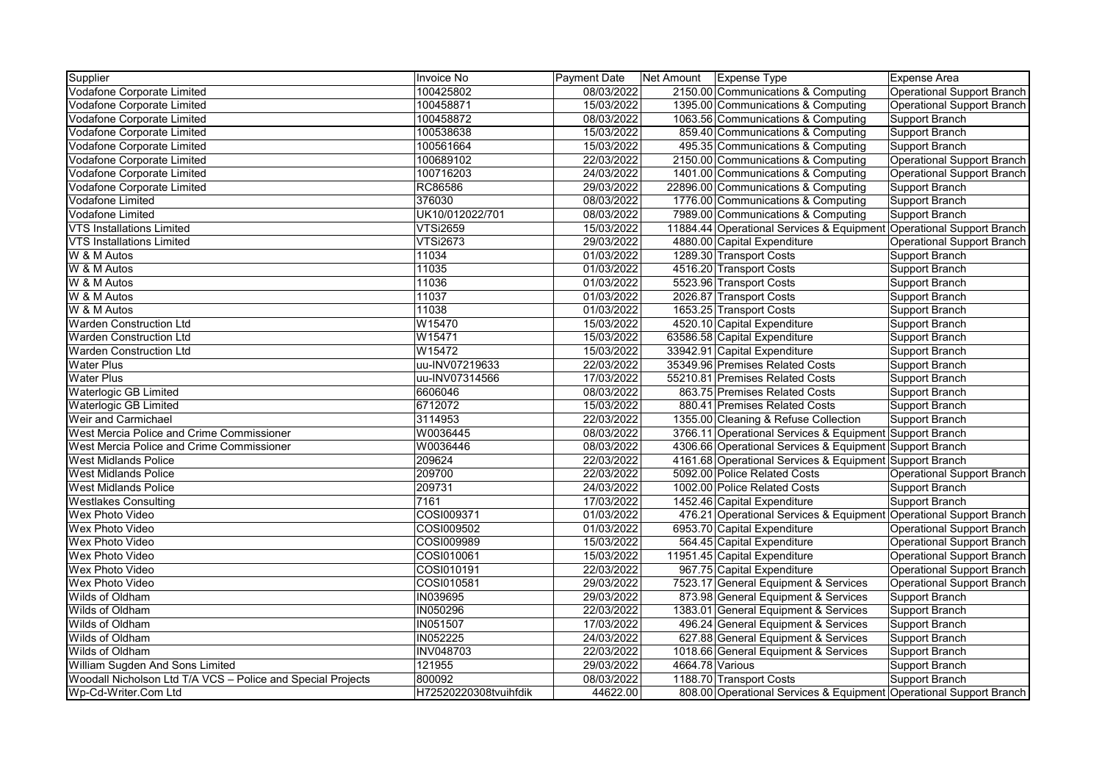| Supplier                                                    | Invoice No            | <b>Payment Date</b> | Net Amount   Expense Type |                                                                      | Expense Area               |
|-------------------------------------------------------------|-----------------------|---------------------|---------------------------|----------------------------------------------------------------------|----------------------------|
| Vodafone Corporate Limited                                  | 100425802             | 08/03/2022          |                           | 2150.00 Communications & Computing                                   | Operational Support Branch |
| Vodafone Corporate Limited                                  | 100458871             | 15/03/2022          |                           | 1395.00 Communications & Computing                                   | Operational Support Branch |
| Vodafone Corporate Limited                                  | 100458872             | 08/03/2022          |                           | 1063.56 Communications & Computing                                   | Support Branch             |
| Vodafone Corporate Limited                                  | 100538638             | 15/03/2022          |                           | 859.40 Communications & Computing                                    | Support Branch             |
| <b>Vodafone Corporate Limited</b>                           | 100561664             | 15/03/2022          |                           | 495.35 Communications & Computing                                    | Support Branch             |
| Vodafone Corporate Limited                                  | 100689102             | 22/03/2022          |                           | 2150.00 Communications & Computing                                   | Operational Support Branch |
| Vodafone Corporate Limited                                  | 100716203             | 24/03/2022          |                           | 1401.00 Communications & Computing                                   | Operational Support Branch |
| <b>Vodafone Corporate Limited</b>                           | RC86586               | 29/03/2022          |                           | 22896.00 Communications & Computing                                  | Support Branch             |
| Vodafone Limited                                            | 376030                | 08/03/2022          |                           | 1776.00 Communications & Computing                                   | Support Branch             |
| Vodafone Limited                                            | UK10/012022/701       | 08/03/2022          |                           | 7989.00 Communications & Computing                                   | Support Branch             |
| <b>VTS Installations Limited</b>                            | <b>VTSi2659</b>       | 15/03/2022          |                           | 11884.44 Operational Services & Equipment Operational Support Branch |                            |
| <b>VTS Installations Limited</b>                            | <b>VTSi2673</b>       | 29/03/2022          |                           | 4880.00 Capital Expenditure                                          | Operational Support Branch |
| W & M Autos                                                 | 11034                 | 01/03/2022          |                           | 1289.30 Transport Costs                                              | Support Branch             |
| W & M Autos                                                 | 11035                 | 01/03/2022          |                           | 4516.20 Transport Costs                                              | Support Branch             |
| W & M Autos                                                 | 11036                 | 01/03/2022          |                           | 5523.96 Transport Costs                                              | Support Branch             |
| W & M Autos                                                 | 11037                 | 01/03/2022          |                           | 2026.87 Transport Costs                                              | Support Branch             |
| W & M Autos                                                 | 11038                 | 01/03/2022          |                           | 1653.25 Transport Costs                                              | Support Branch             |
| <b>Warden Construction Ltd</b>                              | W15470                | 15/03/2022          |                           | 4520.10 Capital Expenditure                                          | Support Branch             |
| <b>Warden Construction Ltd</b>                              | W15471                | 15/03/2022          |                           | 63586.58 Capital Expenditure                                         | Support Branch             |
| <b>Warden Construction Ltd</b>                              | W15472                | 15/03/2022          |                           | 33942.91 Capital Expenditure                                         | Support Branch             |
| <b>Water Plus</b>                                           | uu-INV07219633        | 22/03/2022          |                           | 35349.96 Premises Related Costs                                      | Support Branch             |
| <b>Water Plus</b>                                           | uu-INV07314566        | 17/03/2022          |                           | 55210.81 Premises Related Costs                                      | Support Branch             |
| Waterlogic GB Limited                                       | 6606046               | 08/03/2022          |                           | 863.75 Premises Related Costs                                        | Support Branch             |
| <b>Waterlogic GB Limited</b>                                | 6712072               | 15/03/2022          |                           | 880.41 Premises Related Costs                                        | Support Branch             |
| Weir and Carmichael                                         | 3114953               | 22/03/2022          |                           | 1355.00 Cleaning & Refuse Collection                                 | Support Branch             |
| West Mercia Police and Crime Commissioner                   | W0036445              | 08/03/2022          |                           | 3766.11 Operational Services & Equipment Support Branch              |                            |
| West Mercia Police and Crime Commissioner                   | W0036446              | 08/03/2022          |                           | 4306.66 Operational Services & Equipment Support Branch              |                            |
| <b>West Midlands Police</b>                                 | 209624                | 22/03/2022          |                           | 4161.68 Operational Services & Equipment Support Branch              |                            |
| <b>West Midlands Police</b>                                 | 209700                | 22/03/2022          |                           | 5092.00 Police Related Costs                                         | Operational Support Branch |
| <b>West Midlands Police</b>                                 | 209731                | 24/03/2022          |                           | 1002.00 Police Related Costs                                         | Support Branch             |
| <b>Westlakes Consulting</b>                                 | 7161                  | 17/03/2022          |                           | 1452.46 Capital Expenditure                                          | Support Branch             |
| <b>Wex Photo Video</b>                                      | COSI009371            | 01/03/2022          |                           | 476.21 Operational Services & Equipment Operational Support Branch   |                            |
| Wex Photo Video                                             | COSI009502            | 01/03/2022          |                           | 6953.70 Capital Expenditure                                          | Operational Support Branch |
| Wex Photo Video                                             | COSI009989            | 15/03/2022          |                           | 564.45 Capital Expenditure                                           | Operational Support Branch |
| Wex Photo Video                                             | COSI010061            | 15/03/2022          |                           | 11951.45 Capital Expenditure                                         | Operational Support Branch |
| Wex Photo Video                                             | COSI010191            | 22/03/2022          |                           | 967.75 Capital Expenditure                                           | Operational Support Branch |
| Wex Photo Video                                             | COSI010581            | 29/03/2022          |                           | 7523.17 General Equipment & Services                                 | Operational Support Branch |
| Wilds of Oldham                                             | <b>IN039695</b>       | 29/03/2022          |                           | 873.98 General Equipment & Services                                  | Support Branch             |
| Wilds of Oldham                                             | <b>IN050296</b>       | 22/03/2022          |                           | 1383.01 General Equipment & Services                                 | Support Branch             |
| Wilds of Oldham                                             | <b>IN051507</b>       | 17/03/2022          |                           | 496.24 General Equipment & Services                                  | Support Branch             |
| Wilds of Oldham                                             | IN052225              | 24/03/2022          |                           | 627.88 General Equipment & Services                                  | Support Branch             |
| Wilds of Oldham                                             | <b>INV048703</b>      | 22/03/2022          |                           | 1018.66 General Equipment & Services                                 | Support Branch             |
| William Sugden And Sons Limited                             | 121955                | 29/03/2022          |                           | 4664.78 Various                                                      | Support Branch             |
| Woodall Nicholson Ltd T/A VCS - Police and Special Projects | 800092                | 08/03/2022          |                           | 1188.70 Transport Costs                                              | Support Branch             |
| Wp-Cd-Writer.Com Ltd                                        | H72520220308tvuihfdik | 44622.00            |                           | 808.00 Operational Services & Equipment Operational Support Branch   |                            |